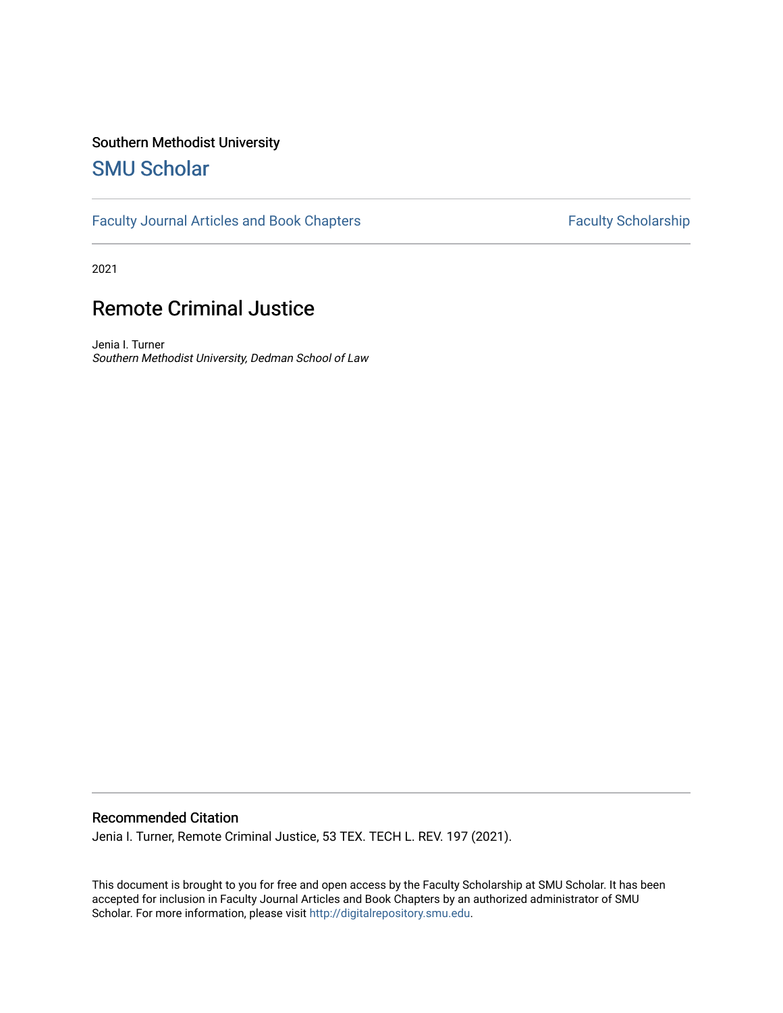## Southern Methodist University

# [SMU Scholar](https://scholar.smu.edu/)

[Faculty Journal Articles and Book Chapters](https://scholar.smu.edu/law_faculty) Faculty Scholarship

2021

# Remote Criminal Justice

Jenia I. Turner Southern Methodist University, Dedman School of Law

## Recommended Citation

Jenia I. Turner, Remote Criminal Justice, 53 TEX. TECH L. REV. 197 (2021).

This document is brought to you for free and open access by the Faculty Scholarship at SMU Scholar. It has been accepted for inclusion in Faculty Journal Articles and Book Chapters by an authorized administrator of SMU Scholar. For more information, please visit [http://digitalrepository.smu.edu.](http://digitalrepository.smu.edu/)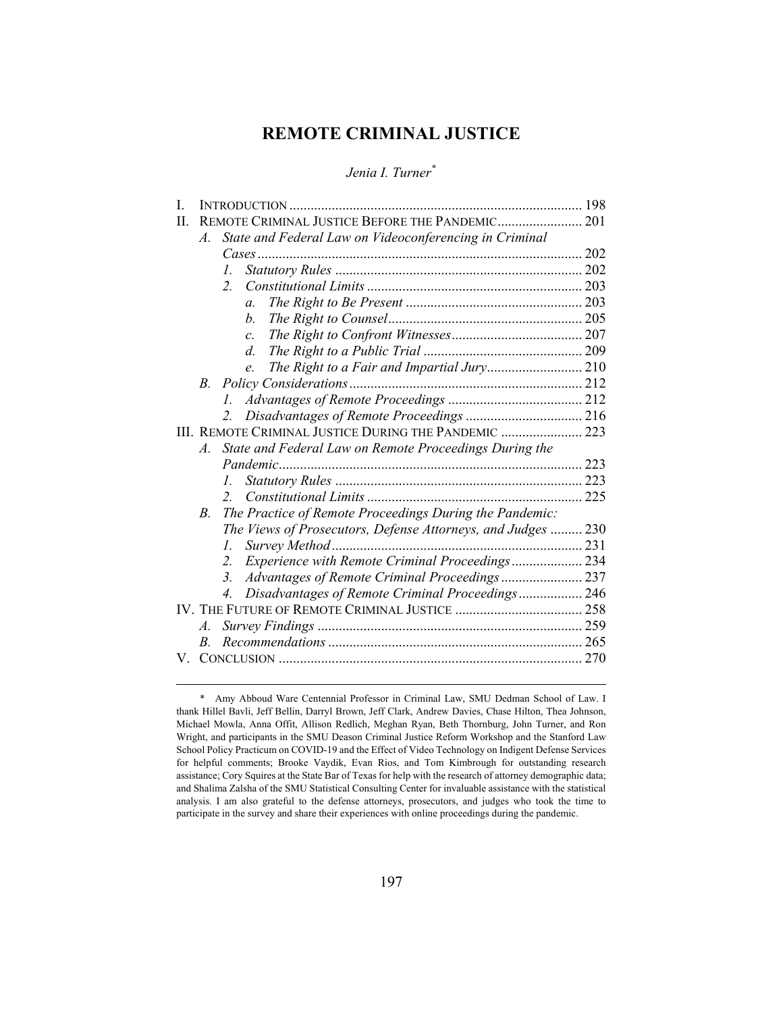## **REMOTE CRIMINAL JUSTICE**

*Jenia I. Turner\**

| L  |                  |                                                                    |  |
|----|------------------|--------------------------------------------------------------------|--|
| H. |                  | REMOTE CRIMINAL JUSTICE BEFORE THE PANDEMIC 201                    |  |
|    | $\mathcal{A}.$   | State and Federal Law on Videoconferencing in Criminal             |  |
|    |                  |                                                                    |  |
|    |                  | $\mathcal{L}$                                                      |  |
|    |                  | $\overline{2}$                                                     |  |
|    |                  | $\mathfrak{a}$ .                                                   |  |
|    |                  | $h_{\cdot}$                                                        |  |
|    |                  | $\mathcal{C}$ .                                                    |  |
|    |                  | $d_{\cdot}$                                                        |  |
|    |                  | The Right to a Fair and Impartial Jury 210<br>e.                   |  |
|    | B.               |                                                                    |  |
|    |                  |                                                                    |  |
|    |                  | 2.                                                                 |  |
|    |                  | III. REMOTE CRIMINAL JUSTICE DURING THE PANDEMIC  223              |  |
|    | $\mathcal{A}$ .  | State and Federal Law on Remote Proceedings During the             |  |
|    |                  |                                                                    |  |
|    |                  | I.                                                                 |  |
|    |                  | $\mathcal{L}$                                                      |  |
|    | $B_{\cdot}$      | The Practice of Remote Proceedings During the Pandemic:            |  |
|    |                  | The Views of Prosecutors, Defense Attorneys, and Judges  230       |  |
|    |                  | I.                                                                 |  |
|    |                  | Experience with Remote Criminal Proceedings 234<br>2 <sup>1</sup>  |  |
|    |                  | Advantages of Remote Criminal Proceedings 237<br>$\mathfrak{Z}$ .  |  |
|    |                  | Disadvantages of Remote Criminal Proceedings 246<br>$\overline{4}$ |  |
|    |                  |                                                                    |  |
|    | $\overline{A}$ . |                                                                    |  |
|    | B.               |                                                                    |  |
|    |                  |                                                                    |  |
|    |                  |                                                                    |  |

 <sup>\*</sup> Amy Abboud Ware Centennial Professor in Criminal Law, SMU Dedman School of Law. I thank Hillel Bavli, Jeff Bellin, Darryl Brown, Jeff Clark, Andrew Davies, Chase Hilton, Thea Johnson, Michael Mowla, Anna Offit, Allison Redlich, Meghan Ryan, Beth Thornburg, John Turner, and Ron Wright, and participants in the SMU Deason Criminal Justice Reform Workshop and the Stanford Law School Policy Practicum on COVID-19 and the Effect of Video Technology on Indigent Defense Services for helpful comments; Brooke Vaydik, Evan Rios, and Tom Kimbrough for outstanding research assistance; Cory Squires at the State Bar of Texas for help with the research of attorney demographic data; and Shalima Zalsha of the SMU Statistical Consulting Center for invaluable assistance with the statistical analysis. I am also grateful to the defense attorneys, prosecutors, and judges who took the time to participate in the survey and share their experiences with online proceedings during the pandemic.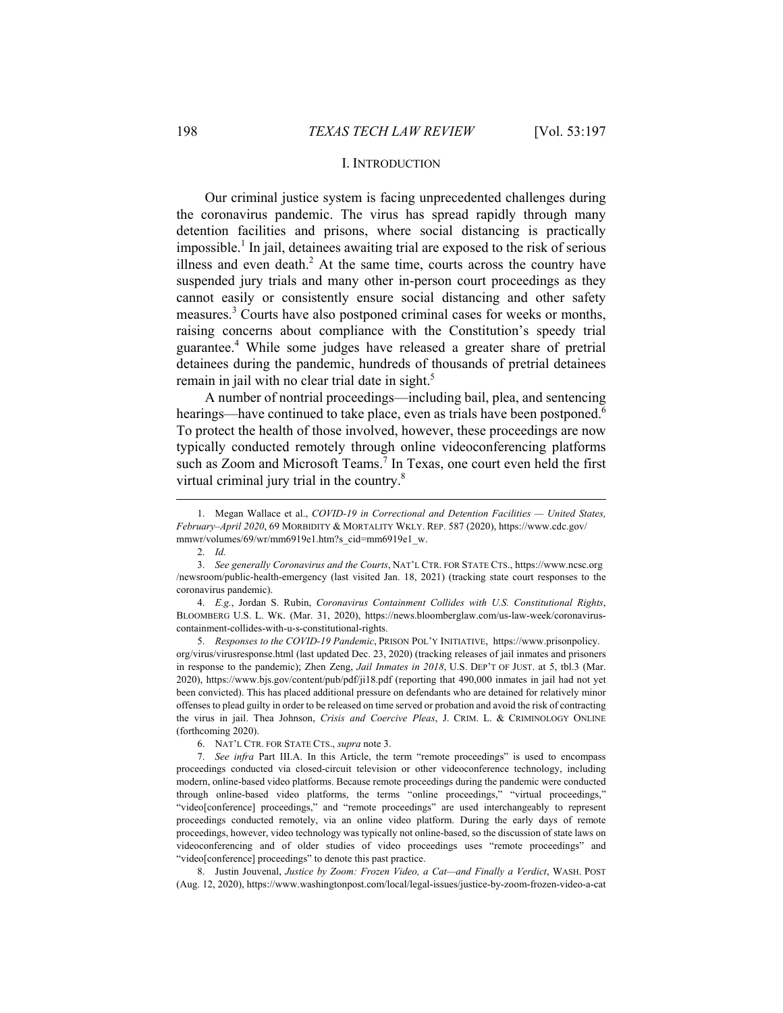#### I. INTRODUCTION

Our criminal justice system is facing unprecedented challenges during the coronavirus pandemic. The virus has spread rapidly through many detention facilities and prisons, where social distancing is practically impossible.<sup>1</sup> In jail, detainees awaiting trial are exposed to the risk of serious illness and even death. $2$  At the same time, courts across the country have suspended jury trials and many other in-person court proceedings as they cannot easily or consistently ensure social distancing and other safety measures.<sup>3</sup> Courts have also postponed criminal cases for weeks or months, raising concerns about compliance with the Constitution's speedy trial guarantee.<sup>4</sup> While some judges have released a greater share of pretrial detainees during the pandemic, hundreds of thousands of pretrial detainees remain in jail with no clear trial date in sight.<sup>5</sup>

A number of nontrial proceedings—including bail, plea, and sentencing hearings—have continued to take place, even as trials have been postponed.<sup>6</sup> To protect the health of those involved, however, these proceedings are now typically conducted remotely through online videoconferencing platforms such as Zoom and Microsoft Teams.<sup>7</sup> In Texas, one court even held the first virtual criminal jury trial in the country.<sup>8</sup>

 $\overline{a}$ 

 4. *E.g.*, Jordan S. Rubin, *Coronavirus Containment Collides with U.S. Constitutional Rights*, BLOOMBERG U.S. L. WK. (Mar. 31, 2020), https://news.bloomberglaw.com/us-law-week/coronaviruscontainment-collides-with-u-s-constitutional-rights.

 5. *Responses to the COVID-19 Pandemic*, PRISON POL'Y INITIATIVE, https://www.prisonpolicy. org/virus/virusresponse.html (last updated Dec. 23, 2020) (tracking releases of jail inmates and prisoners in response to the pandemic); Zhen Zeng, *Jail Inmates in 2018*, U.S. DEP'T OF JUST. at 5, tbl.3 (Mar. 2020), https://www.bjs.gov/content/pub/pdf/ji18.pdf (reporting that 490,000 inmates in jail had not yet been convicted). This has placed additional pressure on defendants who are detained for relatively minor offenses to plead guilty in order to be released on time served or probation and avoid the risk of contracting the virus in jail. Thea Johnson, *Crisis and Coercive Pleas*, J. CRIM. L. & CRIMINOLOGY ONLINE (forthcoming 2020).

 8. Justin Jouvenal, *Justice by Zoom: Frozen Video, a Cat—and Finally a Verdict*, WASH. POST (Aug. 12, 2020), https://www.washingtonpost.com/local/legal-issues/justice-by-zoom-frozen-video-a-cat

 <sup>1.</sup> Megan Wallace et al., *COVID-19 in Correctional and Detention Facilities — United States, February–April 2020*, 69 MORBIDITY & MORTALITY WKLY. REP. 587 (2020), https://www.cdc.gov/ mmwr/volumes/69/wr/mm6919e1.htm?s\_cid=mm6919e1\_w.

 <sup>2.</sup> *Id.* 

 <sup>3.</sup> *See generally Coronavirus and the Courts*, NAT'L CTR. FOR STATE CTS., https://www.ncsc.org /newsroom/public-health-emergency (last visited Jan. 18, 2021) (tracking state court responses to the coronavirus pandemic).

 <sup>6.</sup> NAT'L CTR. FOR STATE CTS., *supra* note 3.

 <sup>7.</sup> *See infra* Part III.A. In this Article, the term "remote proceedings" is used to encompass proceedings conducted via closed-circuit television or other videoconference technology, including modern, online-based video platforms. Because remote proceedings during the pandemic were conducted through online-based video platforms, the terms "online proceedings," "virtual proceedings," "video[conference] proceedings," and "remote proceedings" are used interchangeably to represent proceedings conducted remotely, via an online video platform. During the early days of remote proceedings, however, video technology was typically not online-based, so the discussion of state laws on videoconferencing and of older studies of video proceedings uses "remote proceedings" and "video[conference] proceedings" to denote this past practice.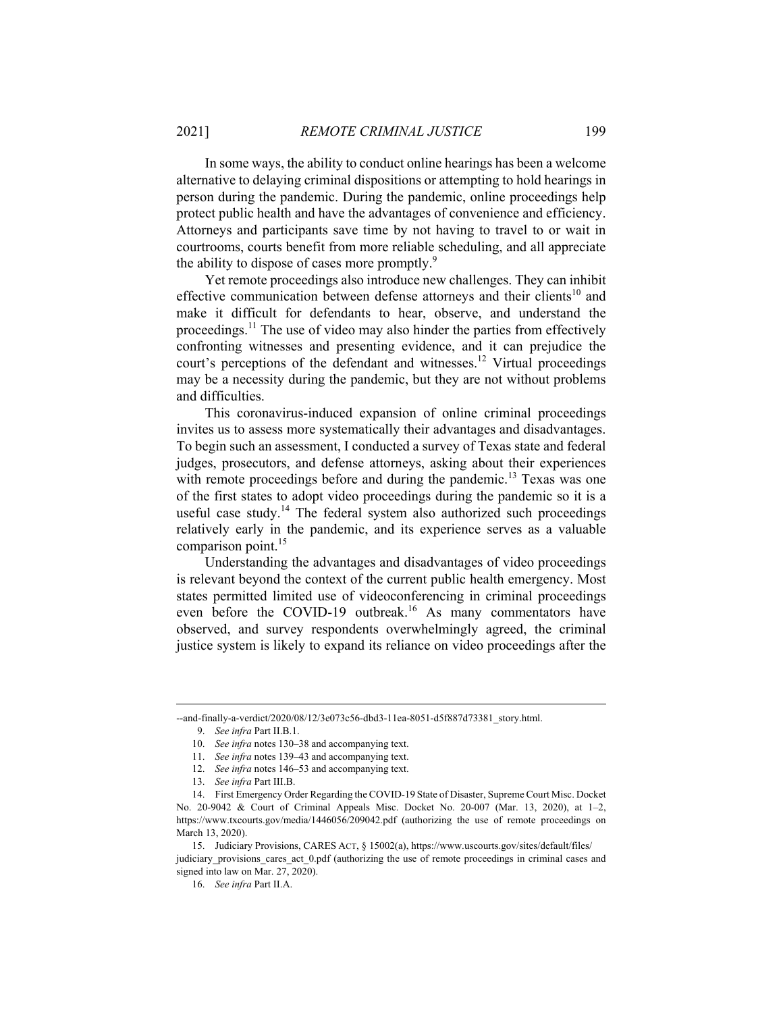In some ways, the ability to conduct online hearings has been a welcome alternative to delaying criminal dispositions or attempting to hold hearings in person during the pandemic. During the pandemic, online proceedings help protect public health and have the advantages of convenience and efficiency. Attorneys and participants save time by not having to travel to or wait in courtrooms, courts benefit from more reliable scheduling, and all appreciate the ability to dispose of cases more promptly.<sup>9</sup>

Yet remote proceedings also introduce new challenges. They can inhibit effective communication between defense attorneys and their clients<sup>10</sup> and make it difficult for defendants to hear, observe, and understand the proceedings.<sup>11</sup> The use of video may also hinder the parties from effectively confronting witnesses and presenting evidence, and it can prejudice the court's perceptions of the defendant and witnesses.<sup>12</sup> Virtual proceedings may be a necessity during the pandemic, but they are not without problems and difficulties.

This coronavirus-induced expansion of online criminal proceedings invites us to assess more systematically their advantages and disadvantages. To begin such an assessment, I conducted a survey of Texas state and federal judges, prosecutors, and defense attorneys, asking about their experiences with remote proceedings before and during the pandemic.<sup>13</sup> Texas was one of the first states to adopt video proceedings during the pandemic so it is a useful case study.<sup>14</sup> The federal system also authorized such proceedings relatively early in the pandemic, and its experience serves as a valuable comparison point.<sup>15</sup>

Understanding the advantages and disadvantages of video proceedings is relevant beyond the context of the current public health emergency. Most states permitted limited use of videoconferencing in criminal proceedings even before the COVID-19 outbreak.<sup>16</sup> As many commentators have observed, and survey respondents overwhelmingly agreed, the criminal justice system is likely to expand its reliance on video proceedings after the

<sup>--</sup>and-finally-a-verdict/2020/08/12/3e073c56-dbd3-11ea-8051-d5f887d73381\_story.html.

 <sup>9.</sup> *See infra* Part II.B.1.

 <sup>10.</sup> *See infra* notes 130–38 and accompanying text.

 <sup>11.</sup> *See infra* notes 139–43 and accompanying text.

 <sup>12.</sup> *See infra* notes 146–53 and accompanying text.

 <sup>13.</sup> *See infra* Part III.B.

 <sup>14.</sup> First Emergency Order Regarding the COVID-19 State of Disaster, Supreme Court Misc. Docket No. 20-9042 & Court of Criminal Appeals Misc. Docket No. 20-007 (Mar. 13, 2020), at 1–2, https://www.txcourts.gov/media/1446056/209042.pdf (authorizing the use of remote proceedings on March 13, 2020).

 <sup>15.</sup> Judiciary Provisions, CARES ACT, § 15002(a), https://www.uscourts.gov/sites/default/files/ judiciary\_provisions\_cares\_act\_0.pdf (authorizing the use of remote proceedings in criminal cases and signed into law on Mar. 27, 2020).

 <sup>16.</sup> *See infra* Part II.A.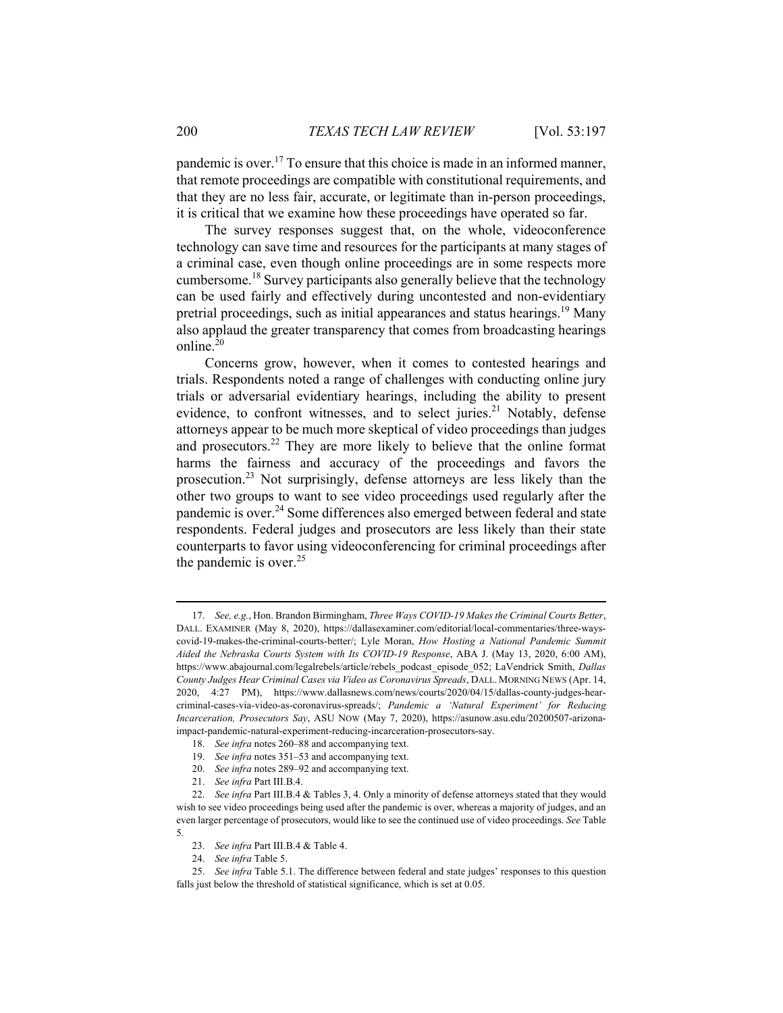pandemic is over.<sup>17</sup> To ensure that this choice is made in an informed manner, that remote proceedings are compatible with constitutional requirements, and that they are no less fair, accurate, or legitimate than in-person proceedings, it is critical that we examine how these proceedings have operated so far.

The survey responses suggest that, on the whole, videoconference technology can save time and resources for the participants at many stages of a criminal case, even though online proceedings are in some respects more cumbersome.18 Survey participants also generally believe that the technology can be used fairly and effectively during uncontested and non-evidentiary pretrial proceedings, such as initial appearances and status hearings.<sup>19</sup> Many also applaud the greater transparency that comes from broadcasting hearings online.<sup>20</sup>

Concerns grow, however, when it comes to contested hearings and trials. Respondents noted a range of challenges with conducting online jury trials or adversarial evidentiary hearings, including the ability to present evidence, to confront witnesses, and to select juries.<sup>21</sup> Notably, defense attorneys appear to be much more skeptical of video proceedings than judges and prosecutors.22 They are more likely to believe that the online format harms the fairness and accuracy of the proceedings and favors the prosecution.23 Not surprisingly, defense attorneys are less likely than the other two groups to want to see video proceedings used regularly after the pandemic is over.<sup>24</sup> Some differences also emerged between federal and state respondents. Federal judges and prosecutors are less likely than their state counterparts to favor using videoconferencing for criminal proceedings after the pandemic is over. $25$ 

 <sup>17.</sup> *See, e.g.*, Hon. Brandon Birmingham, *Three Ways COVID-19 Makes the Criminal Courts Better*, DALL. EXAMINER (May 8, 2020), https://dallasexaminer.com/editorial/local-commentaries/three-wayscovid-19-makes-the-criminal-courts-better/; Lyle Moran, *How Hosting a National Pandemic Summit Aided the Nebraska Courts System with Its COVID-19 Response*, ABA J. (May 13, 2020, 6:00 AM), https://www.abajournal.com/legalrebels/article/rebels\_podcast\_episode\_052; LaVendrick Smith, *Dallas County Judges Hear Criminal Cases via Video as Coronavirus Spreads*, DALL. MORNING NEWS (Apr. 14, 2020, 4:27 PM), https://www.dallasnews.com/news/courts/2020/04/15/dallas-county-judges-hearcriminal-cases-via-video-as-coronavirus-spreads/; *Pandemic a 'Natural Experiment' for Reducing Incarceration, Prosecutors Say*, ASU NOW (May 7, 2020), https://asunow.asu.edu/20200507-arizonaimpact-pandemic-natural-experiment-reducing-incarceration-prosecutors-say.

 <sup>18.</sup> *See infra* notes 260–88 and accompanying text.

 <sup>19.</sup> *See infra* notes 351–53 and accompanying text.

 <sup>20.</sup> *See infra* notes 289–92 and accompanying text.

 <sup>21.</sup> *See infra* Part III.B.4.

 <sup>22.</sup> *See infra* Part III.B.4 & Tables 3, 4. Only a minority of defense attorneys stated that they would wish to see video proceedings being used after the pandemic is over, whereas a majority of judges, and an even larger percentage of prosecutors, would like to see the continued use of video proceedings. *See* Table 5.

 <sup>23.</sup> *See infra* Part III.B.4 & Table 4.

 <sup>24.</sup> *See infra* Table 5.

 <sup>25.</sup> *See infra* Table 5.1. The difference between federal and state judges' responses to this question falls just below the threshold of statistical significance, which is set at 0.05.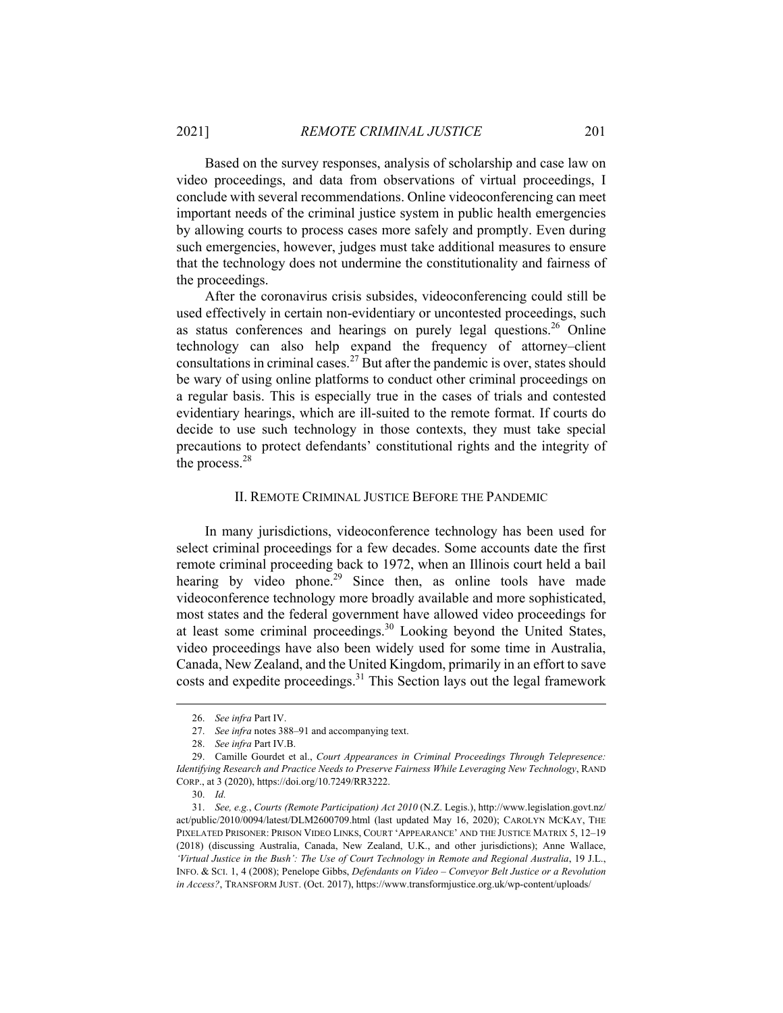Based on the survey responses, analysis of scholarship and case law on video proceedings, and data from observations of virtual proceedings, I conclude with several recommendations. Online videoconferencing can meet important needs of the criminal justice system in public health emergencies by allowing courts to process cases more safely and promptly. Even during such emergencies, however, judges must take additional measures to ensure that the technology does not undermine the constitutionality and fairness of the proceedings.

After the coronavirus crisis subsides, videoconferencing could still be used effectively in certain non-evidentiary or uncontested proceedings, such as status conferences and hearings on purely legal questions.<sup>26</sup> Online technology can also help expand the frequency of attorney–client consultations in criminal cases.<sup>27</sup> But after the pandemic is over, states should be wary of using online platforms to conduct other criminal proceedings on a regular basis. This is especially true in the cases of trials and contested evidentiary hearings, which are ill-suited to the remote format. If courts do decide to use such technology in those contexts, they must take special precautions to protect defendants' constitutional rights and the integrity of the process.<sup>28</sup>

#### II. REMOTE CRIMINAL JUSTICE BEFORE THE PANDEMIC

In many jurisdictions, videoconference technology has been used for select criminal proceedings for a few decades. Some accounts date the first remote criminal proceeding back to 1972, when an Illinois court held a bail hearing by video phone.<sup>29</sup> Since then, as online tools have made videoconference technology more broadly available and more sophisticated, most states and the federal government have allowed video proceedings for at least some criminal proceedings.<sup>30</sup> Looking beyond the United States, video proceedings have also been widely used for some time in Australia, Canada, New Zealand, and the United Kingdom, primarily in an effort to save costs and expedite proceedings.<sup>31</sup> This Section lays out the legal framework

 <sup>26.</sup> *See infra* Part IV.

 <sup>27.</sup> *See infra* notes 388–91 and accompanying text.

 <sup>28.</sup> *See infra* Part IV.B.

 <sup>29.</sup> Camille Gourdet et al., *Court Appearances in Criminal Proceedings Through Telepresence: Identifying Research and Practice Needs to Preserve Fairness While Leveraging New Technology*, RAND CORP., at 3 (2020), https://doi.org/10.7249/RR3222.

 <sup>30.</sup> *Id.*

 <sup>31.</sup> *See, e.g.*, *Courts (Remote Participation) Act 2010* (N.Z. Legis.), http://www.legislation.govt.nz/ act/public/2010/0094/latest/DLM2600709.html (last updated May 16, 2020); CAROLYN MCKAY, THE PIXELATED PRISONER: PRISON VIDEO LINKS, COURT 'APPEARANCE' AND THE JUSTICE MATRIX 5, 12–19 (2018) (discussing Australia, Canada, New Zealand, U.K., and other jurisdictions); Anne Wallace, *'Virtual Justice in the Bush': The Use of Court Technology in Remote and Regional Australia*, 19 J.L., INFO. & SCI. 1, 4 (2008); Penelope Gibbs, *Defendants on Video – Conveyor Belt Justice or a Revolution in Access?*, TRANSFORM JUST. (Oct. 2017), https://www.transformjustice.org.uk/wp-content/uploads/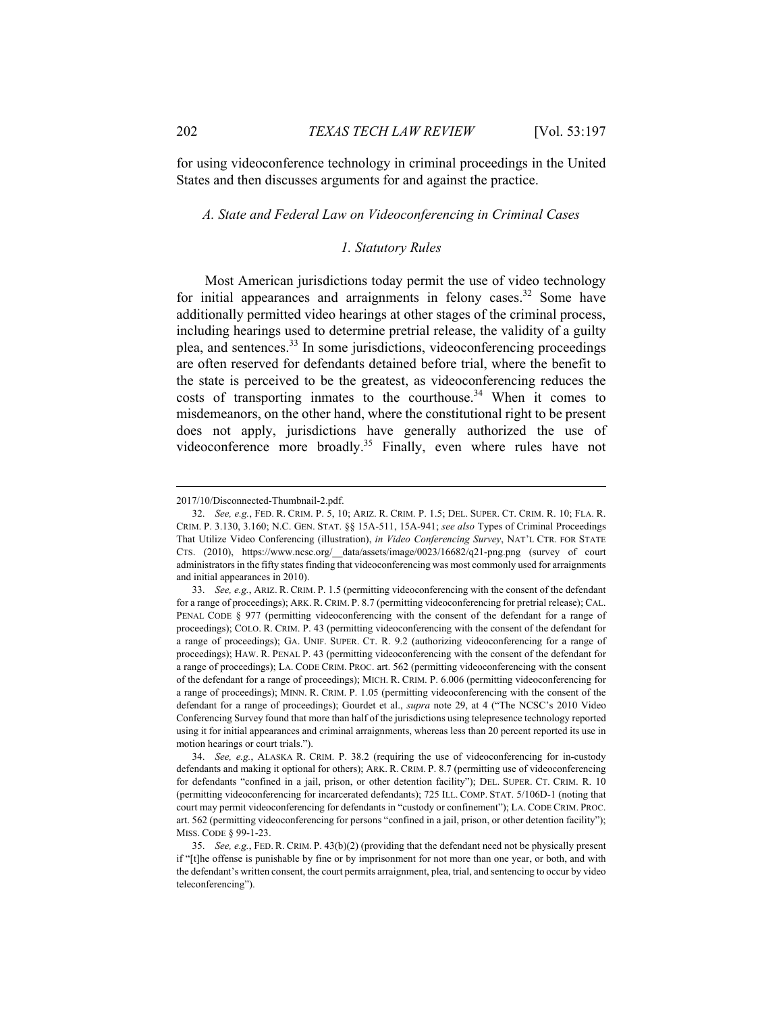for using videoconference technology in criminal proceedings in the United States and then discusses arguments for and against the practice.

#### *A. State and Federal Law on Videoconferencing in Criminal Cases*

#### *1. Statutory Rules*

Most American jurisdictions today permit the use of video technology for initial appearances and arraignments in felony cases.<sup>32</sup> Some have additionally permitted video hearings at other stages of the criminal process, including hearings used to determine pretrial release, the validity of a guilty plea, and sentences.<sup>33</sup> In some jurisdictions, videoconferencing proceedings are often reserved for defendants detained before trial, where the benefit to the state is perceived to be the greatest, as videoconferencing reduces the costs of transporting inmates to the courthouse.<sup>34</sup> When it comes to misdemeanors, on the other hand, where the constitutional right to be present does not apply, jurisdictions have generally authorized the use of videoconference more broadly.<sup>35</sup> Finally, even where rules have not

<sup>2017/10/</sup>Disconnected-Thumbnail-2.pdf.

 <sup>32.</sup> *See, e.g.*, FED. R. CRIM. P. 5, 10; ARIZ. R. CRIM. P. 1.5; DEL. SUPER. CT. CRIM. R. 10; FLA. R. CRIM. P. 3.130, 3.160; N.C. GEN. STAT. §§ 15A-511, 15A-941; *see also* Types of Criminal Proceedings That Utilize Video Conferencing (illustration), *in Video Conferencing Survey*, NAT'L CTR. FOR STATE CTS. (2010), https://www.ncsc.org/\_\_data/assets/image/0023/16682/q21-png.png (survey of court administrators in the fifty states finding that videoconferencing was most commonly used for arraignments and initial appearances in 2010).

 <sup>33.</sup> *See, e.g.*, ARIZ. R. CRIM. P. 1.5 (permitting videoconferencing with the consent of the defendant for a range of proceedings); ARK. R. CRIM. P. 8.7 (permitting videoconferencing for pretrial release); CAL. PENAL CODE § 977 (permitting videoconferencing with the consent of the defendant for a range of proceedings); COLO. R. CRIM. P. 43 (permitting videoconferencing with the consent of the defendant for a range of proceedings); GA. UNIF. SUPER. CT. R. 9.2 (authorizing videoconferencing for a range of proceedings); HAW. R. PENAL P. 43 (permitting videoconferencing with the consent of the defendant for a range of proceedings); LA. CODE CRIM. PROC. art. 562 (permitting videoconferencing with the consent of the defendant for a range of proceedings); MICH. R. CRIM. P. 6.006 (permitting videoconferencing for a range of proceedings); MINN. R. CRIM. P. 1.05 (permitting videoconferencing with the consent of the defendant for a range of proceedings); Gourdet et al., *supra* note 29, at 4 ("The NCSC's 2010 Video Conferencing Survey found that more than half of the jurisdictions using telepresence technology reported using it for initial appearances and criminal arraignments, whereas less than 20 percent reported its use in motion hearings or court trials.").

 <sup>34.</sup> *See, e.g.*, ALASKA R. CRIM. P. 38.2 (requiring the use of videoconferencing for in-custody defendants and making it optional for others); ARK. R. CRIM. P. 8.7 (permitting use of videoconferencing for defendants "confined in a jail, prison, or other detention facility"); DEL. SUPER. CT. CRIM. R. 10 (permitting videoconferencing for incarcerated defendants); 725 ILL. COMP. STAT. 5/106D-1 (noting that court may permit videoconferencing for defendants in "custody or confinement"); LA. CODE CRIM. PROC. art. 562 (permitting videoconferencing for persons "confined in a jail, prison, or other detention facility"); MISS. CODE § 99-1-23.

 <sup>35.</sup> *See, e.g.*, FED. R. CRIM. P. 43(b)(2) (providing that the defendant need not be physically present if "[t]he offense is punishable by fine or by imprisonment for not more than one year, or both, and with the defendant's written consent, the court permits arraignment, plea, trial, and sentencing to occur by video teleconferencing").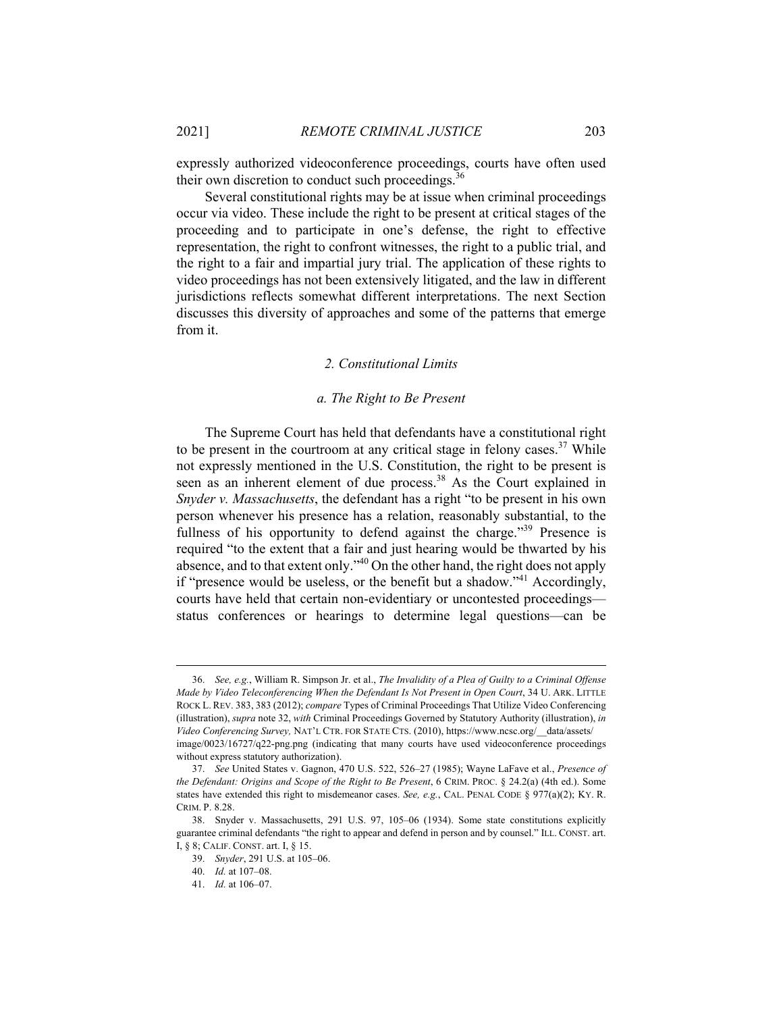expressly authorized videoconference proceedings, courts have often used their own discretion to conduct such proceedings. $36$ 

Several constitutional rights may be at issue when criminal proceedings occur via video. These include the right to be present at critical stages of the proceeding and to participate in one's defense, the right to effective representation, the right to confront witnesses, the right to a public trial, and the right to a fair and impartial jury trial. The application of these rights to video proceedings has not been extensively litigated, and the law in different jurisdictions reflects somewhat different interpretations. The next Section discusses this diversity of approaches and some of the patterns that emerge from it.

#### *2. Constitutional Limits*

#### *a. The Right to Be Present*

The Supreme Court has held that defendants have a constitutional right to be present in the courtroom at any critical stage in felony cases.<sup>37</sup> While not expressly mentioned in the U.S. Constitution, the right to be present is seen as an inherent element of due process.<sup>38</sup> As the Court explained in *Snyder v. Massachusetts*, the defendant has a right "to be present in his own person whenever his presence has a relation, reasonably substantial, to the fullness of his opportunity to defend against the charge."<sup>39</sup> Presence is required "to the extent that a fair and just hearing would be thwarted by his absence, and to that extent only."40 On the other hand, the right does not apply if "presence would be useless, or the benefit but a shadow."<sup>41</sup> Accordingly, courts have held that certain non-evidentiary or uncontested proceedings status conferences or hearings to determine legal questions—can be

 <sup>36.</sup> *See, e.g.*, William R. Simpson Jr. et al., *The Invalidity of a Plea of Guilty to a Criminal Offense Made by Video Teleconferencing When the Defendant Is Not Present in Open Court*, 34 U. ARK. LITTLE ROCK L. REV. 383, 383 (2012); *compare* Types of Criminal Proceedings That Utilize Video Conferencing (illustration), *supra* note 32, *with* Criminal Proceedings Governed by Statutory Authority (illustration), *in Video Conferencing Survey,* NAT'L CTR. FOR STATE CTS. (2010), https://www.ncsc.org/\_\_data/assets/ image/0023/16727/q22-png.png (indicating that many courts have used videoconference proceedings without express statutory authorization).

 <sup>37.</sup> *See* United States v. Gagnon, 470 U.S. 522, 526–27 (1985); Wayne LaFave et al., *Presence of the Defendant: Origins and Scope of the Right to Be Present*, 6 CRIM. PROC. § 24.2(a) (4th ed.). Some states have extended this right to misdemeanor cases. *See, e.g.*, CAL. PENAL CODE § 977(a)(2); KY. R. CRIM. P. 8.28.

 <sup>38.</sup> Snyder v. Massachusetts, 291 U.S. 97, 105–06 (1934). Some state constitutions explicitly guarantee criminal defendants "the right to appear and defend in person and by counsel." ILL. CONST. art. I, § 8; CALIF. CONST. art. I, § 15.

 <sup>39.</sup> *Snyder*, 291 U.S. at 105–06.

 <sup>40.</sup> *Id.* at 107–08.

 <sup>41.</sup> *Id.* at 106–07.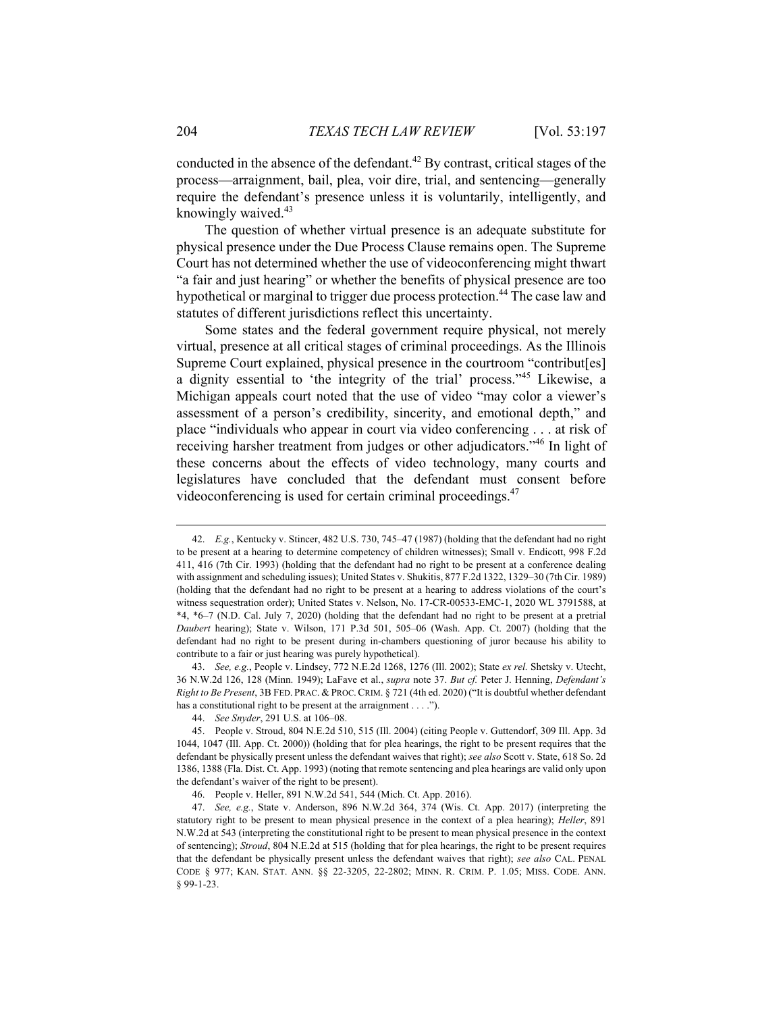conducted in the absence of the defendant.<sup>42</sup> By contrast, critical stages of the process—arraignment, bail, plea, voir dire, trial, and sentencing—generally require the defendant's presence unless it is voluntarily, intelligently, and knowingly waived.43

The question of whether virtual presence is an adequate substitute for physical presence under the Due Process Clause remains open. The Supreme Court has not determined whether the use of videoconferencing might thwart "a fair and just hearing" or whether the benefits of physical presence are too hypothetical or marginal to trigger due process protection.<sup>44</sup> The case law and statutes of different jurisdictions reflect this uncertainty.

Some states and the federal government require physical, not merely virtual, presence at all critical stages of criminal proceedings. As the Illinois Supreme Court explained, physical presence in the courtroom "contribut[es] a dignity essential to 'the integrity of the trial' process."45 Likewise, a Michigan appeals court noted that the use of video "may color a viewer's assessment of a person's credibility, sincerity, and emotional depth," and place "individuals who appear in court via video conferencing . . . at risk of receiving harsher treatment from judges or other adjudicators."46 In light of these concerns about the effects of video technology, many courts and legislatures have concluded that the defendant must consent before videoconferencing is used for certain criminal proceedings.<sup>47</sup>

 <sup>42.</sup> *E.g.*, Kentucky v. Stincer, 482 U.S. 730, 745–47 (1987) (holding that the defendant had no right to be present at a hearing to determine competency of children witnesses); Small v. Endicott, 998 F.2d 411, 416 (7th Cir. 1993) (holding that the defendant had no right to be present at a conference dealing with assignment and scheduling issues); United States v. Shukitis, 877 F.2d 1322, 1329–30 (7th Cir. 1989) (holding that the defendant had no right to be present at a hearing to address violations of the court's witness sequestration order); United States v. Nelson, No. 17-CR-00533-EMC-1, 2020 WL 3791588, at \*4, \*6–7 (N.D. Cal. July 7, 2020) (holding that the defendant had no right to be present at a pretrial *Daubert* hearing); State v. Wilson, 171 P.3d 501, 505–06 (Wash. App. Ct. 2007) (holding that the defendant had no right to be present during in-chambers questioning of juror because his ability to contribute to a fair or just hearing was purely hypothetical).

 <sup>43.</sup> *See, e.g.*, People v. Lindsey, 772 N.E.2d 1268, 1276 (Ill. 2002); State *ex rel.* Shetsky v. Utecht, 36 N.W.2d 126, 128 (Minn. 1949); LaFave et al., *supra* note 37. *But cf.* Peter J. Henning, *Defendant's Right to Be Present*, 3B FED. PRAC. & PROC.CRIM. § 721 (4th ed. 2020) ("It is doubtful whether defendant has a constitutional right to be present at the arraignment . . . .").

 <sup>44.</sup> *See Snyder*, 291 U.S. at 106–08.

 <sup>45.</sup> People v. Stroud, 804 N.E.2d 510, 515 (Ill. 2004) (citing People v. Guttendorf, 309 Ill. App. 3d 1044, 1047 (Ill. App. Ct. 2000)) (holding that for plea hearings, the right to be present requires that the defendant be physically present unless the defendant waives that right); *see also* Scott v. State, 618 So. 2d 1386, 1388 (Fla. Dist. Ct. App. 1993) (noting that remote sentencing and plea hearings are valid only upon the defendant's waiver of the right to be present).

 <sup>46.</sup> People v. Heller, 891 N.W.2d 541, 544 (Mich. Ct. App. 2016).

 <sup>47.</sup> *See, e.g.*, State v. Anderson, 896 N.W.2d 364, 374 (Wis. Ct. App. 2017) (interpreting the statutory right to be present to mean physical presence in the context of a plea hearing); *Heller*, 891 N.W.2d at 543 (interpreting the constitutional right to be present to mean physical presence in the context of sentencing); *Stroud*, 804 N.E.2d at 515 (holding that for plea hearings, the right to be present requires that the defendant be physically present unless the defendant waives that right); *see also* CAL. PENAL CODE § 977; KAN. STAT. ANN. §§ 22-3205, 22-2802; MINN. R. CRIM. P. 1.05; MISS. CODE. ANN. § 99-1-23.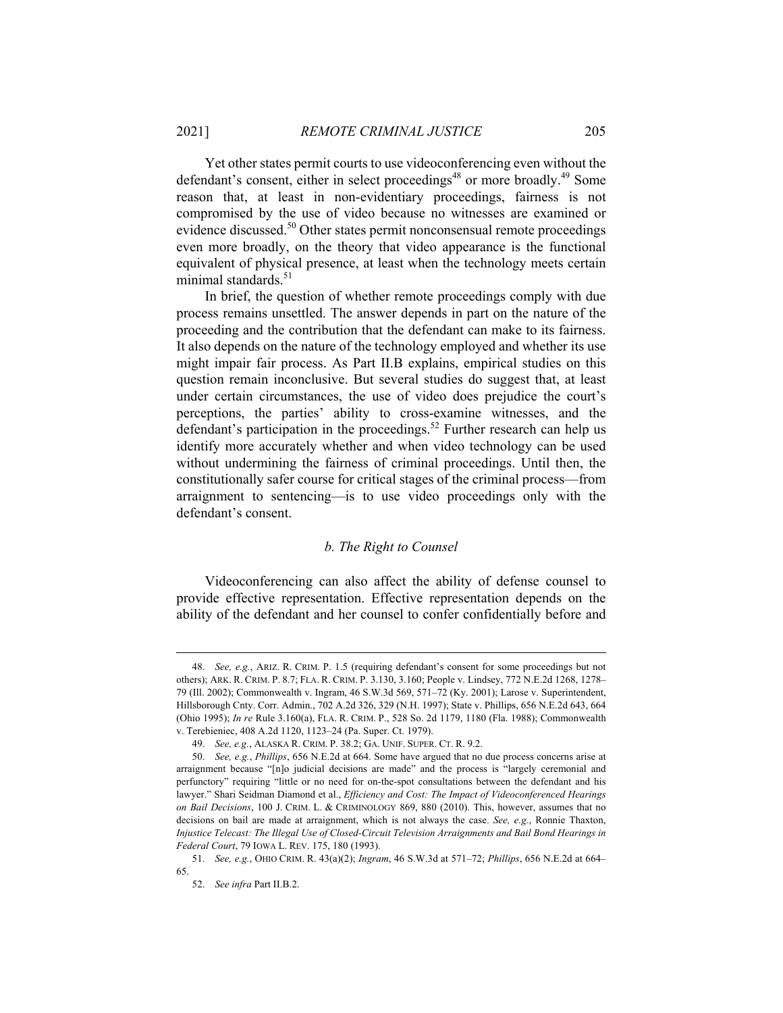Yet other states permit courts to use videoconferencing even without the defendant's consent, either in select proceedings<sup>48</sup> or more broadly.<sup>49</sup> Some reason that, at least in non-evidentiary proceedings, fairness is not compromised by the use of video because no witnesses are examined or evidence discussed.<sup>50</sup> Other states permit nonconsensual remote proceedings even more broadly, on the theory that video appearance is the functional equivalent of physical presence, at least when the technology meets certain minimal standards.<sup>51</sup>

In brief, the question of whether remote proceedings comply with due process remains unsettled. The answer depends in part on the nature of the proceeding and the contribution that the defendant can make to its fairness. It also depends on the nature of the technology employed and whether its use might impair fair process. As Part II.B explains, empirical studies on this question remain inconclusive. But several studies do suggest that, at least under certain circumstances, the use of video does prejudice the court's perceptions, the parties' ability to cross-examine witnesses, and the defendant's participation in the proceedings.<sup>52</sup> Further research can help us identify more accurately whether and when video technology can be used without undermining the fairness of criminal proceedings. Until then, the constitutionally safer course for critical stages of the criminal process—from arraignment to sentencing—is to use video proceedings only with the defendant's consent.

#### *b. The Right to Counsel*

Videoconferencing can also affect the ability of defense counsel to provide effective representation. Effective representation depends on the ability of the defendant and her counsel to confer confidentially before and

 <sup>48.</sup> *See, e.g.*, ARIZ. R. CRIM. P. 1.5 (requiring defendant's consent for some proceedings but not others); ARK. R. CRIM. P. 8.7; FLA. R. CRIM. P. 3.130, 3.160; People v. Lindsey, 772 N.E.2d 1268, 1278– 79 (Ill. 2002); Commonwealth v. Ingram, 46 S.W.3d 569, 571–72 (Ky. 2001); Larose v. Superintendent, Hillsborough Cnty. Corr. Admin., 702 A.2d 326, 329 (N.H. 1997); State v. Phillips, 656 N.E.2d 643, 664 (Ohio 1995); *In re* Rule 3.160(a), FLA. R. CRIM. P., 528 So. 2d 1179, 1180 (Fla. 1988); Commonwealth v. Terebieniec, 408 A.2d 1120, 1123–24 (Pa. Super. Ct. 1979).

 <sup>49.</sup> *See, e.g.*, ALASKA R. CRIM. P. 38.2; GA. UNIF. SUPER. CT. R. 9.2.

 <sup>50.</sup> *See, e.g.*, *Phillips*, 656 N.E.2d at 664. Some have argued that no due process concerns arise at arraignment because "[n]o judicial decisions are made" and the process is "largely ceremonial and perfunctory" requiring "little or no need for on-the-spot consultations between the defendant and his lawyer." Shari Seidman Diamond et al., *Efficiency and Cost: The Impact of Videoconferenced Hearings on Bail Decisions*, 100 J. CRIM. L. & CRIMINOLOGY 869, 880 (2010). This, however, assumes that no decisions on bail are made at arraignment, which is not always the case. *See, e.g.*, Ronnie Thaxton, *Injustice Telecast: The Illegal Use of Closed-Circuit Television Arraignments and Bail Bond Hearings in Federal Court*, 79 IOWA L. REV. 175, 180 (1993).

 <sup>51.</sup> *See, e.g.*, OHIO CRIM. R. 43(a)(2); *Ingram*, 46 S.W.3d at 571–72; *Phillips*, 656 N.E.2d at 664– 65.

 <sup>52.</sup> *See infra* Part II.B.2.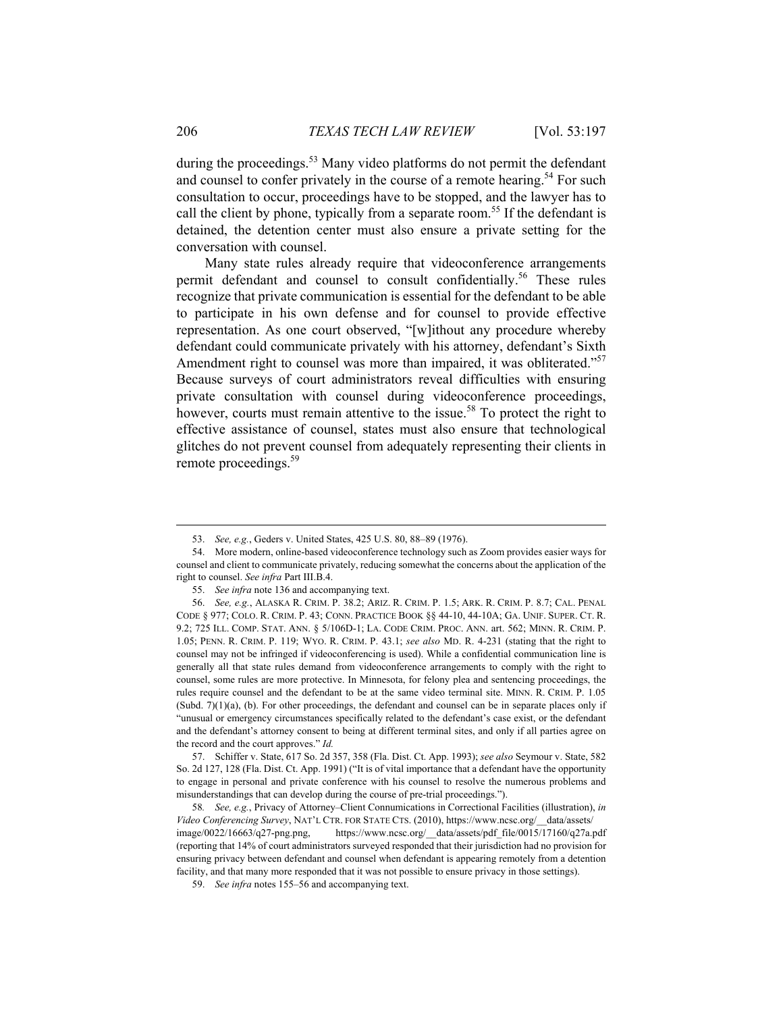during the proceedings.<sup>53</sup> Many video platforms do not permit the defendant and counsel to confer privately in the course of a remote hearing.<sup>54</sup> For such consultation to occur, proceedings have to be stopped, and the lawyer has to call the client by phone, typically from a separate room.<sup>55</sup> If the defendant is detained, the detention center must also ensure a private setting for the conversation with counsel.

Many state rules already require that videoconference arrangements permit defendant and counsel to consult confidentially.<sup>56</sup> These rules recognize that private communication is essential for the defendant to be able to participate in his own defense and for counsel to provide effective representation. As one court observed, "[w]ithout any procedure whereby defendant could communicate privately with his attorney, defendant's Sixth Amendment right to counsel was more than impaired, it was obliterated."<sup>57</sup> Because surveys of court administrators reveal difficulties with ensuring private consultation with counsel during videoconference proceedings, however, courts must remain attentive to the issue.<sup>58</sup> To protect the right to effective assistance of counsel, states must also ensure that technological glitches do not prevent counsel from adequately representing their clients in remote proceedings.<sup>59</sup>

 57. Schiffer v. State, 617 So. 2d 357, 358 (Fla. Dist. Ct. App. 1993); *see also* Seymour v. State, 582 So. 2d 127, 128 (Fla. Dist. Ct. App. 1991) ("It is of vital importance that a defendant have the opportunity to engage in personal and private conference with his counsel to resolve the numerous problems and misunderstandings that can develop during the course of pre-trial proceedings.").

58*. See, e.g.*, Privacy of Attorney–Client Connumications in Correctional Facilities (illustration), *in Video Conferencing Survey*, NAT'L CTR. FOR STATE CTS. (2010), https://www.ncsc.org/\_\_data/assets/ image/0022/16663/q27-png.png, https://www.ncsc.org/\_\_data/assets/pdf\_file/0015/17160/q27a.pdf (reporting that 14% of court administrators surveyed responded that their jurisdiction had no provision for ensuring privacy between defendant and counsel when defendant is appearing remotely from a detention facility, and that many more responded that it was not possible to ensure privacy in those settings).

 <sup>53.</sup> *See, e.g.*, Geders v. United States, 425 U.S. 80, 88–89 (1976).

 <sup>54.</sup> More modern, online-based videoconference technology such as Zoom provides easier ways for counsel and client to communicate privately, reducing somewhat the concerns about the application of the right to counsel. *See infra* Part III.B.4.

 <sup>55.</sup> *See infra* note 136 and accompanying text.

 <sup>56.</sup> *See, e.g.*, ALASKA R. CRIM. P. 38.2; ARIZ. R. CRIM. P. 1.5; ARK. R. CRIM. P. 8.7; CAL. PENAL CODE § 977; COLO. R. CRIM. P. 43; CONN. PRACTICE BOOK §§ 44-10, 44-10A; GA. UNIF. SUPER. CT. R. 9.2; 725 ILL. COMP. STAT. ANN. § 5/106D-1; LA. CODE CRIM. PROC. ANN. art. 562; MINN. R. CRIM. P. 1.05; PENN. R. CRIM. P. 119; WYO. R. CRIM. P. 43.1; *see also* MD. R. 4-231 (stating that the right to counsel may not be infringed if videoconferencing is used). While a confidential communication line is generally all that state rules demand from videoconference arrangements to comply with the right to counsel, some rules are more protective. In Minnesota, for felony plea and sentencing proceedings, the rules require counsel and the defendant to be at the same video terminal site. MINN. R. CRIM. P. 1.05  $(Subd. 7)(1)(a)$ , (b). For other proceedings, the defendant and counsel can be in separate places only if "unusual or emergency circumstances specifically related to the defendant's case exist, or the defendant and the defendant's attorney consent to being at different terminal sites, and only if all parties agree on the record and the court approves." *Id.*

 <sup>59.</sup> *See infra* notes 155–56 and accompanying text.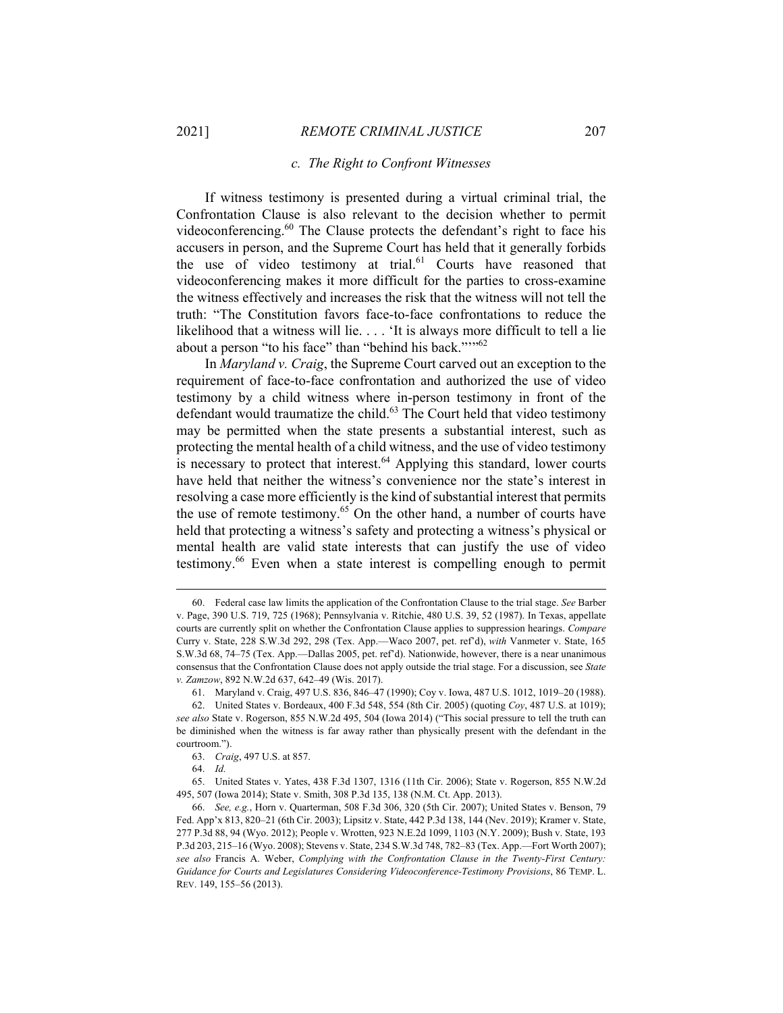#### *c. The Right to Confront Witnesses*

If witness testimony is presented during a virtual criminal trial, the Confrontation Clause is also relevant to the decision whether to permit videoconferencing.<sup>60</sup> The Clause protects the defendant's right to face his accusers in person, and the Supreme Court has held that it generally forbids the use of video testimony at trial.<sup>61</sup> Courts have reasoned that videoconferencing makes it more difficult for the parties to cross-examine the witness effectively and increases the risk that the witness will not tell the truth: "The Constitution favors face-to-face confrontations to reduce the likelihood that a witness will lie. . . . 'It is always more difficult to tell a lie about a person "to his face" than "behind his back.""<sup>62</sup>

In *Maryland v. Craig*, the Supreme Court carved out an exception to the requirement of face-to-face confrontation and authorized the use of video testimony by a child witness where in-person testimony in front of the defendant would traumatize the child.<sup>63</sup> The Court held that video testimony may be permitted when the state presents a substantial interest, such as protecting the mental health of a child witness, and the use of video testimony is necessary to protect that interest. $64$  Applying this standard, lower courts have held that neither the witness's convenience nor the state's interest in resolving a case more efficiently is the kind of substantial interest that permits the use of remote testimony.<sup>65</sup> On the other hand, a number of courts have held that protecting a witness's safety and protecting a witness's physical or mental health are valid state interests that can justify the use of video testimony.66 Even when a state interest is compelling enough to permit

 <sup>60.</sup> Federal case law limits the application of the Confrontation Clause to the trial stage. *See* Barber v. Page, 390 U.S. 719, 725 (1968); Pennsylvania v. Ritchie, 480 U.S. 39, 52 (1987). In Texas, appellate courts are currently split on whether the Confrontation Clause applies to suppression hearings. *Compare* Curry v. State, 228 S.W.3d 292, 298 (Tex. App.—Waco 2007, pet. ref'd), *with* Vanmeter v. State, 165 S.W.3d 68, 74–75 (Tex. App.—Dallas 2005, pet. ref'd). Nationwide, however, there is a near unanimous consensus that the Confrontation Clause does not apply outside the trial stage. For a discussion, see *State v. Zamzow*, 892 N.W.2d 637, 642–49 (Wis. 2017).

 <sup>61.</sup> Maryland v. Craig, 497 U.S. 836, 846–47 (1990); Coy v. Iowa, 487 U.S. 1012, 1019–20 (1988).

 <sup>62.</sup> United States v. Bordeaux, 400 F.3d 548, 554 (8th Cir. 2005) (quoting *Coy*, 487 U.S. at 1019); *see also* State v. Rogerson, 855 N.W.2d 495, 504 (Iowa 2014) ("This social pressure to tell the truth can be diminished when the witness is far away rather than physically present with the defendant in the courtroom.").

 <sup>63.</sup> *Craig*, 497 U.S. at 857.

 <sup>64.</sup> *Id.*

 <sup>65.</sup> United States v. Yates, 438 F.3d 1307, 1316 (11th Cir. 2006); State v. Rogerson, 855 N.W.2d 495, 507 (Iowa 2014); State v. Smith, 308 P.3d 135, 138 (N.M. Ct. App. 2013).

 <sup>66.</sup> *See, e.g.*, Horn v. Quarterman, 508 F.3d 306, 320 (5th Cir. 2007); United States v. Benson, 79 Fed. App'x 813, 820–21 (6th Cir. 2003); Lipsitz v. State, 442 P.3d 138, 144 (Nev. 2019); Kramer v. State, 277 P.3d 88, 94 (Wyo. 2012); People v. Wrotten, 923 N.E.2d 1099, 1103 (N.Y. 2009); Bush v. State, 193 P.3d 203, 215–16 (Wyo. 2008); Stevens v. State, 234 S.W.3d 748, 782–83 (Tex. App.—Fort Worth 2007); *see also* Francis A. Weber, *Complying with the Confrontation Clause in the Twenty-First Century: Guidance for Courts and Legislatures Considering Videoconference-Testimony Provisions*, 86 TEMP. L. REV. 149, 155–56 (2013).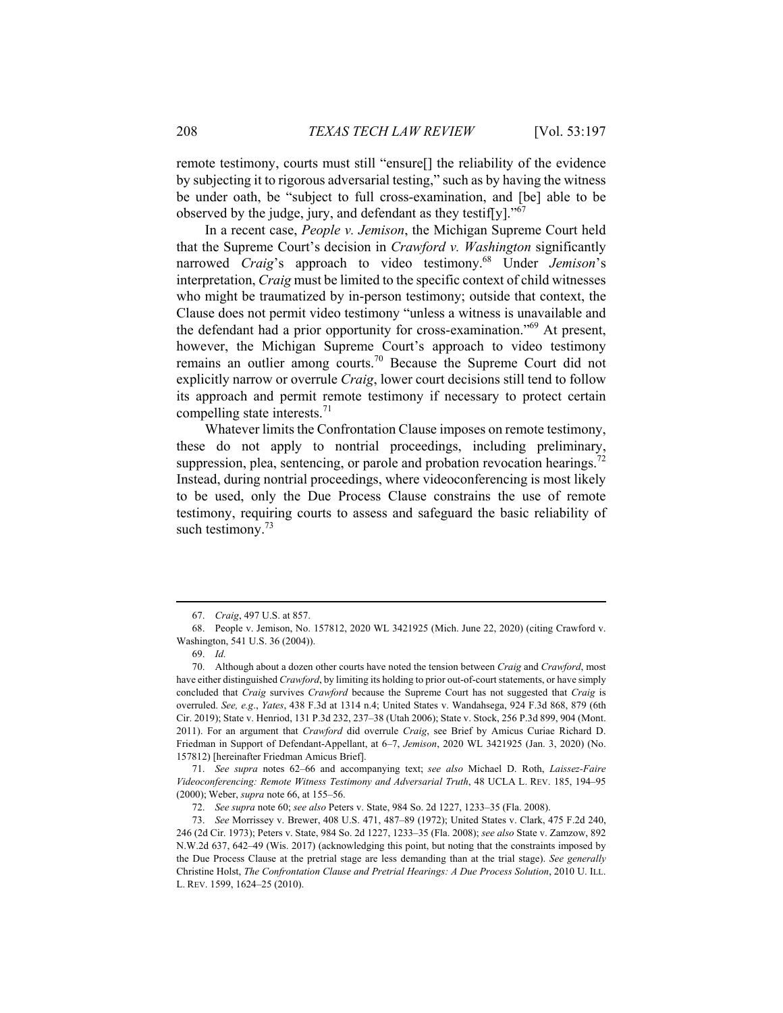remote testimony, courts must still "ensure[] the reliability of the evidence by subjecting it to rigorous adversarial testing," such as by having the witness be under oath, be "subject to full cross-examination, and [be] able to be observed by the judge, jury, and defendant as they testiffy]."<sup>67</sup>

In a recent case, *People v. Jemison*, the Michigan Supreme Court held that the Supreme Court's decision in *Crawford v. Washington* significantly narrowed *Craig*'s approach to video testimony.68 Under *Jemison*'s interpretation, *Craig* must be limited to the specific context of child witnesses who might be traumatized by in-person testimony; outside that context, the Clause does not permit video testimony "unless a witness is unavailable and the defendant had a prior opportunity for cross-examination."69 At present, however, the Michigan Supreme Court's approach to video testimony remains an outlier among courts.70 Because the Supreme Court did not explicitly narrow or overrule *Craig*, lower court decisions still tend to follow its approach and permit remote testimony if necessary to protect certain compelling state interests. $71$ 

Whatever limits the Confrontation Clause imposes on remote testimony, these do not apply to nontrial proceedings, including preliminary, suppression, plea, sentencing, or parole and probation revocation hearings.<sup>72</sup> Instead, during nontrial proceedings, where videoconferencing is most likely to be used, only the Due Process Clause constrains the use of remote testimony, requiring courts to assess and safeguard the basic reliability of such testimony. $73$ 

 <sup>67.</sup> *Craig*, 497 U.S. at 857.

 <sup>68.</sup> People v. Jemison, No. 157812, 2020 WL 3421925 (Mich. June 22, 2020) (citing Crawford v. Washington, 541 U.S. 36 (2004)).

 <sup>69.</sup> *Id.*

 <sup>70.</sup> Although about a dozen other courts have noted the tension between *Craig* and *Crawford*, most have either distinguished *Crawford*, by limiting its holding to prior out-of-court statements, or have simply concluded that *Craig* survives *Crawford* because the Supreme Court has not suggested that *Craig* is overruled. *See, e.g*., *Yates*, 438 F.3d at 1314 n.4; United States v. Wandahsega, 924 F.3d 868, 879 (6th Cir. 2019); State v. Henriod, 131 P.3d 232, 237–38 (Utah 2006); State v. Stock, 256 P.3d 899, 904 (Mont. 2011). For an argument that *Crawford* did overrule *Craig*, see Brief by Amicus Curiae Richard D. Friedman in Support of Defendant-Appellant, at 6–7, *Jemison*, 2020 WL 3421925 (Jan. 3, 2020) (No. 157812) [hereinafter Friedman Amicus Brief].

 <sup>71.</sup> *See supra* notes 62–66 and accompanying text; *see also* Michael D. Roth, *Laissez-Faire Videoconferencing: Remote Witness Testimony and Adversarial Truth*, 48 UCLA L. REV. 185, 194–95 (2000); Weber, *supra* note 66, at 155–56.

 <sup>72.</sup> *See supra* note 60; *see also* Peters v. State, 984 So. 2d 1227, 1233–35 (Fla. 2008).

 <sup>73.</sup> *See* Morrissey v. Brewer, 408 U.S. 471, 487–89 (1972); United States v. Clark, 475 F.2d 240, 246 (2d Cir. 1973); Peters v. State, 984 So. 2d 1227, 1233–35 (Fla. 2008); *see also* State v. Zamzow, 892 N.W.2d 637, 642–49 (Wis. 2017) (acknowledging this point, but noting that the constraints imposed by the Due Process Clause at the pretrial stage are less demanding than at the trial stage). *See generally* Christine Holst, *The Confrontation Clause and Pretrial Hearings: A Due Process Solution*, 2010 U. ILL. L. REV. 1599, 1624–25 (2010).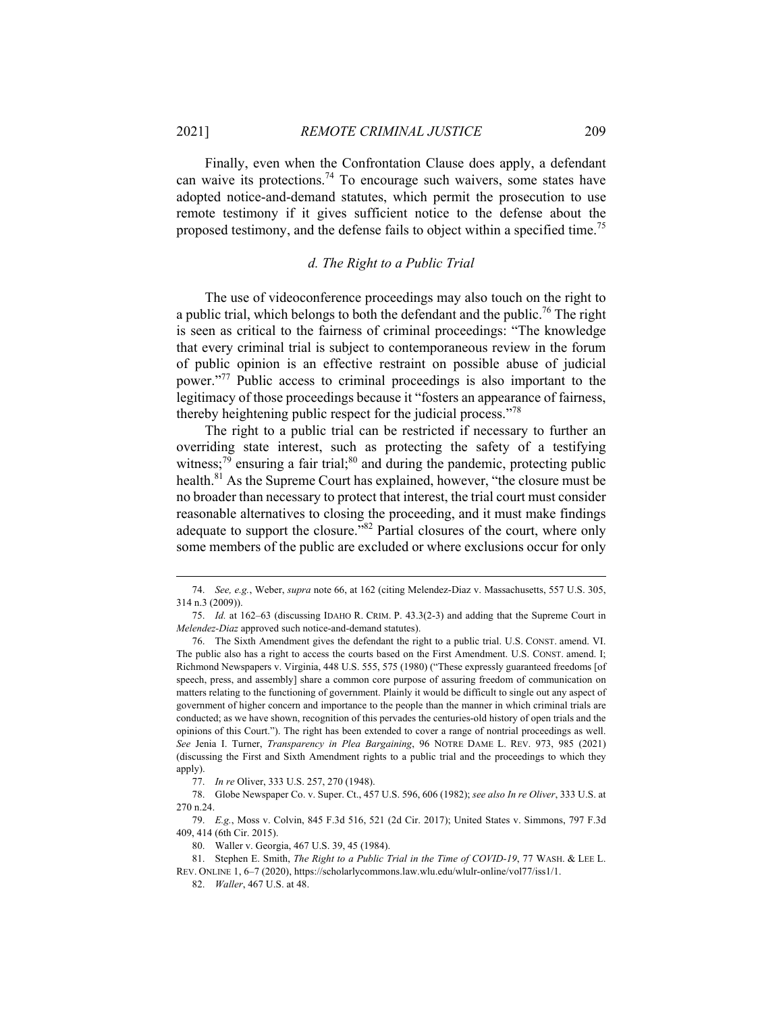$\overline{a}$ 

Finally, even when the Confrontation Clause does apply, a defendant can waive its protections.<sup>74</sup> To encourage such waivers, some states have adopted notice-and-demand statutes, which permit the prosecution to use remote testimony if it gives sufficient notice to the defense about the proposed testimony, and the defense fails to object within a specified time.<sup>75</sup>

#### *d. The Right to a Public Trial*

The use of videoconference proceedings may also touch on the right to a public trial, which belongs to both the defendant and the public.<sup>76</sup> The right is seen as critical to the fairness of criminal proceedings: "The knowledge that every criminal trial is subject to contemporaneous review in the forum of public opinion is an effective restraint on possible abuse of judicial power."77 Public access to criminal proceedings is also important to the legitimacy of those proceedings because it "fosters an appearance of fairness, thereby heightening public respect for the judicial process."<sup>78</sup>

The right to a public trial can be restricted if necessary to further an overriding state interest, such as protecting the safety of a testifying witness; $\frac{79}{9}$  ensuring a fair trial;<sup>80</sup> and during the pandemic, protecting public health.<sup>81</sup> As the Supreme Court has explained, however, "the closure must be no broader than necessary to protect that interest, the trial court must consider reasonable alternatives to closing the proceeding, and it must make findings adequate to support the closure."<sup>82</sup> Partial closures of the court, where only some members of the public are excluded or where exclusions occur for only

 <sup>74.</sup> *See, e.g.*, Weber, *supra* note 66, at 162 (citing Melendez-Diaz v. Massachusetts, 557 U.S. 305, 314 n.3 (2009)).

 <sup>75.</sup> *Id.* at 162–63 (discussing IDAHO R. CRIM. P. 43.3(2-3) and adding that the Supreme Court in *Melendez-Diaz* approved such notice-and-demand statutes).

 <sup>76.</sup> The Sixth Amendment gives the defendant the right to a public trial. U.S. CONST. amend. VI. The public also has a right to access the courts based on the First Amendment. U.S. CONST. amend. I; Richmond Newspapers v. Virginia, 448 U.S. 555, 575 (1980) ("These expressly guaranteed freedoms [of speech, press, and assembly] share a common core purpose of assuring freedom of communication on matters relating to the functioning of government. Plainly it would be difficult to single out any aspect of government of higher concern and importance to the people than the manner in which criminal trials are conducted; as we have shown, recognition of this pervades the centuries-old history of open trials and the opinions of this Court."). The right has been extended to cover a range of nontrial proceedings as well. *See* Jenia I. Turner, *Transparency in Plea Bargaining*, 96 NOTRE DAME L. REV. 973, 985 (2021) (discussing the First and Sixth Amendment rights to a public trial and the proceedings to which they apply).

 <sup>77.</sup> *In re* Oliver, 333 U.S. 257, 270 (1948).

 <sup>78.</sup> Globe Newspaper Co. v. Super. Ct., 457 U.S. 596, 606 (1982); *see also In re Oliver*, 333 U.S. at 270 n.24.

 <sup>79.</sup> *E.g.*, Moss v. Colvin, 845 F.3d 516, 521 (2d Cir. 2017); United States v. Simmons, 797 F.3d 409, 414 (6th Cir. 2015).

 <sup>80.</sup> Waller v. Georgia, 467 U.S. 39, 45 (1984).

 <sup>81.</sup> Stephen E. Smith, *The Right to a Public Trial in the Time of COVID-19*, 77 WASH. & LEE L. REV. ONLINE 1, 6–7 (2020), https://scholarlycommons.law.wlu.edu/wlulr-online/vol77/iss1/1.

 <sup>82.</sup> *Waller*, 467 U.S. at 48.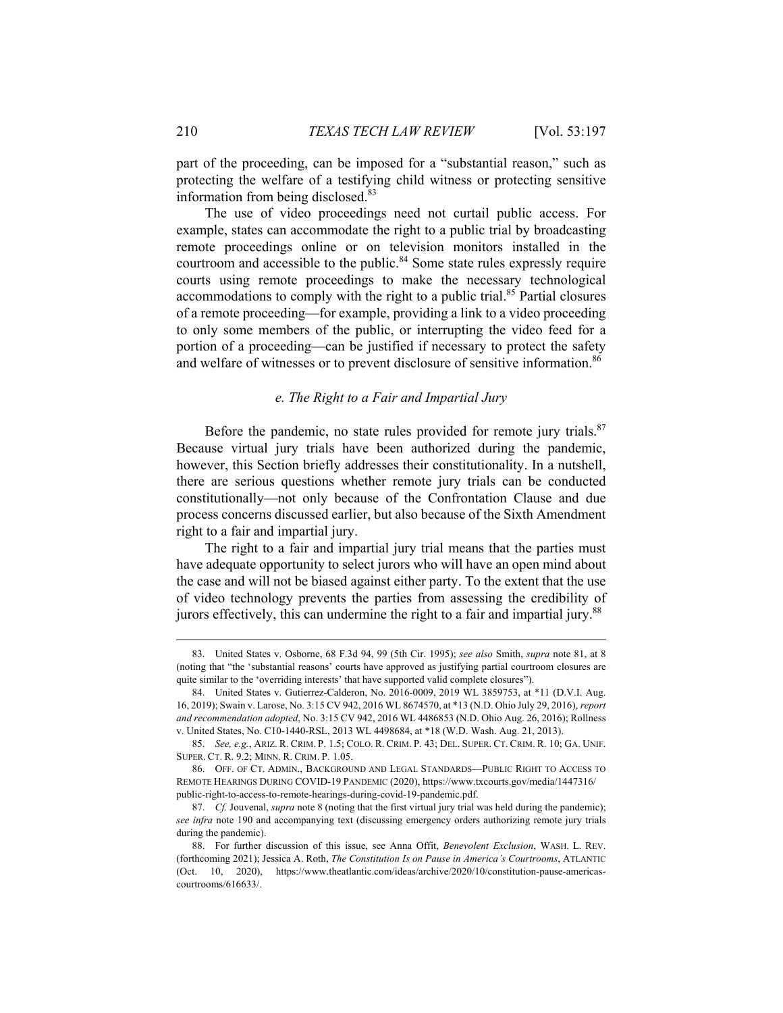part of the proceeding, can be imposed for a "substantial reason," such as protecting the welfare of a testifying child witness or protecting sensitive information from being disclosed.<sup>83</sup>

The use of video proceedings need not curtail public access. For example, states can accommodate the right to a public trial by broadcasting remote proceedings online or on television monitors installed in the courtroom and accessible to the public.<sup>84</sup> Some state rules expressly require courts using remote proceedings to make the necessary technological accommodations to comply with the right to a public trial.<sup>85</sup> Partial closures of a remote proceeding—for example, providing a link to a video proceeding to only some members of the public, or interrupting the video feed for a portion of a proceeding—can be justified if necessary to protect the safety and welfare of witnesses or to prevent disclosure of sensitive information.<sup>86</sup>

#### *e. The Right to a Fair and Impartial Jury*

Before the pandemic, no state rules provided for remote jury trials.<sup>87</sup> Because virtual jury trials have been authorized during the pandemic, however, this Section briefly addresses their constitutionality. In a nutshell, there are serious questions whether remote jury trials can be conducted constitutionally—not only because of the Confrontation Clause and due process concerns discussed earlier, but also because of the Sixth Amendment right to a fair and impartial jury.

The right to a fair and impartial jury trial means that the parties must have adequate opportunity to select jurors who will have an open mind about the case and will not be biased against either party. To the extent that the use of video technology prevents the parties from assessing the credibility of jurors effectively, this can undermine the right to a fair and impartial jury.<sup>88</sup>

 <sup>83.</sup> United States v. Osborne, 68 F.3d 94, 99 (5th Cir. 1995); *see also* Smith, *supra* note 81, at 8 (noting that "the 'substantial reasons' courts have approved as justifying partial courtroom closures are quite similar to the 'overriding interests' that have supported valid complete closures").

 <sup>84.</sup> United States v. Gutierrez-Calderon, No. 2016-0009, 2019 WL 3859753, at \*11 (D.V.I. Aug. 16, 2019); Swain v. Larose, No. 3:15 CV 942, 2016 WL 8674570, at \*13 (N.D. Ohio July 29, 2016), *report and recommendation adopted*, No. 3:15 CV 942, 2016 WL 4486853 (N.D. Ohio Aug. 26, 2016); Rollness v. United States, No. C10-1440-RSL, 2013 WL 4498684, at \*18 (W.D. Wash. Aug. 21, 2013).

 <sup>85.</sup> *See, e.g.*, ARIZ. R. CRIM. P. 1.5; COLO. R. CRIM. P. 43; DEL. SUPER. CT. CRIM. R. 10; GA. UNIF. SUPER. CT. R. 9.2; MINN. R. CRIM. P. 1.05.

 <sup>86.</sup> OFF. OF CT. ADMIN., BACKGROUND AND LEGAL STANDARDS—PUBLIC RIGHT TO ACCESS TO REMOTE HEARINGS DURING COVID-19 PANDEMIC (2020), https://www.txcourts.gov/media/1447316/ public-right-to-access-to-remote-hearings-during-covid-19-pandemic.pdf.

 <sup>87.</sup> *Cf.* Jouvenal, *supra* note 8 (noting that the first virtual jury trial was held during the pandemic); *see infra* note 190 and accompanying text (discussing emergency orders authorizing remote jury trials during the pandemic).

 <sup>88.</sup> For further discussion of this issue, see Anna Offit, *Benevolent Exclusion*, WASH. L. REV. (forthcoming 2021); Jessica A. Roth, *The Constitution Is on Pause in America's Courtrooms*, ATLANTIC (Oct. 10, 2020), https://www.theatlantic.com/ideas/archive/2020/10/constitution-pause-americascourtrooms/616633/.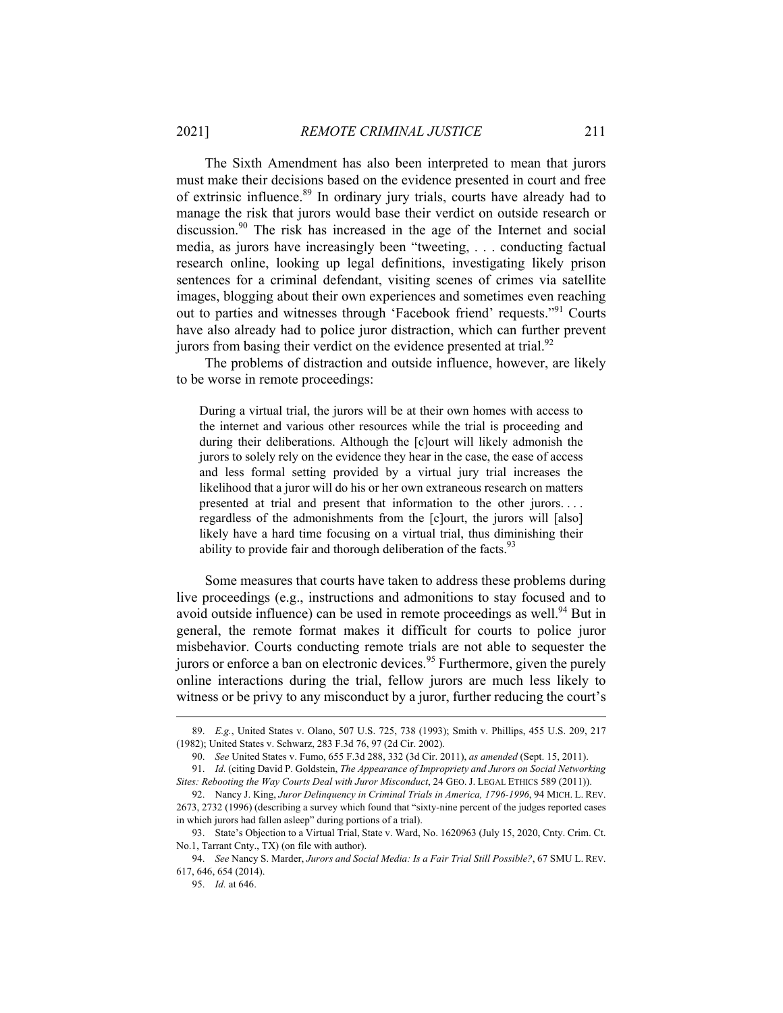The Sixth Amendment has also been interpreted to mean that jurors must make their decisions based on the evidence presented in court and free of extrinsic influence.<sup>89</sup> In ordinary jury trials, courts have already had to manage the risk that jurors would base their verdict on outside research or discussion.<sup>90</sup> The risk has increased in the age of the Internet and social media, as jurors have increasingly been "tweeting, . . . conducting factual research online, looking up legal definitions, investigating likely prison sentences for a criminal defendant, visiting scenes of crimes via satellite images, blogging about their own experiences and sometimes even reaching out to parties and witnesses through 'Facebook friend' requests."91 Courts have also already had to police juror distraction, which can further prevent jurors from basing their verdict on the evidence presented at trial.<sup>92</sup>

The problems of distraction and outside influence, however, are likely to be worse in remote proceedings:

During a virtual trial, the jurors will be at their own homes with access to the internet and various other resources while the trial is proceeding and during their deliberations. Although the [c]ourt will likely admonish the jurors to solely rely on the evidence they hear in the case, the ease of access and less formal setting provided by a virtual jury trial increases the likelihood that a juror will do his or her own extraneous research on matters presented at trial and present that information to the other jurors. . . . regardless of the admonishments from the [c]ourt, the jurors will [also] likely have a hard time focusing on a virtual trial, thus diminishing their ability to provide fair and thorough deliberation of the facts. $93$ 

Some measures that courts have taken to address these problems during live proceedings (e.g., instructions and admonitions to stay focused and to avoid outside influence) can be used in remote proceedings as well.<sup>94</sup> But in general, the remote format makes it difficult for courts to police juror misbehavior. Courts conducting remote trials are not able to sequester the jurors or enforce a ban on electronic devices.<sup>95</sup> Furthermore, given the purely online interactions during the trial, fellow jurors are much less likely to witness or be privy to any misconduct by a juror, further reducing the court's

 <sup>89.</sup> *E.g.*, United States v. Olano, 507 U.S. 725, 738 (1993); Smith v. Phillips, 455 U.S. 209, 217 (1982); United States v. Schwarz, 283 F.3d 76, 97 (2d Cir. 2002).

 <sup>90.</sup> *See* United States v. Fumo, 655 F.3d 288, 332 (3d Cir. 2011), *as amended* (Sept. 15, 2011).

 <sup>91.</sup> *Id.* (citing David P. Goldstein, *The Appearance of Impropriety and Jurors on Social Networking Sites: Rebooting the Way Courts Deal with Juror Misconduct*, 24 GEO. J. LEGAL ETHICS 589 (2011)).

 <sup>92.</sup> Nancy J. King, *Juror Delinquency in Criminal Trials in America, 1796-1996*, 94 MICH. L. REV. 2673, 2732 (1996) (describing a survey which found that "sixty-nine percent of the judges reported cases in which jurors had fallen asleep" during portions of a trial).

 <sup>93.</sup> State's Objection to a Virtual Trial, State v. Ward, No. 1620963 (July 15, 2020, Cnty. Crim. Ct. No.1, Tarrant Cnty., TX) (on file with author).

 <sup>94.</sup> *See* Nancy S. Marder, *Jurors and Social Media: Is a Fair Trial Still Possible?*, 67 SMU L. REV. 617, 646, 654 (2014).

 <sup>95.</sup> *Id.* at 646.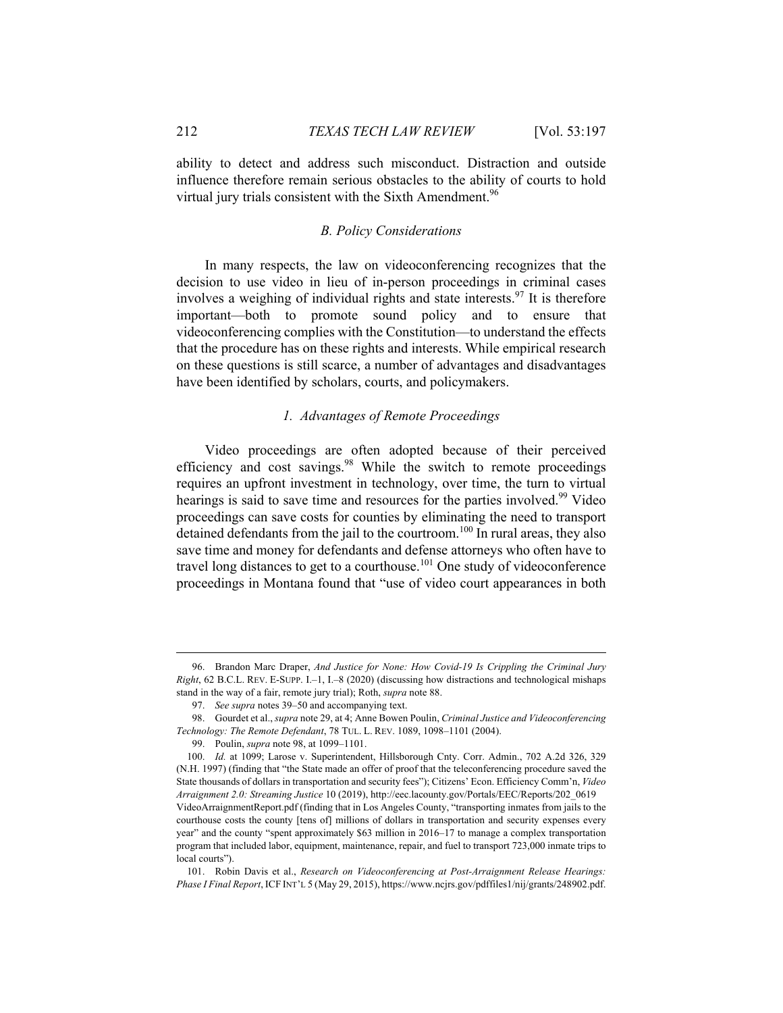ability to detect and address such misconduct. Distraction and outside influence therefore remain serious obstacles to the ability of courts to hold virtual jury trials consistent with the Sixth Amendment.<sup>96</sup>

#### *B. Policy Considerations*

In many respects, the law on videoconferencing recognizes that the decision to use video in lieu of in-person proceedings in criminal cases involves a weighing of individual rights and state interests.<sup>97</sup> It is therefore important—both to promote sound policy and to ensure that videoconferencing complies with the Constitution—to understand the effects that the procedure has on these rights and interests. While empirical research on these questions is still scarce, a number of advantages and disadvantages have been identified by scholars, courts, and policymakers.

#### *1. Advantages of Remote Proceedings*

Video proceedings are often adopted because of their perceived efficiency and cost savings.<sup>98</sup> While the switch to remote proceedings requires an upfront investment in technology, over time, the turn to virtual hearings is said to save time and resources for the parties involved.<sup>99</sup> Video proceedings can save costs for counties by eliminating the need to transport detained defendants from the jail to the courtroom.<sup>100</sup> In rural areas, they also save time and money for defendants and defense attorneys who often have to travel long distances to get to a courthouse.<sup>101</sup> One study of videoconference proceedings in Montana found that "use of video court appearances in both

 <sup>96.</sup> Brandon Marc Draper, *And Justice for None: How Covid-19 Is Crippling the Criminal Jury Right*, 62 B.C.L. REV. E-SUPP. I.–1, I.–8 (2020) (discussing how distractions and technological mishaps stand in the way of a fair, remote jury trial); Roth, *supra* note 88.

 <sup>97.</sup> *See supra* notes 39–50 and accompanying text.

 <sup>98.</sup> Gourdet et al., *supra* note 29, at 4; Anne Bowen Poulin, *Criminal Justice and Videoconferencing Technology: The Remote Defendant*, 78 TUL. L. REV. 1089, 1098–1101 (2004).

 <sup>99.</sup> Poulin, *supra* note 98, at 1099–1101.

 <sup>100.</sup> *Id.* at 1099; Larose v. Superintendent, Hillsborough Cnty. Corr. Admin., 702 A.2d 326, 329 (N.H. 1997) (finding that "the State made an offer of proof that the teleconferencing procedure saved the State thousands of dollars in transportation and security fees"); Citizens' Econ. Efficiency Comm'n, *Video Arraignment 2.0: Streaming Justice* 10 (2019), http://eec.lacounty.gov/Portals/EEC/Reports/202\_0619 VideoArraignmentReport.pdf (finding that in Los Angeles County, "transporting inmates from jails to the courthouse costs the county [tens of] millions of dollars in transportation and security expenses every year" and the county "spent approximately \$63 million in 2016–17 to manage a complex transportation program that included labor, equipment, maintenance, repair, and fuel to transport 723,000 inmate trips to local courts").

 <sup>101.</sup> Robin Davis et al., *Research on Videoconferencing at Post-Arraignment Release Hearings: Phase I Final Report*, ICF INT'L 5 (May 29, 2015), https://www.ncjrs.gov/pdffiles1/nij/grants/248902.pdf.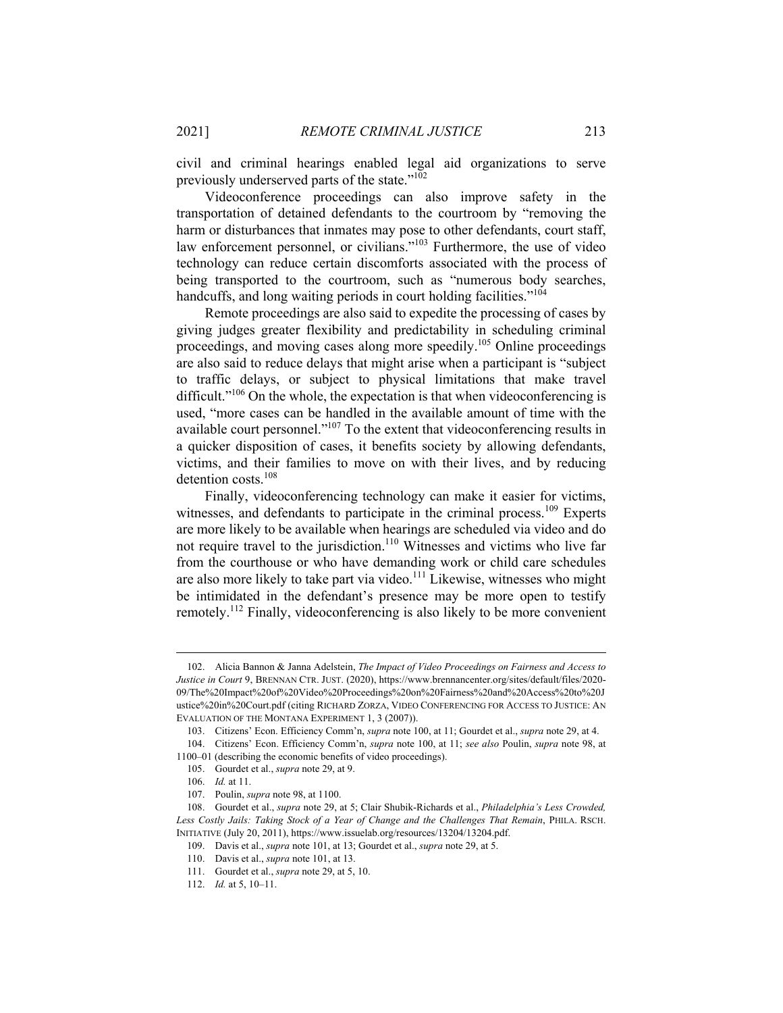civil and criminal hearings enabled legal aid organizations to serve previously underserved parts of the state."102

Videoconference proceedings can also improve safety in the transportation of detained defendants to the courtroom by "removing the harm or disturbances that inmates may pose to other defendants, court staff, law enforcement personnel, or civilians."<sup>103</sup> Furthermore, the use of video technology can reduce certain discomforts associated with the process of being transported to the courtroom, such as "numerous body searches, handcuffs, and long waiting periods in court holding facilities."<sup>104</sup>

Remote proceedings are also said to expedite the processing of cases by giving judges greater flexibility and predictability in scheduling criminal proceedings, and moving cases along more speedily.105 Online proceedings are also said to reduce delays that might arise when a participant is "subject to traffic delays, or subject to physical limitations that make travel difficult. $10^{106}$  On the whole, the expectation is that when videoconferencing is used, "more cases can be handled in the available amount of time with the available court personnel."<sup>107</sup> To the extent that videoconferencing results in a quicker disposition of cases, it benefits society by allowing defendants, victims, and their families to move on with their lives, and by reducing detention costs.<sup>108</sup>

Finally, videoconferencing technology can make it easier for victims, witnesses, and defendants to participate in the criminal process.<sup>109</sup> Experts are more likely to be available when hearings are scheduled via video and do not require travel to the jurisdiction.<sup>110</sup> Witnesses and victims who live far from the courthouse or who have demanding work or child care schedules are also more likely to take part via video. $111$  Likewise, witnesses who might be intimidated in the defendant's presence may be more open to testify remotely.112 Finally, videoconferencing is also likely to be more convenient

 <sup>102.</sup> Alicia Bannon & Janna Adelstein, *The Impact of Video Proceedings on Fairness and Access to Justice in Court* 9, BRENNAN CTR. JUST. (2020), https://www.brennancenter.org/sites/default/files/2020- 09/The%20Impact%20of%20Video%20Proceedings%20on%20Fairness%20and%20Access%20to%20J ustice%20in%20Court.pdf (citing RICHARD ZORZA, VIDEO CONFERENCING FOR ACCESS TO JUSTICE: AN EVALUATION OF THE MONTANA EXPERIMENT 1, 3 (2007)).

 <sup>103.</sup> Citizens' Econ. Efficiency Comm'n, *supra* note 100, at 11; Gourdet et al., *supra* note 29, at 4.

 <sup>104.</sup> Citizens' Econ. Efficiency Comm'n, *supra* note 100, at 11; *see also* Poulin, *supra* note 98, at 1100–01 (describing the economic benefits of video proceedings).

 <sup>105.</sup> Gourdet et al., *supra* note 29, at 9.

 <sup>106.</sup> *Id.* at 11.

 <sup>107.</sup> Poulin, *supra* note 98, at 1100.

 <sup>108.</sup> Gourdet et al., *supra* note 29, at 5; Clair Shubik-Richards et al., *Philadelphia's Less Crowded,*  Less Costly Jails: Taking Stock of a Year of Change and the Challenges That Remain, PHILA. RSCH. INITIATIVE (July 20, 2011), https://www.issuelab.org/resources/13204/13204.pdf.

 <sup>109.</sup> Davis et al., *supra* note 101, at 13; Gourdet et al., *supra* note 29, at 5.

 <sup>110.</sup> Davis et al., *supra* note 101, at 13.

 <sup>111.</sup> Gourdet et al., *supra* note 29, at 5, 10.

 <sup>112.</sup> *Id.* at 5, 10–11.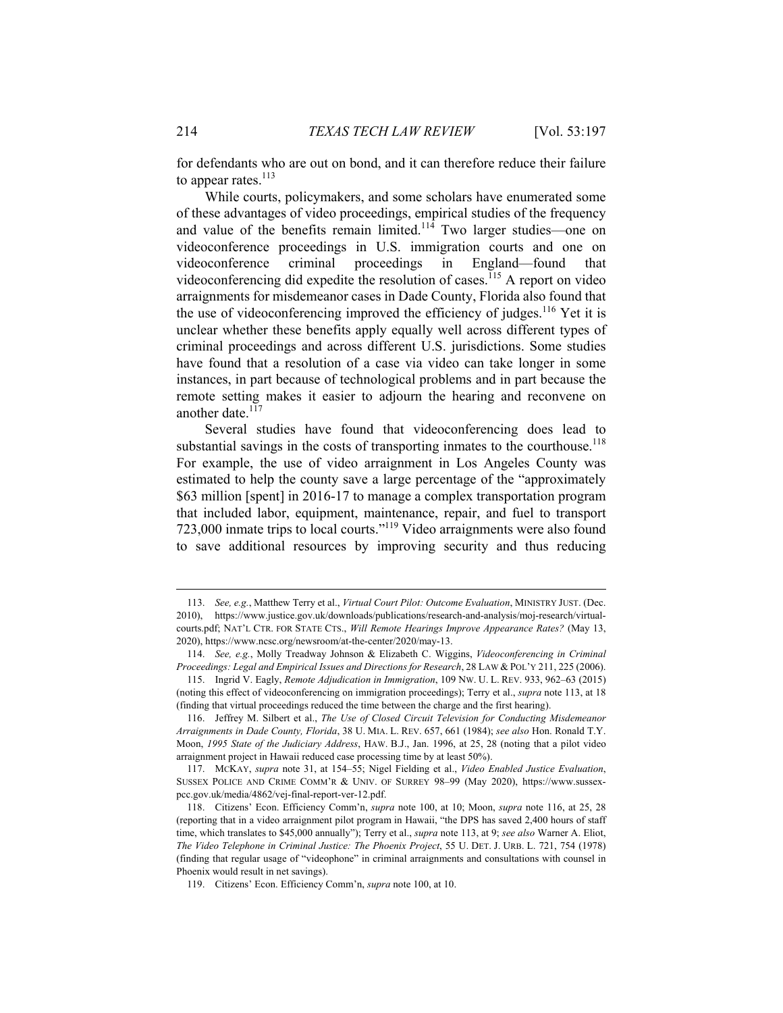for defendants who are out on bond, and it can therefore reduce their failure to appear rates. $^{113}$ 

While courts, policymakers, and some scholars have enumerated some of these advantages of video proceedings, empirical studies of the frequency and value of the benefits remain limited.<sup>114</sup> Two larger studies—one on videoconference proceedings in U.S. immigration courts and one on videoconference criminal proceedings in England—found that videoconferencing did expedite the resolution of cases.<sup>115</sup> A report on video arraignments for misdemeanor cases in Dade County, Florida also found that the use of videoconferencing improved the efficiency of judges.<sup>116</sup> Yet it is unclear whether these benefits apply equally well across different types of criminal proceedings and across different U.S. jurisdictions. Some studies have found that a resolution of a case via video can take longer in some instances, in part because of technological problems and in part because the remote setting makes it easier to adjourn the hearing and reconvene on another date.<sup>117</sup>

Several studies have found that videoconferencing does lead to substantial savings in the costs of transporting inmates to the courthouse.<sup>118</sup> For example, the use of video arraignment in Los Angeles County was estimated to help the county save a large percentage of the "approximately \$63 million [spent] in 2016-17 to manage a complex transportation program that included labor, equipment, maintenance, repair, and fuel to transport 723,000 inmate trips to local courts."119 Video arraignments were also found to save additional resources by improving security and thus reducing

 <sup>113.</sup> *See, e.g.*, Matthew Terry et al., *Virtual Court Pilot: Outcome Evaluation*, MINISTRY JUST. (Dec. 2010), https://www.justice.gov.uk/downloads/publications/research-and-analysis/moj-research/virtualcourts.pdf; NAT'L CTR. FOR STATE CTS., *Will Remote Hearings Improve Appearance Rates?* (May 13, 2020), https://www.ncsc.org/newsroom/at-the-center/2020/may-13.

 <sup>114.</sup> *See, e.g.*, Molly Treadway Johnson & Elizabeth C. Wiggins, *Videoconferencing in Criminal Proceedings: Legal and Empirical Issues and Directions for Research*, 28 LAW & POL'Y 211, 225 (2006).

 <sup>115.</sup> Ingrid V. Eagly, *Remote Adjudication in Immigration*, 109 NW. U. L. REV. 933, 962–63 (2015) (noting this effect of videoconferencing on immigration proceedings); Terry et al., *supra* note 113, at 18 (finding that virtual proceedings reduced the time between the charge and the first hearing).

 <sup>116.</sup> Jeffrey M. Silbert et al., *The Use of Closed Circuit Television for Conducting Misdemeanor Arraignments in Dade County, Florida*, 38 U. MIA. L. REV. 657, 661 (1984); *see also* Hon. Ronald T.Y. Moon, *1995 State of the Judiciary Address*, HAW. B.J., Jan. 1996, at 25, 28 (noting that a pilot video arraignment project in Hawaii reduced case processing time by at least 50%).

 <sup>117.</sup> MCKAY, *supra* note 31, at 154–55; Nigel Fielding et al., *Video Enabled Justice Evaluation*, SUSSEX POLICE AND CRIME COMM'R & UNIV. OF SURREY 98–99 (May 2020), https://www.sussexpcc.gov.uk/media/4862/vej-final-report-ver-12.pdf.

 <sup>118.</sup> Citizens' Econ. Efficiency Comm'n, *supra* note 100, at 10; Moon, *supra* note 116, at 25, 28 (reporting that in a video arraignment pilot program in Hawaii, "the DPS has saved 2,400 hours of staff time, which translates to \$45,000 annually"); Terry et al., *supra* note 113, at 9; *see also* Warner A. Eliot, *The Video Telephone in Criminal Justice: The Phoenix Project*, 55 U. DET. J. URB. L. 721, 754 (1978) (finding that regular usage of "videophone" in criminal arraignments and consultations with counsel in Phoenix would result in net savings).

 <sup>119.</sup> Citizens' Econ. Efficiency Comm'n, *supra* note 100, at 10.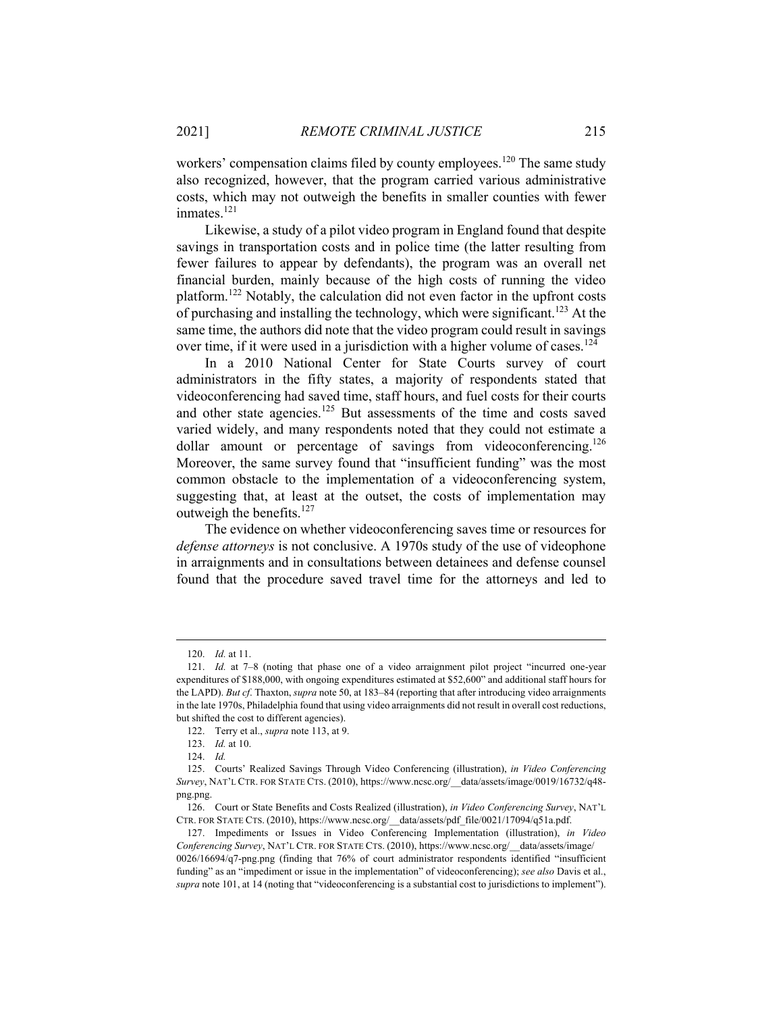workers' compensation claims filed by county employees.<sup>120</sup> The same study also recognized, however, that the program carried various administrative costs, which may not outweigh the benefits in smaller counties with fewer inmates.<sup>121</sup>

Likewise, a study of a pilot video program in England found that despite savings in transportation costs and in police time (the latter resulting from fewer failures to appear by defendants), the program was an overall net financial burden, mainly because of the high costs of running the video platform.122 Notably, the calculation did not even factor in the upfront costs of purchasing and installing the technology, which were significant.<sup>123</sup> At the same time, the authors did note that the video program could result in savings over time, if it were used in a jurisdiction with a higher volume of cases.<sup>124</sup>

In a 2010 National Center for State Courts survey of court administrators in the fifty states, a majority of respondents stated that videoconferencing had saved time, staff hours, and fuel costs for their courts and other state agencies.<sup>125</sup> But assessments of the time and costs saved varied widely, and many respondents noted that they could not estimate a dollar amount or percentage of savings from videoconferencing.<sup>126</sup> Moreover, the same survey found that "insufficient funding" was the most common obstacle to the implementation of a videoconferencing system, suggesting that, at least at the outset, the costs of implementation may outweigh the benefits.<sup>127</sup>

The evidence on whether videoconferencing saves time or resources for *defense attorneys* is not conclusive. A 1970s study of the use of videophone in arraignments and in consultations between detainees and defense counsel found that the procedure saved travel time for the attorneys and led to

 <sup>120.</sup> *Id.* at 11.

 <sup>121.</sup> *Id.* at 7–8 (noting that phase one of a video arraignment pilot project "incurred one-year expenditures of \$188,000, with ongoing expenditures estimated at \$52,600" and additional staff hours for the LAPD). *But cf*. Thaxton, *supra* note 50, at 183–84 (reporting that after introducing video arraignments in the late 1970s, Philadelphia found that using video arraignments did not result in overall cost reductions, but shifted the cost to different agencies).

 <sup>122.</sup> Terry et al., *supra* note 113, at 9.

 <sup>123.</sup> *Id.* at 10.

 <sup>124.</sup> *Id.*

 <sup>125.</sup> Courts' Realized Savings Through Video Conferencing (illustration), *in Video Conferencing Survey*, NAT'L CTR. FOR STATE CTS. (2010), https://www.ncsc.org/\_\_data/assets/image/0019/16732/q48 png.png.

 <sup>126.</sup> Court or State Benefits and Costs Realized (illustration), *in Video Conferencing Survey*, NAT'L CTR. FOR STATE CTS. (2010), https://www.ncsc.org/\_\_data/assets/pdf\_file/0021/17094/q51a.pdf.

 <sup>127.</sup> Impediments or Issues in Video Conferencing Implementation (illustration), *in Video Conferencing Survey*, NAT'L CTR. FOR STATE CTS. (2010), https://www.ncsc.org/\_\_data/assets/image/ 0026/16694/q7-png.png (finding that 76% of court administrator respondents identified "insufficient funding" as an "impediment or issue in the implementation" of videoconferencing); *see also* Davis et al., *supra* note 101, at 14 (noting that "videoconferencing is a substantial cost to jurisdictions to implement").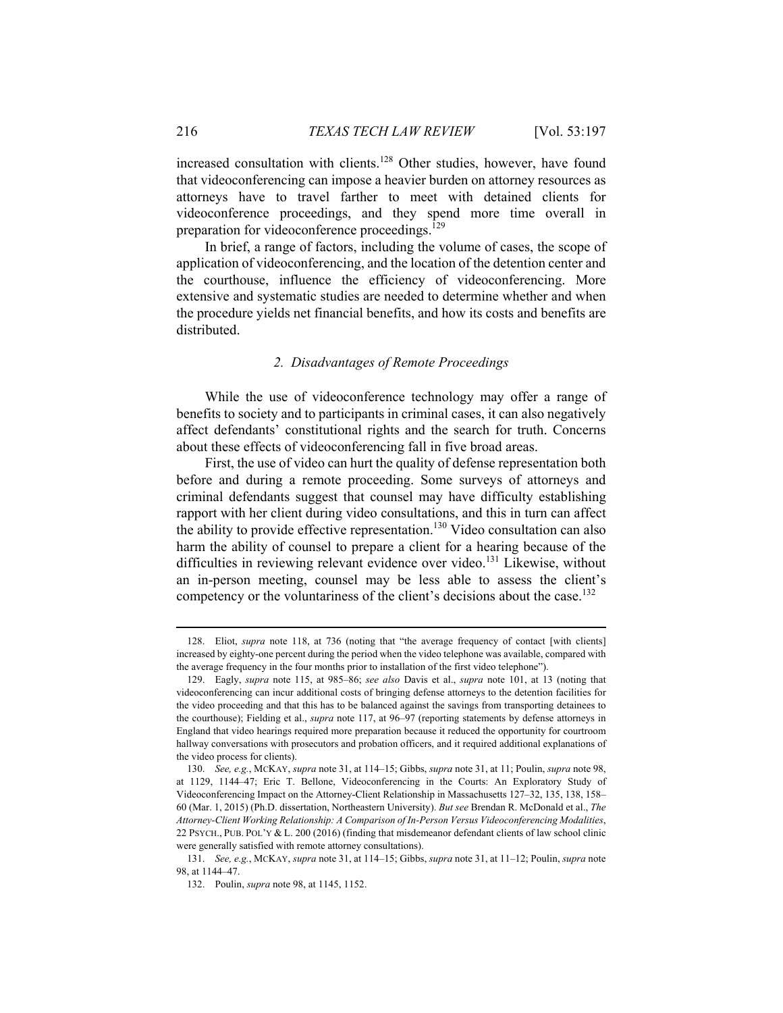increased consultation with clients.<sup>128</sup> Other studies, however, have found that videoconferencing can impose a heavier burden on attorney resources as attorneys have to travel farther to meet with detained clients for videoconference proceedings, and they spend more time overall in preparation for videoconference proceedings.<sup>129</sup>

In brief, a range of factors, including the volume of cases, the scope of application of videoconferencing, and the location of the detention center and the courthouse, influence the efficiency of videoconferencing. More extensive and systematic studies are needed to determine whether and when the procedure yields net financial benefits, and how its costs and benefits are distributed.

#### *2. Disadvantages of Remote Proceedings*

While the use of videoconference technology may offer a range of benefits to society and to participants in criminal cases, it can also negatively affect defendants' constitutional rights and the search for truth. Concerns about these effects of videoconferencing fall in five broad areas.

First, the use of video can hurt the quality of defense representation both before and during a remote proceeding. Some surveys of attorneys and criminal defendants suggest that counsel may have difficulty establishing rapport with her client during video consultations, and this in turn can affect the ability to provide effective representation.<sup>130</sup> Video consultation can also harm the ability of counsel to prepare a client for a hearing because of the difficulties in reviewing relevant evidence over video.<sup>131</sup> Likewise, without an in-person meeting, counsel may be less able to assess the client's competency or the voluntariness of the client's decisions about the case.<sup>132</sup>

 <sup>128.</sup> Eliot, *supra* note 118, at 736 (noting that "the average frequency of contact [with clients] increased by eighty-one percent during the period when the video telephone was available, compared with the average frequency in the four months prior to installation of the first video telephone").

 <sup>129.</sup> Eagly, *supra* note 115, at 985–86; *see also* Davis et al., *supra* note 101, at 13 (noting that videoconferencing can incur additional costs of bringing defense attorneys to the detention facilities for the video proceeding and that this has to be balanced against the savings from transporting detainees to the courthouse); Fielding et al., *supra* note 117, at 96–97 (reporting statements by defense attorneys in England that video hearings required more preparation because it reduced the opportunity for courtroom hallway conversations with prosecutors and probation officers, and it required additional explanations of the video process for clients).

 <sup>130.</sup> *See, e.g.*, MCKAY, *supra* note 31, at 114–15; Gibbs, *supra* note 31, at 11; Poulin, *supra* note 98, at 1129, 1144–47; Eric T. Bellone, Videoconferencing in the Courts: An Exploratory Study of Videoconferencing Impact on the Attorney-Client Relationship in Massachusetts 127–32, 135, 138, 158– 60 (Mar. 1, 2015) (Ph.D. dissertation, Northeastern University). *But see* Brendan R. McDonald et al., *The Attorney-Client Working Relationship: A Comparison of In-Person Versus Videoconferencing Modalities*, 22 PSYCH., PUB. POL'Y & L. 200 (2016) (finding that misdemeanor defendant clients of law school clinic were generally satisfied with remote attorney consultations).

 <sup>131.</sup> *See, e.g.*, MCKAY, *supra* note 31, at 114–15; Gibbs, *supra* note 31, at 11–12; Poulin, *supra* note 98, at 1144–47.

 <sup>132.</sup> Poulin, *supra* note 98, at 1145, 1152.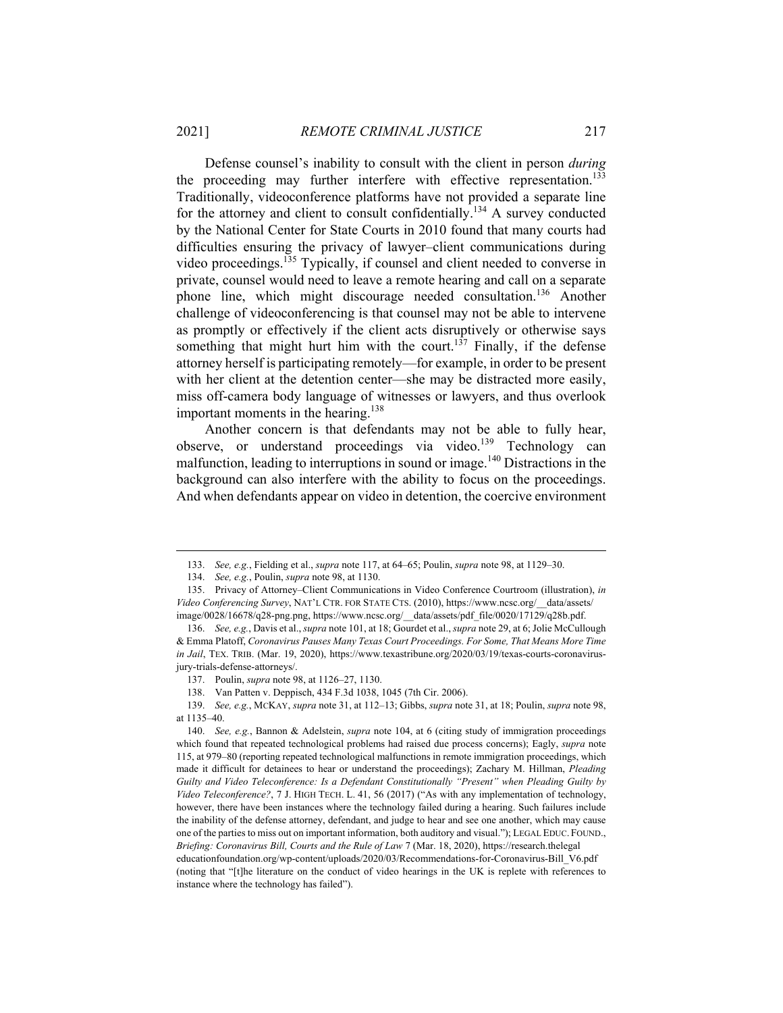Defense counsel's inability to consult with the client in person *during* the proceeding may further interfere with effective representation.<sup>133</sup> Traditionally, videoconference platforms have not provided a separate line for the attorney and client to consult confidentially.<sup>134</sup> A survey conducted by the National Center for State Courts in 2010 found that many courts had difficulties ensuring the privacy of lawyer–client communications during video proceedings.135 Typically, if counsel and client needed to converse in private, counsel would need to leave a remote hearing and call on a separate phone line, which might discourage needed consultation.136 Another challenge of videoconferencing is that counsel may not be able to intervene as promptly or effectively if the client acts disruptively or otherwise says something that might hurt him with the court.<sup>137</sup> Finally, if the defense attorney herself is participating remotely—for example, in order to be present with her client at the detention center—she may be distracted more easily, miss off-camera body language of witnesses or lawyers, and thus overlook important moments in the hearing.<sup>138</sup>

Another concern is that defendants may not be able to fully hear, observe, or understand proceedings via video.<sup>139</sup> Technology can malfunction, leading to interruptions in sound or image.<sup>140</sup> Distractions in the background can also interfere with the ability to focus on the proceedings. And when defendants appear on video in detention, the coercive environment

138. Van Patten v. Deppisch, 434 F.3d 1038, 1045 (7th Cir. 2006).

 <sup>133.</sup> *See, e.g.*, Fielding et al., *supra* note 117, at 64–65; Poulin, *supra* note 98, at 1129–30.

 <sup>134.</sup> *See, e.g.*, Poulin, *supra* note 98, at 1130.

 <sup>135.</sup> Privacy of Attorney–Client Communications in Video Conference Courtroom (illustration), *in Video Conferencing Survey*, NAT'L CTR. FOR STATE CTS. (2010), https://www.ncsc.org/\_\_data/assets/ image/0028/16678/q28-png.png, https://www.ncsc.org/\_\_data/assets/pdf\_file/0020/17129/q28b.pdf.

 <sup>136.</sup> *See, e.g.*, Davis et al., *supra* note 101, at 18; Gourdet et al., *supra* note 29, at 6; Jolie McCullough & Emma Platoff, *Coronavirus Pauses Many Texas Court Proceedings. For Some, That Means More Time in Jail*, TEX. TRIB. (Mar. 19, 2020), https://www.texastribune.org/2020/03/19/texas-courts-coronavirusjury-trials-defense-attorneys/.

 <sup>137.</sup> Poulin, *supra* note 98, at 1126–27, 1130.

 <sup>139.</sup> *See, e.g.*, MCKAY, *supra* note 31, at 112–13; Gibbs, *supra* note 31, at 18; Poulin, *supra* note 98, at 1135–40.

 <sup>140.</sup> *See, e.g.*, Bannon & Adelstein, *supra* note 104, at 6 (citing study of immigration proceedings which found that repeated technological problems had raised due process concerns); Eagly, *supra* note 115, at 979–80 (reporting repeated technological malfunctions in remote immigration proceedings, which made it difficult for detainees to hear or understand the proceedings); Zachary M. Hillman, *Pleading Guilty and Video Teleconference: Is a Defendant Constitutionally "Present" when Pleading Guilty by Video Teleconference?*, 7 J. HIGH TECH. L. 41, 56 (2017) ("As with any implementation of technology, however, there have been instances where the technology failed during a hearing. Such failures include the inability of the defense attorney, defendant, and judge to hear and see one another, which may cause one of the parties to miss out on important information, both auditory and visual."); LEGAL EDUC. FOUND., *Briefing: Coronavirus Bill, Courts and the Rule of Law* 7 (Mar. 18, 2020), https://research.thelegal educationfoundation.org/wp-content/uploads/2020/03/Recommendations-for-Coronavirus-Bill\_V6.pdf (noting that "[t]he literature on the conduct of video hearings in the UK is replete with references to instance where the technology has failed").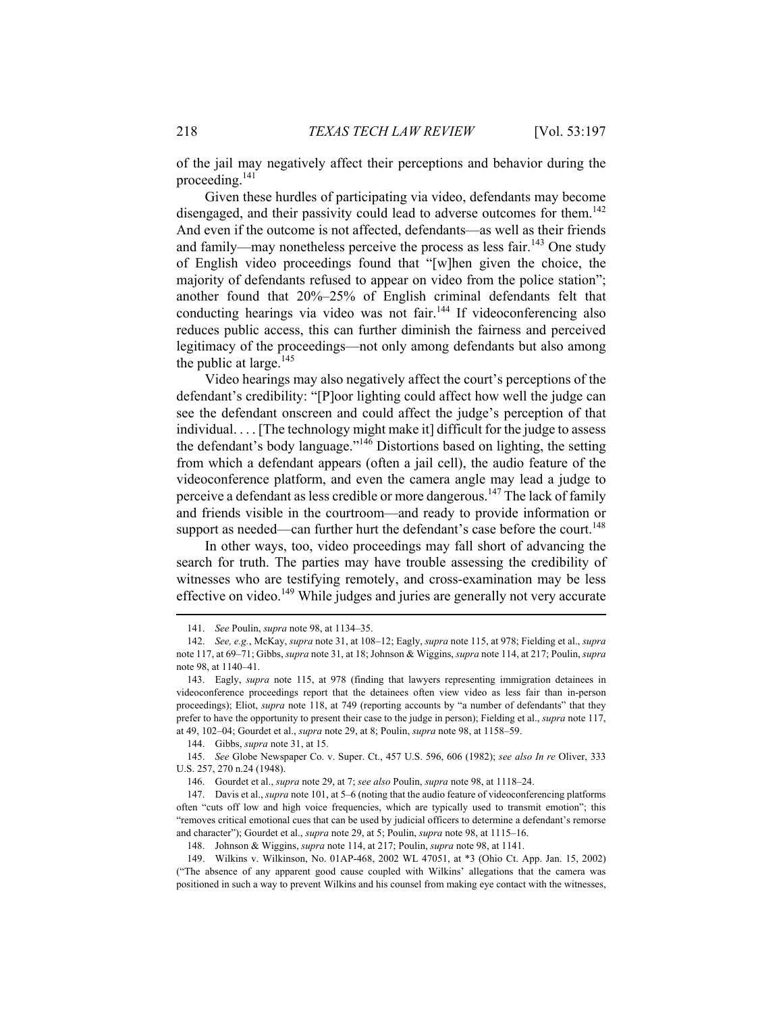of the jail may negatively affect their perceptions and behavior during the proceeding.141

Given these hurdles of participating via video, defendants may become disengaged, and their passivity could lead to adverse outcomes for them.<sup>142</sup> And even if the outcome is not affected, defendants—as well as their friends and family—may nonetheless perceive the process as less fair.<sup>143</sup> One study of English video proceedings found that "[w]hen given the choice, the majority of defendants refused to appear on video from the police station"; another found that 20%–25% of English criminal defendants felt that conducting hearings via video was not fair.<sup>144</sup> If videoconferencing also reduces public access, this can further diminish the fairness and perceived legitimacy of the proceedings—not only among defendants but also among the public at large. $145$ 

Video hearings may also negatively affect the court's perceptions of the defendant's credibility: "[P]oor lighting could affect how well the judge can see the defendant onscreen and could affect the judge's perception of that individual. . . . [The technology might make it] difficult for the judge to assess the defendant's body language."146 Distortions based on lighting, the setting from which a defendant appears (often a jail cell), the audio feature of the videoconference platform, and even the camera angle may lead a judge to perceive a defendant as less credible or more dangerous.<sup>147</sup> The lack of family and friends visible in the courtroom—and ready to provide information or support as needed—can further hurt the defendant's case before the court.<sup>148</sup>

In other ways, too, video proceedings may fall short of advancing the search for truth. The parties may have trouble assessing the credibility of witnesses who are testifying remotely, and cross-examination may be less effective on video.<sup>149</sup> While judges and juries are generally not very accurate

 <sup>141.</sup> *See* Poulin, *supra* note 98, at 1134–35.

 <sup>142.</sup> *See, e.g.*, McKay, *supra* note 31, at 108–12; Eagly, *supra* note 115, at 978; Fielding et al., *supra* note 117, at 69–71; Gibbs, *supra* note 31, at 18; Johnson & Wiggins, *supra* note 114, at 217; Poulin, *supra* note 98, at 1140–41.

 <sup>143.</sup> Eagly, *supra* note 115, at 978 (finding that lawyers representing immigration detainees in videoconference proceedings report that the detainees often view video as less fair than in-person proceedings); Eliot, *supra* note 118, at 749 (reporting accounts by "a number of defendants" that they prefer to have the opportunity to present their case to the judge in person); Fielding et al., *supra* note 117, at 49, 102–04; Gourdet et al., *supra* note 29, at 8; Poulin, *supra* note 98, at 1158–59.

 <sup>144.</sup> Gibbs, *supra* note 31, at 15.

 <sup>145.</sup> *See* Globe Newspaper Co. v. Super. Ct., 457 U.S. 596, 606 (1982); *see also In re* Oliver, 333 U.S. 257, 270 n.24 (1948).

 <sup>146.</sup> Gourdet et al., *supra* note 29, at 7; *see also* Poulin, *supra* note 98, at 1118–24.

 <sup>147.</sup> Davis et al., *supra* note 101, at 5–6 (noting that the audio feature of videoconferencing platforms often "cuts off low and high voice frequencies, which are typically used to transmit emotion"; this "removes critical emotional cues that can be used by judicial officers to determine a defendant's remorse and character"); Gourdet et al., *supra* note 29, at 5; Poulin, *supra* note 98, at 1115–16.

 <sup>148.</sup> Johnson & Wiggins, *supra* note 114, at 217; Poulin, *supra* note 98, at 1141.

 <sup>149.</sup> Wilkins v. Wilkinson, No. 01AP-468, 2002 WL 47051, at \*3 (Ohio Ct. App. Jan. 15, 2002) ("The absence of any apparent good cause coupled with Wilkins' allegations that the camera was positioned in such a way to prevent Wilkins and his counsel from making eye contact with the witnesses,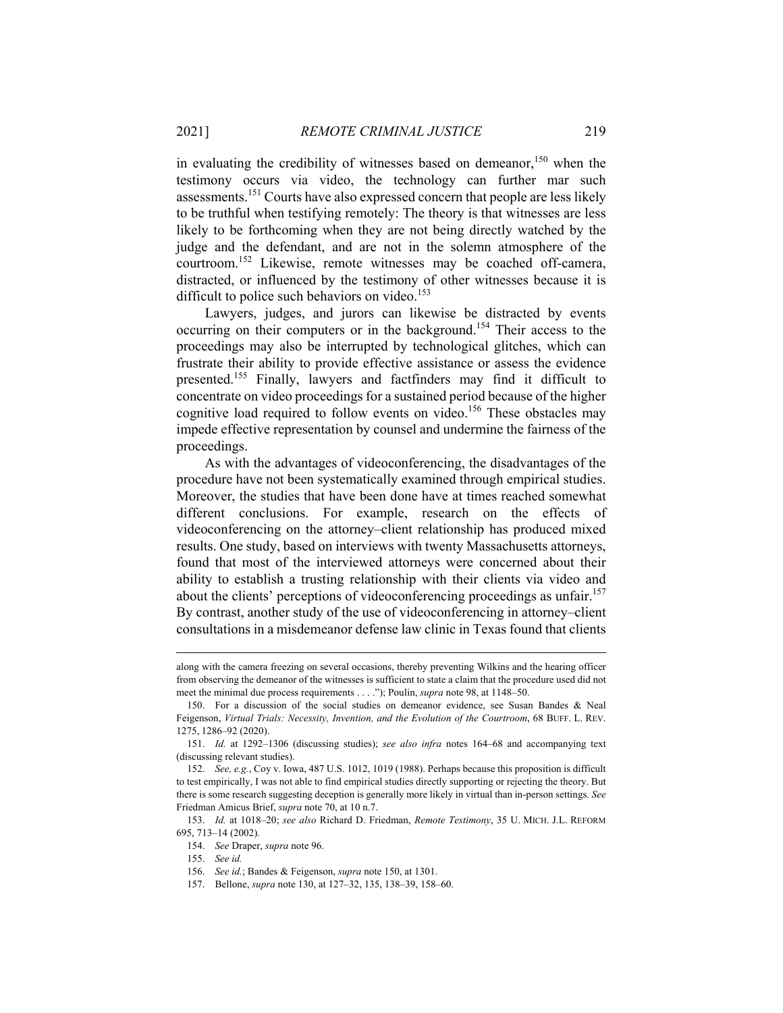in evaluating the credibility of witnesses based on demeanor,<sup>150</sup> when the testimony occurs via video, the technology can further mar such assessments.151 Courts have also expressed concern that people are less likely to be truthful when testifying remotely: The theory is that witnesses are less likely to be forthcoming when they are not being directly watched by the judge and the defendant, and are not in the solemn atmosphere of the courtroom.152 Likewise, remote witnesses may be coached off-camera, distracted, or influenced by the testimony of other witnesses because it is difficult to police such behaviors on video.<sup>153</sup>

Lawyers, judges, and jurors can likewise be distracted by events occurring on their computers or in the background.154 Their access to the proceedings may also be interrupted by technological glitches, which can frustrate their ability to provide effective assistance or assess the evidence presented.155 Finally, lawyers and factfinders may find it difficult to concentrate on video proceedings for a sustained period because of the higher cognitive load required to follow events on video.<sup>156</sup> These obstacles may impede effective representation by counsel and undermine the fairness of the proceedings.

As with the advantages of videoconferencing, the disadvantages of the procedure have not been systematically examined through empirical studies. Moreover, the studies that have been done have at times reached somewhat different conclusions. For example, research on the effects of videoconferencing on the attorney–client relationship has produced mixed results. One study, based on interviews with twenty Massachusetts attorneys, found that most of the interviewed attorneys were concerned about their ability to establish a trusting relationship with their clients via video and about the clients' perceptions of videoconferencing proceedings as unfair.<sup>157</sup> By contrast, another study of the use of videoconferencing in attorney–client consultations in a misdemeanor defense law clinic in Texas found that clients

along with the camera freezing on several occasions, thereby preventing Wilkins and the hearing officer from observing the demeanor of the witnesses is sufficient to state a claim that the procedure used did not meet the minimal due process requirements . . . ."); Poulin, *supra* note 98, at 1148–50.

 <sup>150.</sup> For a discussion of the social studies on demeanor evidence, see Susan Bandes & Neal Feigenson, *Virtual Trials: Necessity, Invention, and the Evolution of the Courtroom*, 68 BUFF. L. REV. 1275, 1286–92 (2020).

 <sup>151.</sup> *Id.* at 1292–1306 (discussing studies); *see also infra* notes 164–68 and accompanying text (discussing relevant studies).

 <sup>152.</sup> *See, e.g.*, Coy v. Iowa, 487 U.S. 1012, 1019 (1988). Perhaps because this proposition is difficult to test empirically, I was not able to find empirical studies directly supporting or rejecting the theory. But there is some research suggesting deception is generally more likely in virtual than in-person settings. *See* Friedman Amicus Brief, *supra* note 70, at 10 n.7.

 <sup>153.</sup> *Id.* at 1018–20; *see also* Richard D. Friedman, *Remote Testimony*, 35 U. MICH. J.L. REFORM 695, 713–14 (2002).

 <sup>154.</sup> *See* Draper, *supra* note 96.

 <sup>155.</sup> *See id.*

 <sup>156.</sup> *See id.*; Bandes & Feigenson, *supra* note 150, at 1301.

 <sup>157.</sup> Bellone, *supra* note 130, at 127–32, 135, 138–39, 158–60.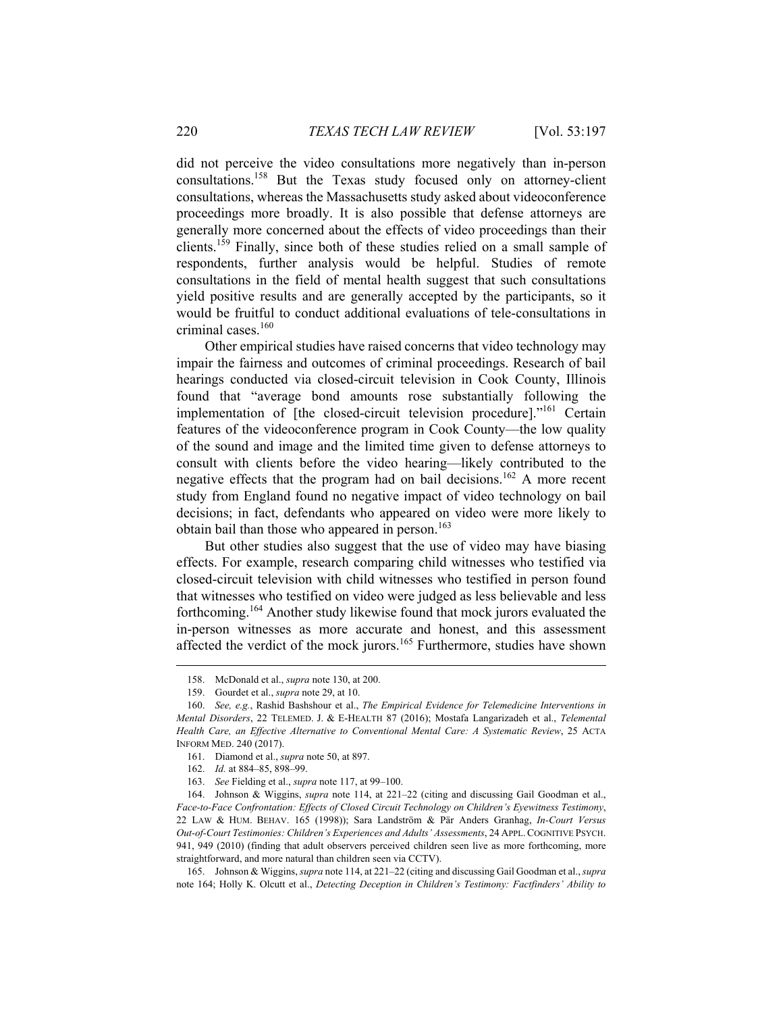did not perceive the video consultations more negatively than in-person consultations.158 But the Texas study focused only on attorney-client consultations, whereas the Massachusetts study asked about videoconference proceedings more broadly. It is also possible that defense attorneys are generally more concerned about the effects of video proceedings than their clients.159 Finally, since both of these studies relied on a small sample of respondents, further analysis would be helpful. Studies of remote consultations in the field of mental health suggest that such consultations yield positive results and are generally accepted by the participants, so it would be fruitful to conduct additional evaluations of tele-consultations in criminal cases.<sup>160</sup>

Other empirical studies have raised concerns that video technology may impair the fairness and outcomes of criminal proceedings. Research of bail hearings conducted via closed-circuit television in Cook County, Illinois found that "average bond amounts rose substantially following the implementation of [the closed-circuit television procedure]."<sup>161</sup> Certain features of the videoconference program in Cook County—the low quality of the sound and image and the limited time given to defense attorneys to consult with clients before the video hearing—likely contributed to the negative effects that the program had on bail decisions.<sup>162</sup> A more recent study from England found no negative impact of video technology on bail decisions; in fact, defendants who appeared on video were more likely to obtain bail than those who appeared in person.<sup>163</sup>

But other studies also suggest that the use of video may have biasing effects. For example, research comparing child witnesses who testified via closed-circuit television with child witnesses who testified in person found that witnesses who testified on video were judged as less believable and less forthcoming.164 Another study likewise found that mock jurors evaluated the in-person witnesses as more accurate and honest, and this assessment affected the verdict of the mock jurors.<sup>165</sup> Furthermore, studies have shown

 $\overline{a}$ 

 165. Johnson & Wiggins, *supra* note 114, at 221–22 (citing and discussing Gail Goodman et al., *supra*  note 164; Holly K. Olcutt et al., *Detecting Deception in Children's Testimony: Factfinders' Ability to* 

 <sup>158.</sup> McDonald et al., *supra* note 130, at 200.

 <sup>159.</sup> Gourdet et al., *supra* note 29, at 10.

 <sup>160.</sup> *See, e.g.*, Rashid Bashshour et al., *The Empirical Evidence for Telemedicine Interventions in Mental Disorders*, 22 TELEMED. J. & E-HEALTH 87 (2016); Mostafa Langarizadeh et al., *Telemental Health Care, an Effective Alternative to Conventional Mental Care: A Systematic Review*, 25 ACTA INFORM MED. 240 (2017).

 <sup>161.</sup> Diamond et al., *supra* note 50, at 897.

 <sup>162.</sup> *Id.* at 884–85, 898–99.

 <sup>163.</sup> *See* Fielding et al., *supra* note 117, at 99–100.

 <sup>164.</sup> Johnson & Wiggins, *supra* note 114, at 221–22 (citing and discussing Gail Goodman et al., *Face-to-Face Confrontation: Effects of Closed Circuit Technology on Children's Eyewitness Testimony*, 22 LAW & HUM. BEHAV. 165 (1998)); Sara Landström & Pär Anders Granhag, *In-Court Versus Out-of-Court Testimonies: Children's Experiences and Adults' Assessments*, 24 APPL. COGNITIVE PSYCH. 941, 949 (2010) (finding that adult observers perceived children seen live as more forthcoming, more straightforward, and more natural than children seen via CCTV).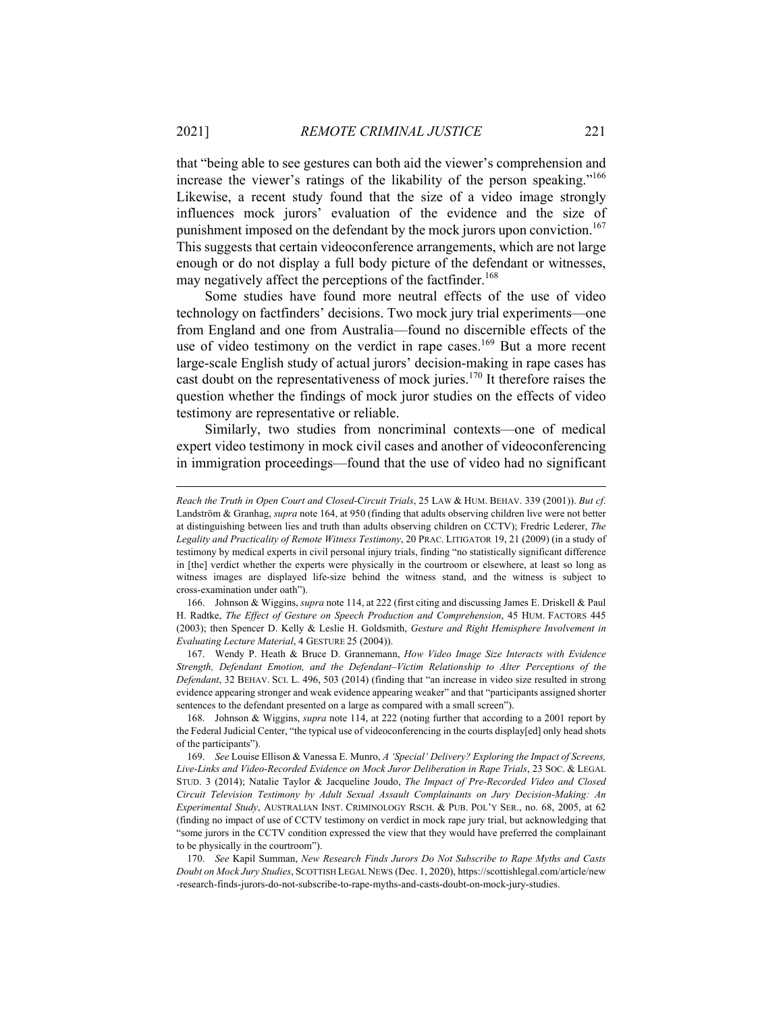that "being able to see gestures can both aid the viewer's comprehension and increase the viewer's ratings of the likability of the person speaking."<sup>166</sup> Likewise, a recent study found that the size of a video image strongly influences mock jurors' evaluation of the evidence and the size of punishment imposed on the defendant by the mock jurors upon conviction.<sup>167</sup> This suggests that certain videoconference arrangements, which are not large enough or do not display a full body picture of the defendant or witnesses, may negatively affect the perceptions of the factfinder.<sup>168</sup>

Some studies have found more neutral effects of the use of video technology on factfinders' decisions. Two mock jury trial experiments—one from England and one from Australia—found no discernible effects of the use of video testimony on the verdict in rape cases.<sup>169</sup> But a more recent large-scale English study of actual jurors' decision-making in rape cases has cast doubt on the representativeness of mock juries.<sup>170</sup> It therefore raises the question whether the findings of mock juror studies on the effects of video testimony are representative or reliable.

Similarly, two studies from noncriminal contexts—one of medical expert video testimony in mock civil cases and another of videoconferencing in immigration proceedings—found that the use of video had no significant

*Reach the Truth in Open Court and Closed-Circuit Trials*, 25 LAW & HUM. BEHAV. 339 (2001)). *But cf*. Landström & Granhag, *supra* note 164, at 950 (finding that adults observing children live were not better at distinguishing between lies and truth than adults observing children on CCTV); Fredric Lederer, *The Legality and Practicality of Remote Witness Testimony*, 20 PRAC. LITIGATOR 19, 21 (2009) (in a study of testimony by medical experts in civil personal injury trials, finding "no statistically significant difference in [the] verdict whether the experts were physically in the courtroom or elsewhere, at least so long as witness images are displayed life-size behind the witness stand, and the witness is subject to cross-examination under oath").

 <sup>166.</sup> Johnson & Wiggins, *supra* note 114, at 222 (first citing and discussing James E. Driskell & Paul H. Radtke, *The Effect of Gesture on Speech Production and Comprehension*, 45 HUM. FACTORS 445 (2003); then Spencer D. Kelly & Leslie H. Goldsmith, *Gesture and Right Hemisphere Involvement in Evaluating Lecture Material*, 4 GESTURE 25 (2004)).

 <sup>167.</sup> Wendy P. Heath & Bruce D. Grannemann, *How Video Image Size Interacts with Evidence Strength, Defendant Emotion, and the Defendant–Victim Relationship to Alter Perceptions of the Defendant*, 32 BEHAV. SCI. L. 496, 503 (2014) (finding that "an increase in video size resulted in strong evidence appearing stronger and weak evidence appearing weaker" and that "participants assigned shorter sentences to the defendant presented on a large as compared with a small screen").

 <sup>168.</sup> Johnson & Wiggins, *supra* note 114, at 222 (noting further that according to a 2001 report by the Federal Judicial Center, "the typical use of videoconferencing in the courts display[ed] only head shots of the participants").

 <sup>169.</sup> *See* Louise Ellison & Vanessa E. Munro, *A 'Special' Delivery? Exploring the Impact of Screens,*  Live-Links and Video-Recorded Evidence on Mock Juror Deliberation in Rape Trials, 23 Soc. & LEGAL STUD. 3 (2014); Natalie Taylor & Jacqueline Joudo, *The Impact of Pre-Recorded Video and Closed Circuit Television Testimony by Adult Sexual Assault Complainants on Jury Decision-Making: An Experimental Study*, AUSTRALIAN INST. CRIMINOLOGY RSCH. & PUB. POL'Y SER., no. 68, 2005, at 62 (finding no impact of use of CCTV testimony on verdict in mock rape jury trial, but acknowledging that "some jurors in the CCTV condition expressed the view that they would have preferred the complainant to be physically in the courtroom").

 <sup>170.</sup> *See* Kapil Summan, *New Research Finds Jurors Do Not Subscribe to Rape Myths and Casts Doubt on Mock Jury Studies*, SCOTTISH LEGAL NEWS (Dec. 1, 2020), https://scottishlegal.com/article/new -research-finds-jurors-do-not-subscribe-to-rape-myths-and-casts-doubt-on-mock-jury-studies.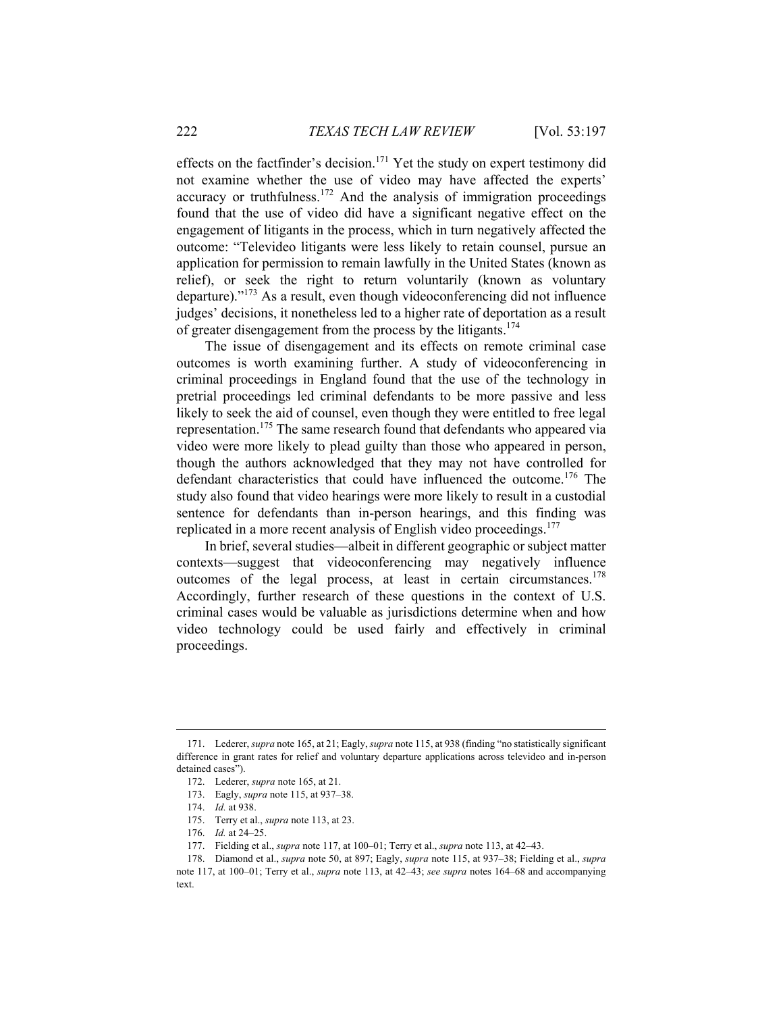effects on the factfinder's decision.<sup>171</sup> Yet the study on expert testimony did not examine whether the use of video may have affected the experts' accuracy or truthfulness.<sup>172</sup> And the analysis of immigration proceedings found that the use of video did have a significant negative effect on the engagement of litigants in the process, which in turn negatively affected the outcome: "Televideo litigants were less likely to retain counsel, pursue an application for permission to remain lawfully in the United States (known as relief), or seek the right to return voluntarily (known as voluntary departure)."173 As a result, even though videoconferencing did not influence judges' decisions, it nonetheless led to a higher rate of deportation as a result of greater disengagement from the process by the litigants.<sup>174</sup>

The issue of disengagement and its effects on remote criminal case outcomes is worth examining further. A study of videoconferencing in criminal proceedings in England found that the use of the technology in pretrial proceedings led criminal defendants to be more passive and less likely to seek the aid of counsel, even though they were entitled to free legal representation.<sup>175</sup> The same research found that defendants who appeared via video were more likely to plead guilty than those who appeared in person, though the authors acknowledged that they may not have controlled for defendant characteristics that could have influenced the outcome.<sup>176</sup> The study also found that video hearings were more likely to result in a custodial sentence for defendants than in-person hearings, and this finding was replicated in a more recent analysis of English video proceedings.<sup>177</sup>

In brief, several studies—albeit in different geographic or subject matter contexts—suggest that videoconferencing may negatively influence outcomes of the legal process, at least in certain circumstances.<sup>178</sup> Accordingly, further research of these questions in the context of U.S. criminal cases would be valuable as jurisdictions determine when and how video technology could be used fairly and effectively in criminal proceedings.

 <sup>171.</sup> Lederer, *supra* note 165, at 21; Eagly, *supra* note 115, at 938 (finding "no statistically significant difference in grant rates for relief and voluntary departure applications across televideo and in-person detained cases").

 <sup>172.</sup> Lederer, *supra* note 165, at 21.

 <sup>173.</sup> Eagly, *supra* note 115, at 937–38.

 <sup>174.</sup> *Id.* at 938.

 <sup>175.</sup> Terry et al., *supra* note 113, at 23.

 <sup>176.</sup> *Id.* at 24–25.

 <sup>177.</sup> Fielding et al., *supra* note 117, at 100–01; Terry et al., *supra* note 113, at 42–43.

 <sup>178.</sup> Diamond et al., *supra* note 50, at 897; Eagly, *supra* note 115, at 937–38; Fielding et al., *supra* note 117, at 100–01; Terry et al., *supra* note 113, at 42–43; *see supra* notes 164–68 and accompanying text.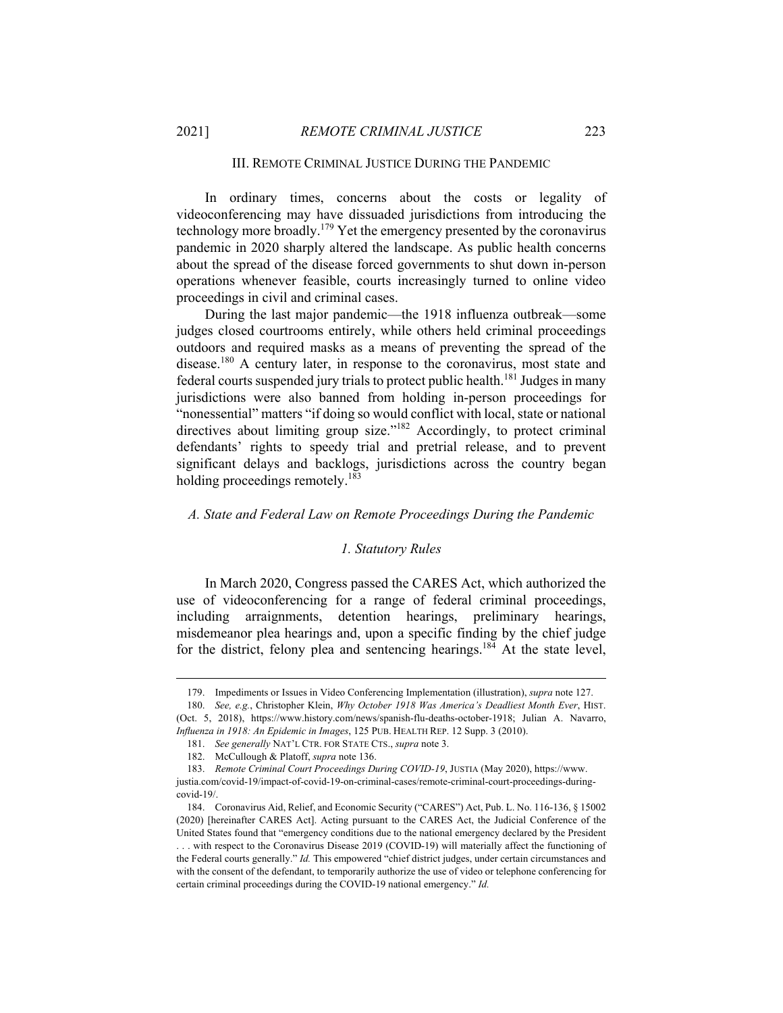#### III. REMOTE CRIMINAL JUSTICE DURING THE PANDEMIC

In ordinary times, concerns about the costs or legality of videoconferencing may have dissuaded jurisdictions from introducing the technology more broadly.<sup>179</sup> Yet the emergency presented by the coronavirus pandemic in 2020 sharply altered the landscape. As public health concerns about the spread of the disease forced governments to shut down in-person operations whenever feasible, courts increasingly turned to online video proceedings in civil and criminal cases.

During the last major pandemic—the 1918 influenza outbreak—some judges closed courtrooms entirely, while others held criminal proceedings outdoors and required masks as a means of preventing the spread of the disease.<sup>180</sup> A century later, in response to the coronavirus, most state and federal courts suspended jury trials to protect public health.181 Judges in many jurisdictions were also banned from holding in-person proceedings for "nonessential" matters "if doing so would conflict with local, state or national directives about limiting group size."<sup>182</sup> Accordingly, to protect criminal defendants' rights to speedy trial and pretrial release, and to prevent significant delays and backlogs, jurisdictions across the country began holding proceedings remotely.<sup>183</sup>

#### *A. State and Federal Law on Remote Proceedings During the Pandemic*

#### *1. Statutory Rules*

In March 2020, Congress passed the CARES Act, which authorized the use of videoconferencing for a range of federal criminal proceedings, including arraignments, detention hearings, preliminary hearings, misdemeanor plea hearings and, upon a specific finding by the chief judge for the district, felony plea and sentencing hearings.184 At the state level,

 <sup>179.</sup> Impediments or Issues in Video Conferencing Implementation (illustration), *supra* note 127.

 <sup>180.</sup> *See, e.g.*, Christopher Klein, *Why October 1918 Was America's Deadliest Month Ever*, HIST. (Oct. 5, 2018), https://www.history.com/news/spanish-flu-deaths-october-1918; Julian A. Navarro, *Influenza in 1918: An Epidemic in Images*, 125 PUB. HEALTH REP. 12 Supp. 3 (2010).

 <sup>181.</sup> *See generally* NAT'L CTR. FOR STATE CTS., *supra* note 3.

 <sup>182.</sup> McCullough & Platoff, *supra* note 136.

 <sup>183.</sup> *Remote Criminal Court Proceedings During COVID-19*, JUSTIA (May 2020), https://www. justia.com/covid-19/impact-of-covid-19-on-criminal-cases/remote-criminal-court-proceedings-duringcovid-19/.

 <sup>184.</sup> Coronavirus Aid, Relief, and Economic Security ("CARES") Act, Pub. L. No. 116-136, § 15002 (2020) [hereinafter CARES Act]. Acting pursuant to the CARES Act, the Judicial Conference of the United States found that "emergency conditions due to the national emergency declared by the President . . . with respect to the Coronavirus Disease 2019 (COVID-19) will materially affect the functioning of the Federal courts generally." *Id.* This empowered "chief district judges, under certain circumstances and with the consent of the defendant, to temporarily authorize the use of video or telephone conferencing for certain criminal proceedings during the COVID-19 national emergency." *Id.*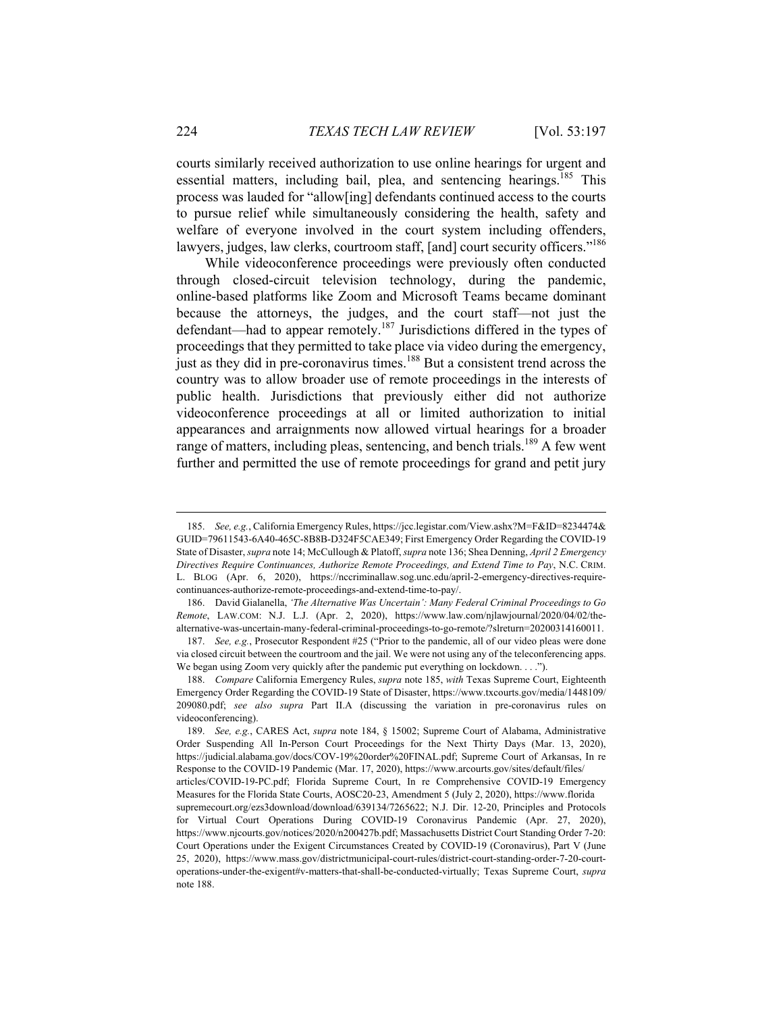courts similarly received authorization to use online hearings for urgent and essential matters, including bail, plea, and sentencing hearings.<sup>185</sup> This process was lauded for "allow[ing] defendants continued access to the courts to pursue relief while simultaneously considering the health, safety and welfare of everyone involved in the court system including offenders, lawyers, judges, law clerks, courtroom staff, [and] court security officers."<sup>186</sup>

While videoconference proceedings were previously often conducted through closed-circuit television technology, during the pandemic, online-based platforms like Zoom and Microsoft Teams became dominant because the attorneys, the judges, and the court staff—not just the defendant—had to appear remotely.<sup>187</sup> Jurisdictions differed in the types of proceedings that they permitted to take place via video during the emergency, just as they did in pre-coronavirus times.<sup>188</sup> But a consistent trend across the country was to allow broader use of remote proceedings in the interests of public health. Jurisdictions that previously either did not authorize videoconference proceedings at all or limited authorization to initial appearances and arraignments now allowed virtual hearings for a broader range of matters, including pleas, sentencing, and bench trials.<sup>189</sup> A few went further and permitted the use of remote proceedings for grand and petit jury

 <sup>185.</sup> *See, e.g.*, California Emergency Rules, https://jcc.legistar.com/View.ashx?M=F&ID=8234474& GUID=79611543-6A40-465C-8B8B-D324F5CAE349; First Emergency Order Regarding the COVID-19 State of Disaster, *supra* note 14; McCullough & Platoff, *supra* note 136; Shea Denning, *April 2 Emergency Directives Require Continuances, Authorize Remote Proceedings, and Extend Time to Pay*, N.C. CRIM. L. BLOG (Apr. 6, 2020), https://nccriminallaw.sog.unc.edu/april-2-emergency-directives-requirecontinuances-authorize-remote-proceedings-and-extend-time-to-pay/.

 <sup>186.</sup> David Gialanella, *'The Alternative Was Uncertain': Many Federal Criminal Proceedings to Go Remote*, LAW.COM: N.J. L.J. (Apr. 2, 2020), https://www.law.com/njlawjournal/2020/04/02/thealternative-was-uncertain-many-federal-criminal-proceedings-to-go-remote/?slreturn=20200314160011.

 <sup>187.</sup> *See, e.g.*, Prosecutor Respondent #25 ("Prior to the pandemic, all of our video pleas were done via closed circuit between the courtroom and the jail. We were not using any of the teleconferencing apps. We began using Zoom very quickly after the pandemic put everything on lockdown. . . .").

 <sup>188.</sup> *Compare* California Emergency Rules, *supra* note 185, *with* Texas Supreme Court, Eighteenth Emergency Order Regarding the COVID-19 State of Disaster, https://www.txcourts.gov/media/1448109/ 209080.pdf; *see also supra* Part II.A (discussing the variation in pre-coronavirus rules on videoconferencing).

 <sup>189.</sup> *See, e.g.*, CARES Act, *supra* note 184, § 15002; Supreme Court of Alabama, Administrative Order Suspending All In-Person Court Proceedings for the Next Thirty Days (Mar. 13, 2020), https://judicial.alabama.gov/docs/COV-19%20order%20FINAL.pdf; Supreme Court of Arkansas, In re Response to the COVID-19 Pandemic (Mar. 17, 2020), https://www.arcourts.gov/sites/default/files/ articles/COVID-19-PC.pdf; Florida Supreme Court, In re Comprehensive COVID-19 Emergency Measures for the Florida State Courts, AOSC20-23, Amendment 5 (July 2, 2020), https://www.florida supremecourt.org/ezs3download/download/639134/7265622; N.J. Dir. 12-20, Principles and Protocols for Virtual Court Operations During COVID-19 Coronavirus Pandemic (Apr. 27, 2020), https://www.njcourts.gov/notices/2020/n200427b.pdf; Massachusetts District Court Standing Order 7-20: Court Operations under the Exigent Circumstances Created by COVID-19 (Coronavirus), Part V (June 25, 2020), https://www.mass.gov/districtmunicipal-court-rules/district-court-standing-order-7-20-courtoperations-under-the-exigent#v-matters-that-shall-be-conducted-virtually; Texas Supreme Court, *supra* note 188.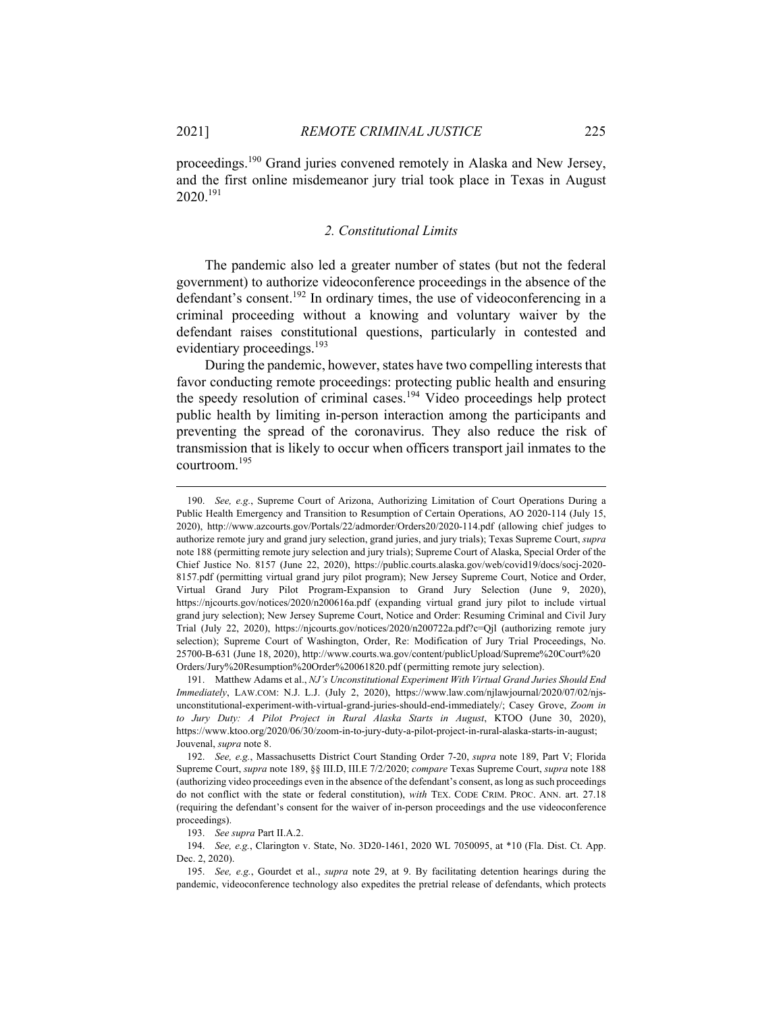$\overline{a}$ 

proceedings.190 Grand juries convened remotely in Alaska and New Jersey, and the first online misdemeanor jury trial took place in Texas in August 2020.191

#### *2. Constitutional Limits*

The pandemic also led a greater number of states (but not the federal government) to authorize videoconference proceedings in the absence of the defendant's consent.<sup>192</sup> In ordinary times, the use of videoconferencing in a criminal proceeding without a knowing and voluntary waiver by the defendant raises constitutional questions, particularly in contested and evidentiary proceedings.<sup>193</sup>

During the pandemic, however, states have two compelling interests that favor conducting remote proceedings: protecting public health and ensuring the speedy resolution of criminal cases.<sup>194</sup> Video proceedings help protect public health by limiting in-person interaction among the participants and preventing the spread of the coronavirus. They also reduce the risk of transmission that is likely to occur when officers transport jail inmates to the courtroom.195

193. *See supra* Part II.A.2.

 194. *See, e.g.*, Clarington v. State, No. 3D20-1461, 2020 WL 7050095, at \*10 (Fla. Dist. Ct. App. Dec. 2, 2020).

 <sup>190.</sup> *See, e.g.*, Supreme Court of Arizona, Authorizing Limitation of Court Operations During a Public Health Emergency and Transition to Resumption of Certain Operations, AO 2020-114 (July 15, 2020), http://www.azcourts.gov/Portals/22/admorder/Orders20/2020-114.pdf (allowing chief judges to authorize remote jury and grand jury selection, grand juries, and jury trials); Texas Supreme Court, *supra*  note 188 (permitting remote jury selection and jury trials); Supreme Court of Alaska, Special Order of the Chief Justice No. 8157 (June 22, 2020), https://public.courts.alaska.gov/web/covid19/docs/socj-2020- 8157.pdf (permitting virtual grand jury pilot program); New Jersey Supreme Court, Notice and Order, Virtual Grand Jury Pilot Program-Expansion to Grand Jury Selection (June 9, 2020), https://njcourts.gov/notices/2020/n200616a.pdf (expanding virtual grand jury pilot to include virtual grand jury selection); New Jersey Supreme Court, Notice and Order: Resuming Criminal and Civil Jury Trial (July 22, 2020), https://njcourts.gov/notices/2020/n200722a.pdf?c=Qjl (authorizing remote jury selection); Supreme Court of Washington, Order, Re: Modification of Jury Trial Proceedings, No. 25700-B-631 (June 18, 2020), http://www.courts.wa.gov/content/publicUpload/Supreme%20Court%20 Orders/Jury%20Resumption%20Order%20061820.pdf (permitting remote jury selection).

 <sup>191.</sup> Matthew Adams et al., *NJ's Unconstitutional Experiment With Virtual Grand Juries Should End Immediately*, LAW.COM: N.J. L.J. (July 2, 2020), https://www.law.com/njlawjournal/2020/07/02/njsunconstitutional-experiment-with-virtual-grand-juries-should-end-immediately/; Casey Grove, *Zoom in to Jury Duty: A Pilot Project in Rural Alaska Starts in August*, KTOO (June 30, 2020), https://www.ktoo.org/2020/06/30/zoom-in-to-jury-duty-a-pilot-project-in-rural-alaska-starts-in-august; Jouvenal, *supra* note 8.

 <sup>192.</sup> *See, e.g.*, Massachusetts District Court Standing Order 7-20, *supra* note 189, Part V; Florida Supreme Court, *supra* note 189, §§ III.D, III.E 7/2/2020; *compare* Texas Supreme Court, *supra* note 188 (authorizing video proceedings even in the absence of the defendant's consent, as long as such proceedings do not conflict with the state or federal constitution), *with* TEX. CODE CRIM. PROC. ANN. art. 27.18 (requiring the defendant's consent for the waiver of in-person proceedings and the use videoconference proceedings).

 <sup>195.</sup> *See, e.g.*, Gourdet et al., *supra* note 29, at 9. By facilitating detention hearings during the pandemic, videoconference technology also expedites the pretrial release of defendants, which protects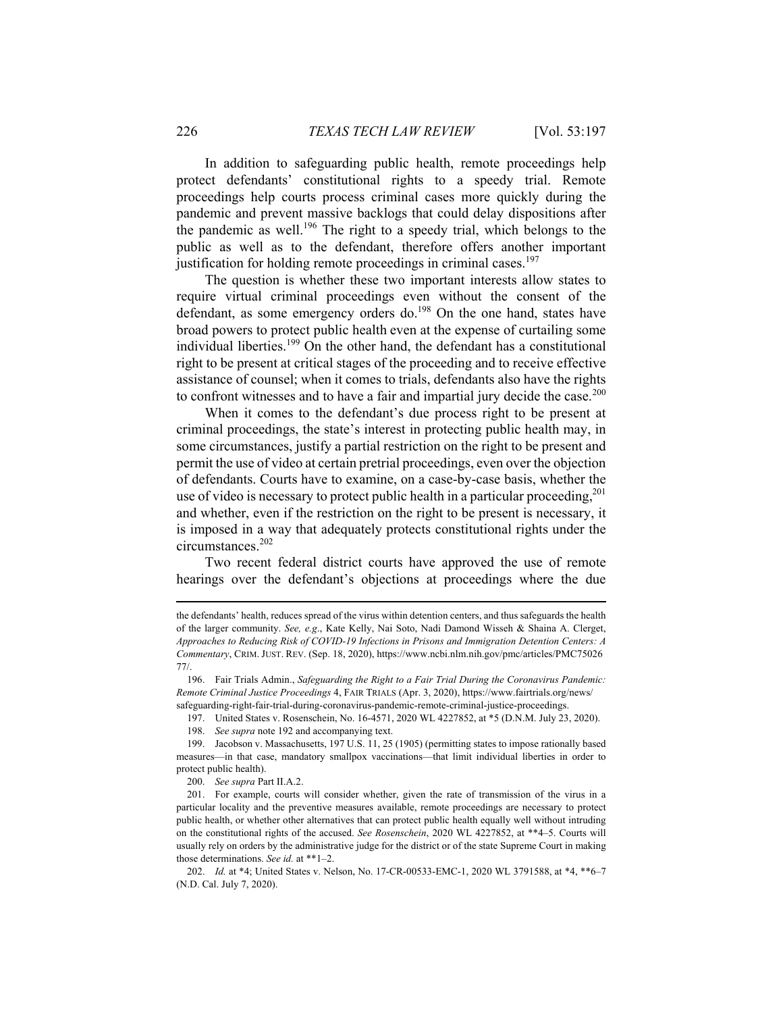In addition to safeguarding public health, remote proceedings help protect defendants' constitutional rights to a speedy trial. Remote proceedings help courts process criminal cases more quickly during the pandemic and prevent massive backlogs that could delay dispositions after the pandemic as well.<sup>196</sup> The right to a speedy trial, which belongs to the public as well as to the defendant, therefore offers another important justification for holding remote proceedings in criminal cases.<sup>197</sup>

The question is whether these two important interests allow states to require virtual criminal proceedings even without the consent of the defendant, as some emergency orders do.<sup>198</sup> On the one hand, states have broad powers to protect public health even at the expense of curtailing some individual liberties.<sup>199</sup> On the other hand, the defendant has a constitutional right to be present at critical stages of the proceeding and to receive effective assistance of counsel; when it comes to trials, defendants also have the rights to confront witnesses and to have a fair and impartial jury decide the case.<sup>200</sup>

When it comes to the defendant's due process right to be present at criminal proceedings, the state's interest in protecting public health may, in some circumstances, justify a partial restriction on the right to be present and permit the use of video at certain pretrial proceedings, even over the objection of defendants. Courts have to examine, on a case-by-case basis, whether the use of video is necessary to protect public health in a particular proceeding,  $^{201}$ and whether, even if the restriction on the right to be present is necessary, it is imposed in a way that adequately protects constitutional rights under the circumstances.202

Two recent federal district courts have approved the use of remote hearings over the defendant's objections at proceedings where the due

the defendants' health, reduces spread of the virus within detention centers, and thus safeguards the health of the larger community. *See, e.g*., Kate Kelly, Nai Soto, Nadi Damond Wisseh & Shaina A. Clerget, *Approaches to Reducing Risk of COVID-19 Infections in Prisons and Immigration Detention Centers: A Commentary*, CRIM. JUST. REV. (Sep. 18, 2020), https://www.ncbi.nlm.nih.gov/pmc/articles/PMC75026 77/.

 <sup>196.</sup> Fair Trials Admin., *Safeguarding the Right to a Fair Trial During the Coronavirus Pandemic: Remote Criminal Justice Proceedings* 4, FAIR TRIALS (Apr. 3, 2020), https://www.fairtrials.org/news/ safeguarding-right-fair-trial-during-coronavirus-pandemic-remote-criminal-justice-proceedings.

 <sup>197.</sup> United States v. Rosenschein, No. 16-4571, 2020 WL 4227852, at \*5 (D.N.M. July 23, 2020).

 <sup>198.</sup> *See supra* note 192 and accompanying text.

 <sup>199.</sup> Jacobson v. Massachusetts, 197 U.S. 11, 25 (1905) (permitting states to impose rationally based measures—in that case, mandatory smallpox vaccinations—that limit individual liberties in order to protect public health).

 <sup>200.</sup> *See supra* Part II.A.2.

 <sup>201.</sup> For example, courts will consider whether, given the rate of transmission of the virus in a particular locality and the preventive measures available, remote proceedings are necessary to protect public health, or whether other alternatives that can protect public health equally well without intruding on the constitutional rights of the accused. *See Rosenschein*, 2020 WL 4227852, at \*\*4–5. Courts will usually rely on orders by the administrative judge for the district or of the state Supreme Court in making those determinations. *See id.* at \*\*1–2.

 <sup>202.</sup> *Id.* at \*4; United States v. Nelson, No. 17-CR-00533-EMC-1, 2020 WL 3791588, at \*4, \*\*6–7 (N.D. Cal. July 7, 2020).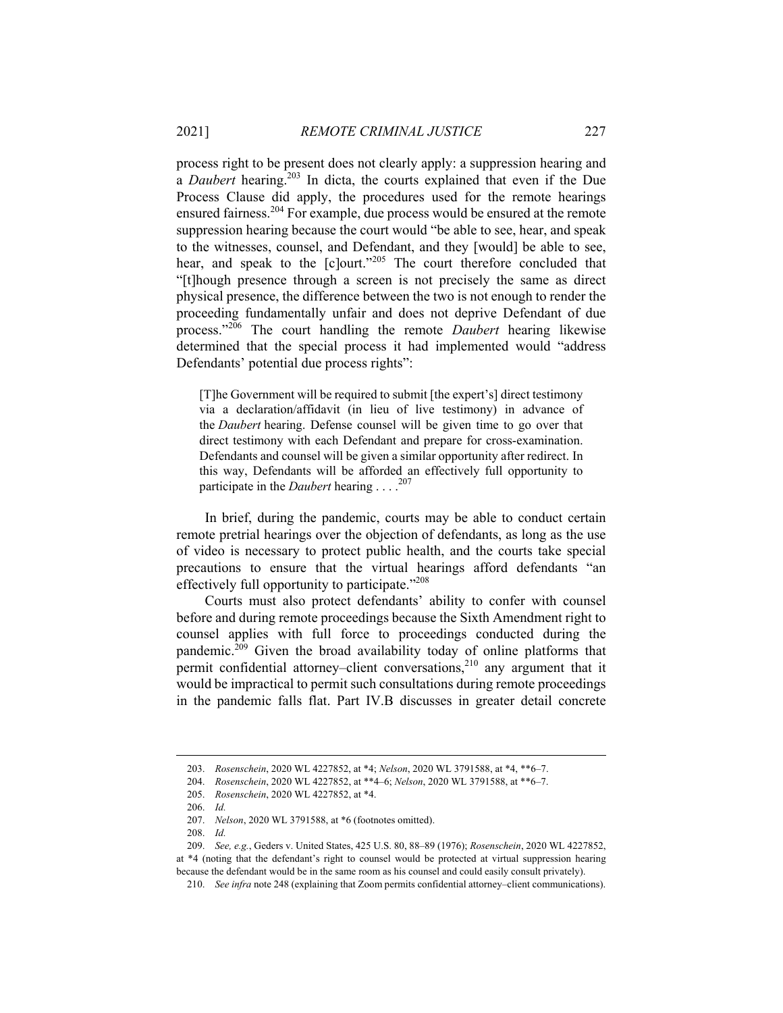process right to be present does not clearly apply: a suppression hearing and a *Daubert* hearing.203 In dicta, the courts explained that even if the Due Process Clause did apply, the procedures used for the remote hearings ensured fairness.<sup>204</sup> For example, due process would be ensured at the remote suppression hearing because the court would "be able to see, hear, and speak to the witnesses, counsel, and Defendant, and they [would] be able to see, hear, and speak to the [c]ourt."<sup>205</sup> The court therefore concluded that "[t]hough presence through a screen is not precisely the same as direct physical presence, the difference between the two is not enough to render the proceeding fundamentally unfair and does not deprive Defendant of due process."206 The court handling the remote *Daubert* hearing likewise determined that the special process it had implemented would "address Defendants' potential due process rights":

[T]he Government will be required to submit [the expert's] direct testimony via a declaration/affidavit (in lieu of live testimony) in advance of the *Daubert* hearing. Defense counsel will be given time to go over that direct testimony with each Defendant and prepare for cross-examination. Defendants and counsel will be given a similar opportunity after redirect. In this way, Defendants will be afforded an effectively full opportunity to participate in the *Daubert* hearing . . . .<sup>207</sup>

In brief, during the pandemic, courts may be able to conduct certain remote pretrial hearings over the objection of defendants, as long as the use of video is necessary to protect public health, and the courts take special precautions to ensure that the virtual hearings afford defendants "an effectively full opportunity to participate."<sup>208</sup>

Courts must also protect defendants' ability to confer with counsel before and during remote proceedings because the Sixth Amendment right to counsel applies with full force to proceedings conducted during the pandemic. $209$  Given the broad availability today of online platforms that permit confidential attorney–client conversations, $2^{10}$  any argument that it would be impractical to permit such consultations during remote proceedings in the pandemic falls flat. Part IV.B discusses in greater detail concrete

 <sup>203.</sup> *Rosenschein*, 2020 WL 4227852, at \*4; *Nelson*, 2020 WL 3791588, at \*4, \*\*6–7.

 <sup>204.</sup> *Rosenschein*, 2020 WL 4227852, at \*\*4–6; *Nelson*, 2020 WL 3791588, at \*\*6–7.

 <sup>205.</sup> *Rosenschein*, 2020 WL 4227852, at \*4.

 <sup>206.</sup> *Id.* 

 <sup>207.</sup> *Nelson*, 2020 WL 3791588, at \*6 (footnotes omitted).

 <sup>208.</sup> *Id.*

 <sup>209.</sup> *See, e.g.*, Geders v. United States, 425 U.S. 80, 88–89 (1976); *Rosenschein*, 2020 WL 4227852, at \*4 (noting that the defendant's right to counsel would be protected at virtual suppression hearing because the defendant would be in the same room as his counsel and could easily consult privately).

 <sup>210.</sup> *See infra* note 248 (explaining that Zoom permits confidential attorney–client communications).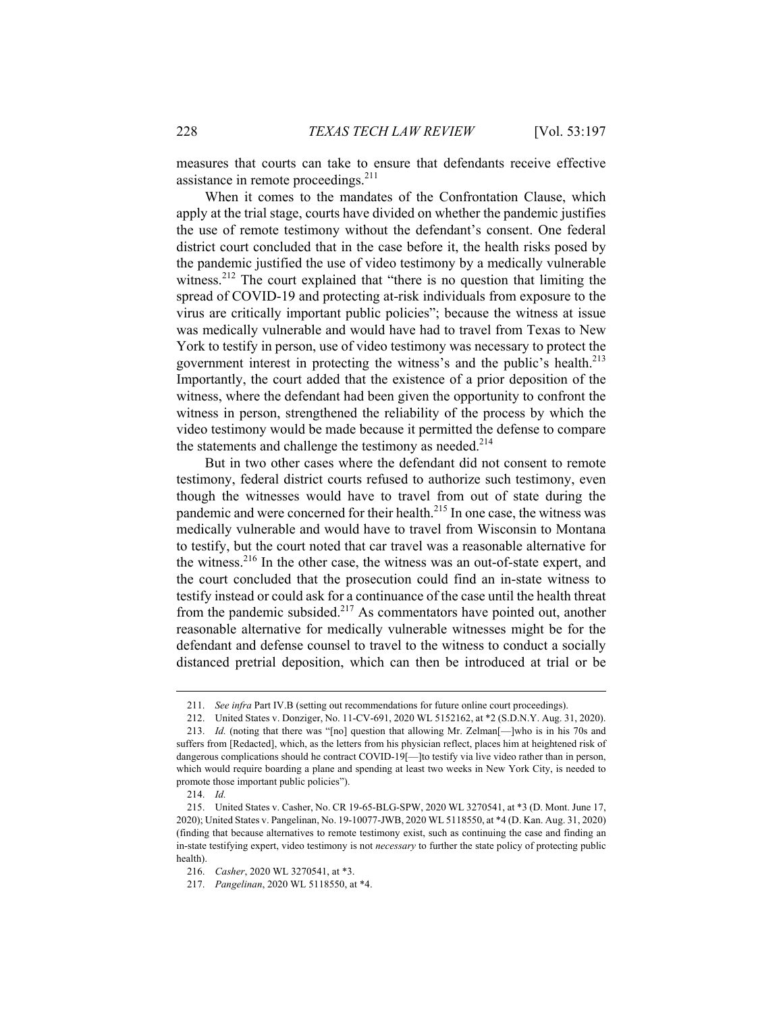measures that courts can take to ensure that defendants receive effective assistance in remote proceedings.<sup>211</sup>

When it comes to the mandates of the Confrontation Clause, which apply at the trial stage, courts have divided on whether the pandemic justifies the use of remote testimony without the defendant's consent. One federal district court concluded that in the case before it, the health risks posed by the pandemic justified the use of video testimony by a medically vulnerable witness.<sup>212</sup> The court explained that "there is no question that limiting the spread of COVID-19 and protecting at-risk individuals from exposure to the virus are critically important public policies"; because the witness at issue was medically vulnerable and would have had to travel from Texas to New York to testify in person, use of video testimony was necessary to protect the government interest in protecting the witness's and the public's health.<sup>213</sup> Importantly, the court added that the existence of a prior deposition of the witness, where the defendant had been given the opportunity to confront the witness in person, strengthened the reliability of the process by which the video testimony would be made because it permitted the defense to compare the statements and challenge the testimony as needed.<sup>214</sup>

But in two other cases where the defendant did not consent to remote testimony, federal district courts refused to authorize such testimony, even though the witnesses would have to travel from out of state during the pandemic and were concerned for their health.<sup>215</sup> In one case, the witness was medically vulnerable and would have to travel from Wisconsin to Montana to testify, but the court noted that car travel was a reasonable alternative for the witness.216 In the other case, the witness was an out-of-state expert, and the court concluded that the prosecution could find an in-state witness to testify instead or could ask for a continuance of the case until the health threat from the pandemic subsided.<sup>217</sup> As commentators have pointed out, another reasonable alternative for medically vulnerable witnesses might be for the defendant and defense counsel to travel to the witness to conduct a socially distanced pretrial deposition, which can then be introduced at trial or be

 <sup>211.</sup> *See infra* Part IV.B (setting out recommendations for future online court proceedings).

 <sup>212.</sup> United States v. Donziger, No. 11-CV-691, 2020 WL 5152162, at \*2 (S.D.N.Y. Aug. 31, 2020).

 <sup>213.</sup> *Id.* (noting that there was "[no] question that allowing Mr. Zelman[—]who is in his 70s and suffers from [Redacted], which, as the letters from his physician reflect, places him at heightened risk of dangerous complications should he contract COVID-19<sup>[--</sup>]to testify via live video rather than in person, which would require boarding a plane and spending at least two weeks in New York City, is needed to promote those important public policies").

 <sup>214.</sup> *Id.*

 <sup>215.</sup> United States v. Casher, No. CR 19-65-BLG-SPW, 2020 WL 3270541, at \*3 (D. Mont. June 17, 2020); United States v. Pangelinan, No. 19-10077-JWB, 2020 WL 5118550, at \*4 (D. Kan. Aug. 31, 2020) (finding that because alternatives to remote testimony exist, such as continuing the case and finding an in-state testifying expert, video testimony is not *necessary* to further the state policy of protecting public health).

 <sup>216.</sup> *Casher*, 2020 WL 3270541, at \*3.

 <sup>217.</sup> *Pangelinan*, 2020 WL 5118550, at \*4.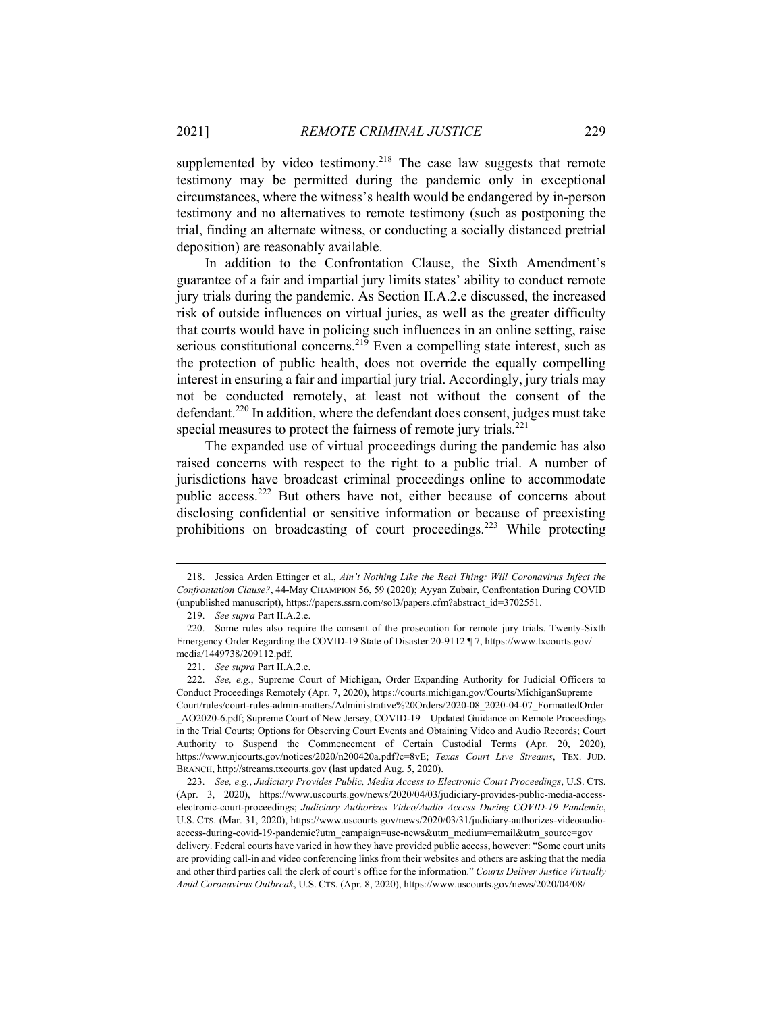supplemented by video testimony.<sup>218</sup> The case law suggests that remote testimony may be permitted during the pandemic only in exceptional circumstances, where the witness's health would be endangered by in-person testimony and no alternatives to remote testimony (such as postponing the trial, finding an alternate witness, or conducting a socially distanced pretrial deposition) are reasonably available.

In addition to the Confrontation Clause, the Sixth Amendment's guarantee of a fair and impartial jury limits states' ability to conduct remote jury trials during the pandemic. As Section II.A.2.e discussed, the increased risk of outside influences on virtual juries, as well as the greater difficulty that courts would have in policing such influences in an online setting, raise serious constitutional concerns.<sup>219</sup> Even a compelling state interest, such as the protection of public health, does not override the equally compelling interest in ensuring a fair and impartial jury trial. Accordingly, jury trials may not be conducted remotely, at least not without the consent of the defendant.<sup>220</sup> In addition, where the defendant does consent, judges must take special measures to protect the fairness of remote jury trials. $^{221}$ 

The expanded use of virtual proceedings during the pandemic has also raised concerns with respect to the right to a public trial. A number of jurisdictions have broadcast criminal proceedings online to accommodate public access.<sup>222</sup> But others have not, either because of concerns about disclosing confidential or sensitive information or because of preexisting prohibitions on broadcasting of court proceedings.<sup>223</sup> While protecting

 <sup>218.</sup> Jessica Arden Ettinger et al., *Ain't Nothing Like the Real Thing: Will Coronavirus Infect the Confrontation Clause?*, 44-May CHAMPION 56, 59 (2020); Ayyan Zubair, Confrontation During COVID (unpublished manuscript), https://papers.ssrn.com/sol3/papers.cfm?abstract\_id=3702551.

 <sup>219.</sup> *See supra* Part II.A.2.e.

 <sup>220.</sup> Some rules also require the consent of the prosecution for remote jury trials. Twenty-Sixth Emergency Order Regarding the COVID-19 State of Disaster 20-9112 ¶ 7, https://www.txcourts.gov/ media/1449738/209112.pdf.

 <sup>221.</sup> *See supra* Part II.A.2.e.

 <sup>222.</sup> *See, e.g.*, Supreme Court of Michigan, Order Expanding Authority for Judicial Officers to Conduct Proceedings Remotely (Apr. 7, 2020), https://courts.michigan.gov/Courts/MichiganSupreme Court/rules/court-rules-admin-matters/Administrative%20Orders/2020-08\_2020-04-07\_FormattedOrder \_AO2020-6.pdf; Supreme Court of New Jersey, COVID-19 – Updated Guidance on Remote Proceedings in the Trial Courts; Options for Observing Court Events and Obtaining Video and Audio Records; Court Authority to Suspend the Commencement of Certain Custodial Terms (Apr. 20, 2020), https://www.njcourts.gov/notices/2020/n200420a.pdf?c=8vE; *Texas Court Live Streams*, TEX. JUD. BRANCH, http://streams.txcourts.gov (last updated Aug. 5, 2020).

 <sup>223.</sup> *See, e.g.*, *Judiciary Provides Public, Media Access to Electronic Court Proceedings*, U.S. CTS. (Apr. 3, 2020), https://www.uscourts.gov/news/2020/04/03/judiciary-provides-public-media-accesselectronic-court-proceedings; *Judiciary Authorizes Video/Audio Access During COVID-19 Pandemic*, U.S. CTS. (Mar. 31, 2020), https://www.uscourts.gov/news/2020/03/31/judiciary-authorizes-videoaudioaccess-during-covid-19-pandemic?utm\_campaign=usc-news&utm\_medium=email&utm\_source=gov delivery. Federal courts have varied in how they have provided public access, however: "Some court units are providing call-in and video conferencing links from their websites and others are asking that the media and other third parties call the clerk of court's office for the information." *Courts Deliver Justice Virtually Amid Coronavirus Outbreak*, U.S. CTS. (Apr. 8, 2020), https://www.uscourts.gov/news/2020/04/08/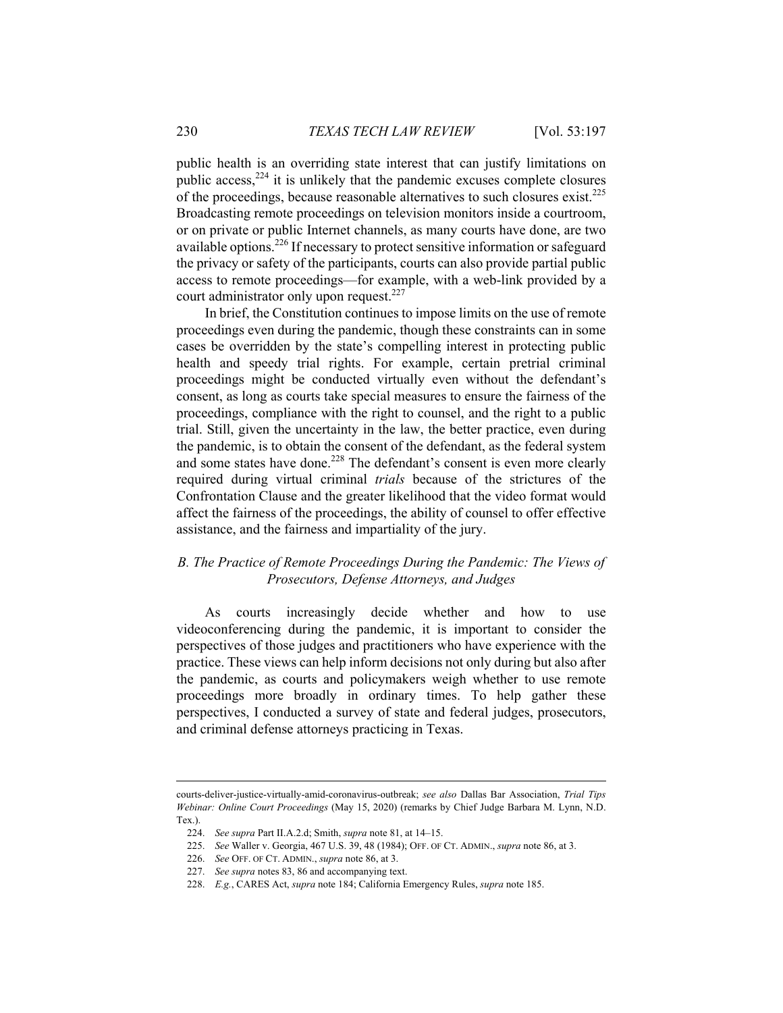public health is an overriding state interest that can justify limitations on public access, $2^{24}$  it is unlikely that the pandemic excuses complete closures of the proceedings, because reasonable alternatives to such closures exist.225 Broadcasting remote proceedings on television monitors inside a courtroom, or on private or public Internet channels, as many courts have done, are two available options.<sup>226</sup> If necessary to protect sensitive information or safeguard the privacy or safety of the participants, courts can also provide partial public access to remote proceedings—for example, with a web-link provided by a court administrator only upon request.<sup>227</sup>

In brief, the Constitution continues to impose limits on the use of remote proceedings even during the pandemic, though these constraints can in some cases be overridden by the state's compelling interest in protecting public health and speedy trial rights. For example, certain pretrial criminal proceedings might be conducted virtually even without the defendant's consent, as long as courts take special measures to ensure the fairness of the proceedings, compliance with the right to counsel, and the right to a public trial. Still, given the uncertainty in the law, the better practice, even during the pandemic, is to obtain the consent of the defendant, as the federal system and some states have done.<sup>228</sup> The defendant's consent is even more clearly required during virtual criminal *trials* because of the strictures of the Confrontation Clause and the greater likelihood that the video format would affect the fairness of the proceedings, the ability of counsel to offer effective assistance, and the fairness and impartiality of the jury.

### *B. The Practice of Remote Proceedings During the Pandemic: The Views of Prosecutors, Defense Attorneys, and Judges*

As courts increasingly decide whether and how to use videoconferencing during the pandemic, it is important to consider the perspectives of those judges and practitioners who have experience with the practice. These views can help inform decisions not only during but also after the pandemic, as courts and policymakers weigh whether to use remote proceedings more broadly in ordinary times. To help gather these perspectives, I conducted a survey of state and federal judges, prosecutors, and criminal defense attorneys practicing in Texas.

courts-deliver-justice-virtually-amid-coronavirus-outbreak; *see also* Dallas Bar Association, *Trial Tips Webinar: Online Court Proceedings* (May 15, 2020) (remarks by Chief Judge Barbara M. Lynn, N.D. Tex.).

 <sup>224.</sup> *See supra* Part II.A.2.d; Smith, *supra* note 81, at 14–15.

 <sup>225.</sup> *See* Waller v. Georgia, 467 U.S. 39, 48 (1984); OFF. OF CT. ADMIN., *supra* note 86, at 3.

 <sup>226.</sup> *See* OFF. OF CT. ADMIN., *supra* note 86, at 3.

 <sup>227.</sup> *See supra* notes 83, 86 and accompanying text.

 <sup>228.</sup> *E.g.*, CARES Act, *supra* note 184; California Emergency Rules, *supra* note 185.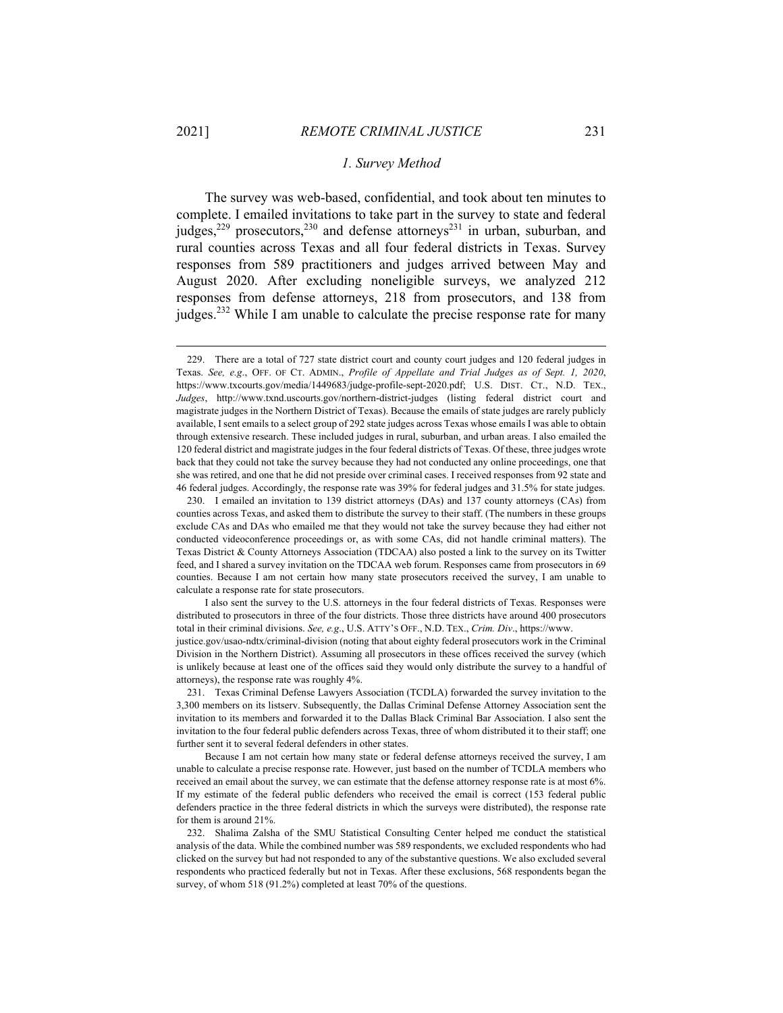#### *1. Survey Method*

The survey was web-based, confidential, and took about ten minutes to complete. I emailed invitations to take part in the survey to state and federal judges,<sup>229</sup> prosecutors,<sup>230</sup> and defense attorneys<sup>231</sup> in urban, suburban, and rural counties across Texas and all four federal districts in Texas. Survey responses from 589 practitioners and judges arrived between May and August 2020. After excluding noneligible surveys, we analyzed 212 responses from defense attorneys, 218 from prosecutors, and 138 from judges.<sup>232</sup> While I am unable to calculate the precise response rate for many

I also sent the survey to the U.S. attorneys in the four federal districts of Texas. Responses were distributed to prosecutors in three of the four districts. Those three districts have around 400 prosecutors total in their criminal divisions. *See, e.g*., U.S. ATTY'S OFF., N.D. TEX., *Crim. Div*., https://www.

justice.gov/usao-ndtx/criminal-division (noting that about eighty federal prosecutors work in the Criminal Division in the Northern District). Assuming all prosecutors in these offices received the survey (which is unlikely because at least one of the offices said they would only distribute the survey to a handful of attorneys), the response rate was roughly 4%.

 231. Texas Criminal Defense Lawyers Association (TCDLA) forwarded the survey invitation to the 3,300 members on its listserv. Subsequently, the Dallas Criminal Defense Attorney Association sent the invitation to its members and forwarded it to the Dallas Black Criminal Bar Association. I also sent the invitation to the four federal public defenders across Texas, three of whom distributed it to their staff; one further sent it to several federal defenders in other states.

Because I am not certain how many state or federal defense attorneys received the survey, I am unable to calculate a precise response rate. However, just based on the number of TCDLA members who received an email about the survey, we can estimate that the defense attorney response rate is at most 6%. If my estimate of the federal public defenders who received the email is correct (153 federal public defenders practice in the three federal districts in which the surveys were distributed), the response rate for them is around 21%.

 <sup>229.</sup> There are a total of 727 state district court and county court judges and 120 federal judges in Texas. *See, e.g*., OFF. OF CT. ADMIN., *Profile of Appellate and Trial Judges as of Sept. 1, 2020*, https://www.txcourts.gov/media/1449683/judge-profile-sept-2020.pdf; U.S. DIST. CT., N.D. TEX., *Judges*, http://www.txnd.uscourts.gov/northern-district-judges (listing federal district court and magistrate judges in the Northern District of Texas). Because the emails of state judges are rarely publicly available, I sent emails to a select group of 292 state judges across Texas whose emails I was able to obtain through extensive research. These included judges in rural, suburban, and urban areas. I also emailed the 120 federal district and magistrate judges in the four federal districts of Texas. Of these, three judges wrote back that they could not take the survey because they had not conducted any online proceedings, one that she was retired, and one that he did not preside over criminal cases. I received responses from 92 state and 46 federal judges. Accordingly, the response rate was 39% for federal judges and 31.5% for state judges.

 <sup>230.</sup> I emailed an invitation to 139 district attorneys (DAs) and 137 county attorneys (CAs) from counties across Texas, and asked them to distribute the survey to their staff. (The numbers in these groups exclude CAs and DAs who emailed me that they would not take the survey because they had either not conducted videoconference proceedings or, as with some CAs, did not handle criminal matters). The Texas District & County Attorneys Association (TDCAA) also posted a link to the survey on its Twitter feed, and I shared a survey invitation on the TDCAA web forum. Responses came from prosecutors in 69 counties. Because I am not certain how many state prosecutors received the survey, I am unable to calculate a response rate for state prosecutors.

 <sup>232.</sup> Shalima Zalsha of the SMU Statistical Consulting Center helped me conduct the statistical analysis of the data. While the combined number was 589 respondents, we excluded respondents who had clicked on the survey but had not responded to any of the substantive questions. We also excluded several respondents who practiced federally but not in Texas. After these exclusions, 568 respondents began the survey, of whom 518 (91.2%) completed at least 70% of the questions.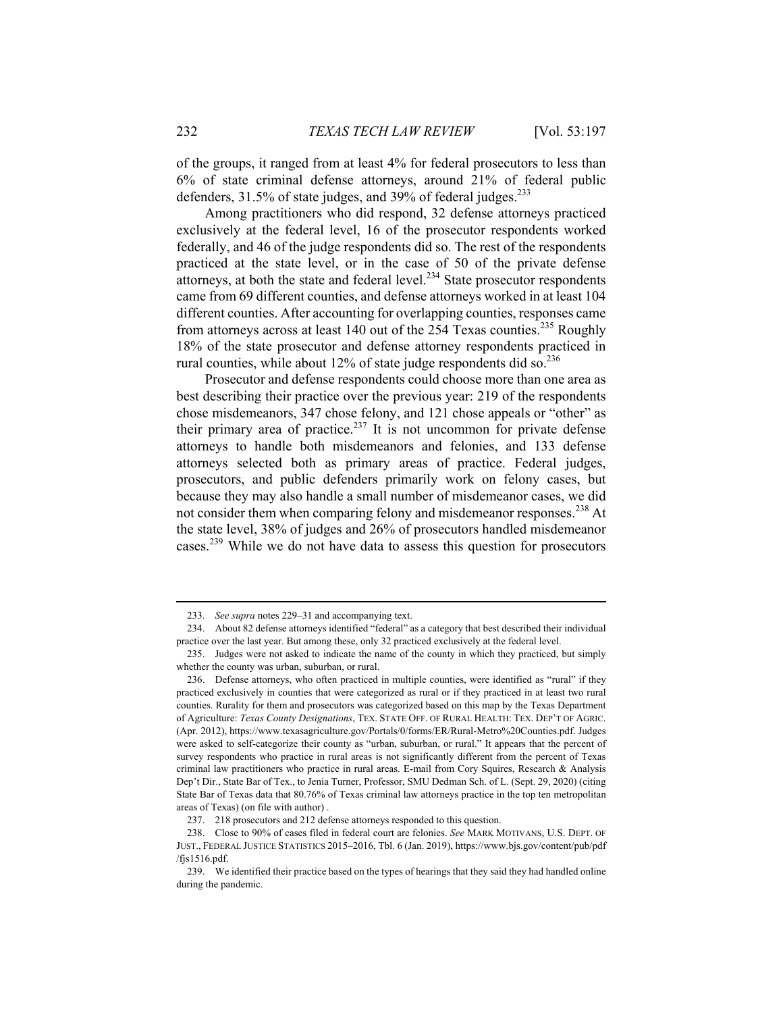of the groups, it ranged from at least 4% for federal prosecutors to less than 6% of state criminal defense attorneys, around 21% of federal public defenders, 31.5% of state judges, and 39% of federal judges.<sup>233</sup>

Among practitioners who did respond, 32 defense attorneys practiced exclusively at the federal level, 16 of the prosecutor respondents worked federally, and 46 of the judge respondents did so. The rest of the respondents practiced at the state level, or in the case of 50 of the private defense attorneys, at both the state and federal level. $^{234}$  State prosecutor respondents came from 69 different counties, and defense attorneys worked in at least 104 different counties. After accounting for overlapping counties, responses came from attorneys across at least 140 out of the 254 Texas counties.<sup>235</sup> Roughly 18% of the state prosecutor and defense attorney respondents practiced in rural counties, while about  $12\%$  of state judge respondents did so.<sup>236</sup>

Prosecutor and defense respondents could choose more than one area as best describing their practice over the previous year: 219 of the respondents chose misdemeanors, 347 chose felony, and 121 chose appeals or "other" as their primary area of practice.<sup>237</sup> It is not uncommon for private defense attorneys to handle both misdemeanors and felonies, and 133 defense attorneys selected both as primary areas of practice. Federal judges, prosecutors, and public defenders primarily work on felony cases, but because they may also handle a small number of misdemeanor cases, we did not consider them when comparing felony and misdemeanor responses.<sup>238</sup> At the state level, 38% of judges and 26% of prosecutors handled misdemeanor cases.239 While we do not have data to assess this question for prosecutors

 <sup>233.</sup> *See supra* notes 229–31 and accompanying text.

 <sup>234.</sup> About 82 defense attorneys identified "federal" as a category that best described their individual practice over the last year. But among these, only 32 practiced exclusively at the federal level.

 <sup>235.</sup> Judges were not asked to indicate the name of the county in which they practiced, but simply whether the county was urban, suburban, or rural.

 <sup>236.</sup> Defense attorneys, who often practiced in multiple counties, were identified as "rural" if they practiced exclusively in counties that were categorized as rural or if they practiced in at least two rural counties. Rurality for them and prosecutors was categorized based on this map by the Texas Department of Agriculture: *Texas County Designations*, TEX. STATE OFF. OF RURAL HEALTH: TEX. DEP'T OF AGRIC. (Apr. 2012), https://www.texasagriculture.gov/Portals/0/forms/ER/Rural-Metro%20Counties.pdf. Judges were asked to self-categorize their county as "urban, suburban, or rural." It appears that the percent of survey respondents who practice in rural areas is not significantly different from the percent of Texas criminal law practitioners who practice in rural areas. E-mail from Cory Squires, Research & Analysis Dep't Dir., State Bar of Tex., to Jenia Turner, Professor, SMU Dedman Sch. of L. (Sept. 29, 2020) (citing State Bar of Texas data that 80.76% of Texas criminal law attorneys practice in the top ten metropolitan areas of Texas) (on file with author) .

 <sup>237. 218</sup> prosecutors and 212 defense attorneys responded to this question.

 <sup>238.</sup> Close to 90% of cases filed in federal court are felonies. *See* MARK MOTIVANS, U.S. DEPT. OF JUST., FEDERAL JUSTICE STATISTICS 2015–2016, Tbl. 6 (Jan. 2019), https://www.bjs.gov/content/pub/pdf /fjs1516.pdf.

 <sup>239.</sup> We identified their practice based on the types of hearings that they said they had handled online during the pandemic.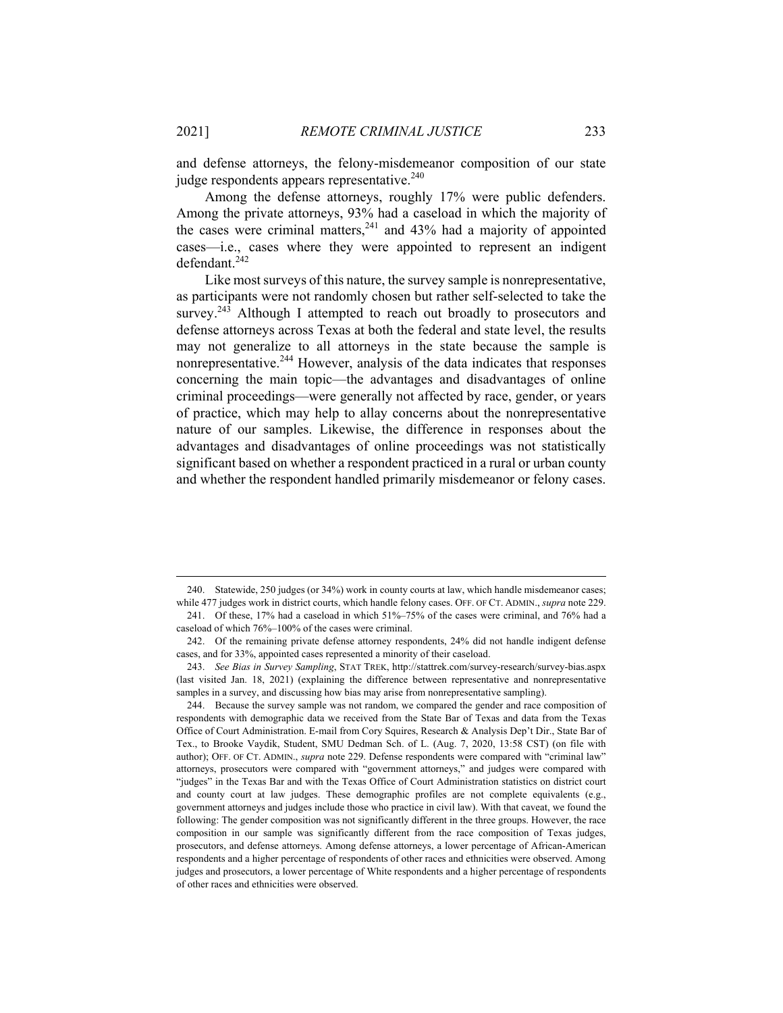and defense attorneys, the felony-misdemeanor composition of our state judge respondents appears representative.<sup>240</sup>

Among the defense attorneys, roughly 17% were public defenders. Among the private attorneys, 93% had a caseload in which the majority of the cases were criminal matters,<sup>241</sup> and 43% had a majority of appointed cases—i.e., cases where they were appointed to represent an indigent defendant.<sup>242</sup>

Like most surveys of this nature, the survey sample is nonrepresentative, as participants were not randomly chosen but rather self-selected to take the survey.<sup>243</sup> Although I attempted to reach out broadly to prosecutors and defense attorneys across Texas at both the federal and state level, the results may not generalize to all attorneys in the state because the sample is nonrepresentative.244 However, analysis of the data indicates that responses concerning the main topic—the advantages and disadvantages of online criminal proceedings—were generally not affected by race, gender, or years of practice, which may help to allay concerns about the nonrepresentative nature of our samples. Likewise, the difference in responses about the advantages and disadvantages of online proceedings was not statistically significant based on whether a respondent practiced in a rural or urban county and whether the respondent handled primarily misdemeanor or felony cases.

 <sup>240.</sup> Statewide, 250 judges (or 34%) work in county courts at law, which handle misdemeanor cases; while 477 judges work in district courts, which handle felony cases. OFF. OF CT. ADMIN., *supra* note 229. 241. Of these, 17% had a caseload in which 51%–75% of the cases were criminal, and 76% had a

caseload of which 76%–100% of the cases were criminal. 242. Of the remaining private defense attorney respondents, 24% did not handle indigent defense cases, and for 33%, appointed cases represented a minority of their caseload.

 <sup>243.</sup> *See Bias in Survey Sampling*, STAT TREK, http://stattrek.com/survey-research/survey-bias.aspx (last visited Jan. 18, 2021) (explaining the difference between representative and nonrepresentative samples in a survey, and discussing how bias may arise from nonrepresentative sampling).

 <sup>244.</sup> Because the survey sample was not random, we compared the gender and race composition of respondents with demographic data we received from the State Bar of Texas and data from the Texas Office of Court Administration. E-mail from Cory Squires, Research & Analysis Dep't Dir., State Bar of Tex., to Brooke Vaydik, Student, SMU Dedman Sch. of L. (Aug. 7, 2020, 13:58 CST) (on file with author); OFF. OF CT. ADMIN., *supra* note 229. Defense respondents were compared with "criminal law" attorneys, prosecutors were compared with "government attorneys," and judges were compared with "judges" in the Texas Bar and with the Texas Office of Court Administration statistics on district court and county court at law judges. These demographic profiles are not complete equivalents (e.g., government attorneys and judges include those who practice in civil law). With that caveat, we found the following: The gender composition was not significantly different in the three groups. However, the race composition in our sample was significantly different from the race composition of Texas judges, prosecutors, and defense attorneys. Among defense attorneys, a lower percentage of African-American respondents and a higher percentage of respondents of other races and ethnicities were observed. Among judges and prosecutors, a lower percentage of White respondents and a higher percentage of respondents of other races and ethnicities were observed.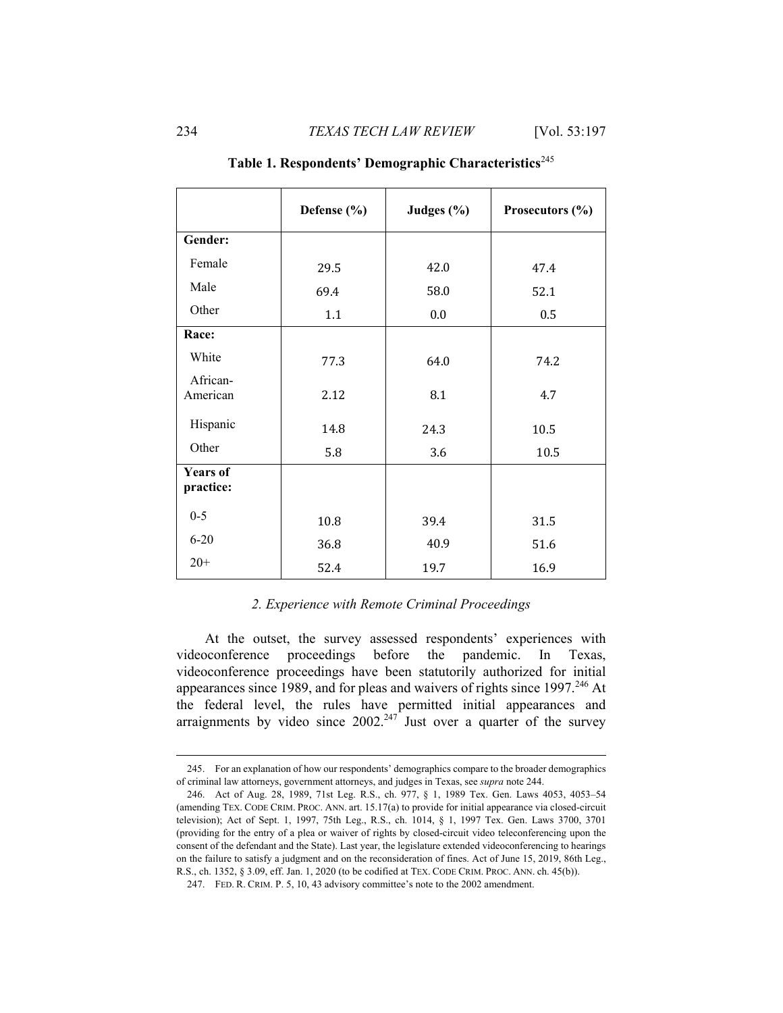|                              | Defense (%) | Judges (%) | Prosecutors (%) |
|------------------------------|-------------|------------|-----------------|
| Gender:                      |             |            |                 |
| Female                       | 29.5        | 42.0       | 47.4            |
| Male                         | 69.4        | 58.0       | 52.1            |
| Other                        | 1.1         | 0.0        | 0.5             |
| Race:                        |             |            |                 |
| White                        | 77.3        | 64.0       | 74.2            |
| African-<br>American         | 2.12        | 8.1        | 4.7             |
| Hispanic                     | 14.8        | 24.3       | 10.5            |
| Other                        | 5.8         | 3.6        | 10.5            |
| <b>Years of</b><br>practice: |             |            |                 |
| $0 - 5$                      | 10.8        | 39.4       | 31.5            |
| $6 - 20$                     | 36.8        | 40.9       | 51.6            |
| $20+$                        | 52.4        | 19.7       | 16.9            |

# Table 1. Respondents' Demographic Characteristics<sup>245</sup>

## *2. Experience with Remote Criminal Proceedings*

At the outset, the survey assessed respondents' experiences with videoconference proceedings before the pandemic. In Texas, videoconference proceedings have been statutorily authorized for initial appearances since 1989, and for pleas and waivers of rights since 1997.<sup>246</sup> At the federal level, the rules have permitted initial appearances and arraignments by video since  $2002.<sup>247</sup>$  Just over a quarter of the survey

 <sup>245.</sup> For an explanation of how our respondents' demographics compare to the broader demographics of criminal law attorneys, government attorneys, and judges in Texas, see *supra* note 244.

 <sup>246.</sup> Act of Aug. 28, 1989, 71st Leg. R.S., ch. 977, § 1, 1989 Tex. Gen. Laws 4053, 4053–54 (amending TEX. CODE CRIM. PROC. ANN. art. 15.17(a) to provide for initial appearance via closed-circuit television); Act of Sept. 1, 1997, 75th Leg., R.S., ch. 1014, § 1, 1997 Tex. Gen. Laws 3700, 3701 (providing for the entry of a plea or waiver of rights by closed-circuit video teleconferencing upon the consent of the defendant and the State). Last year, the legislature extended videoconferencing to hearings on the failure to satisfy a judgment and on the reconsideration of fines. Act of June 15, 2019, 86th Leg., R.S., ch. 1352, § 3.09, eff. Jan. 1, 2020 (to be codified at TEX. CODE CRIM. PROC. ANN. ch. 45(b)).

 <sup>247.</sup> FED. R. CRIM. P. 5, 10, 43 advisory committee's note to the 2002 amendment.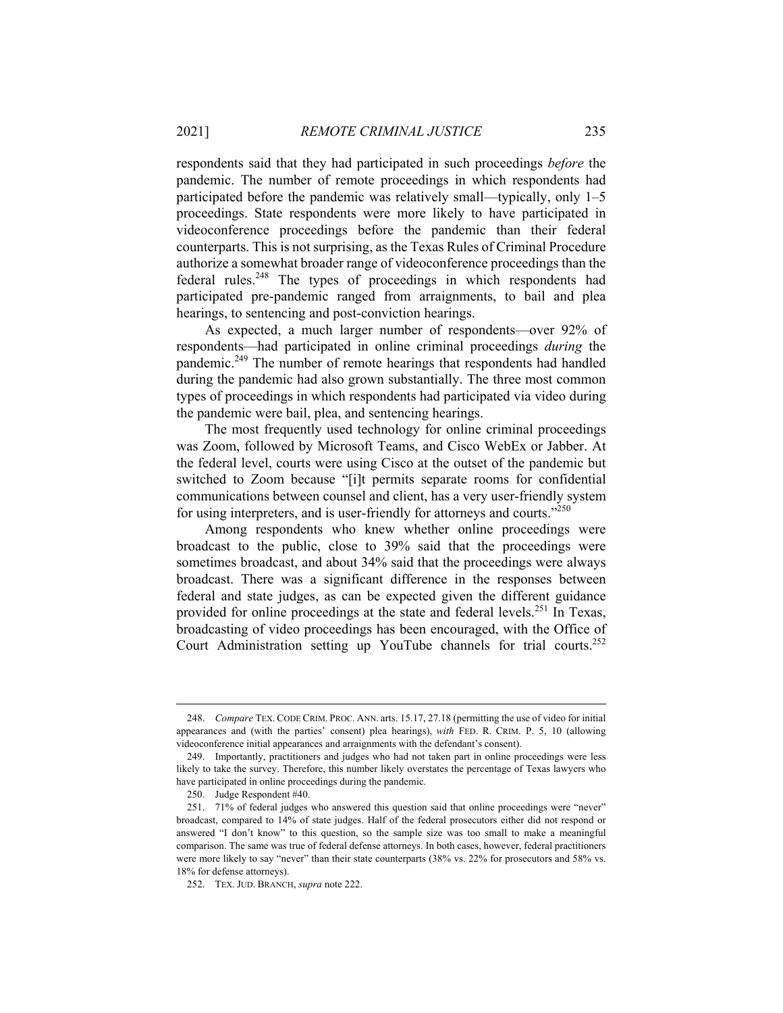respondents said that they had participated in such proceedings *before* the pandemic. The number of remote proceedings in which respondents had participated before the pandemic was relatively small—typically, only 1–5 proceedings. State respondents were more likely to have participated in videoconference proceedings before the pandemic than their federal counterparts. This is not surprising, as the Texas Rules of Criminal Procedure authorize a somewhat broader range of videoconference proceedings than the federal rules.<sup>248</sup> The types of proceedings in which respondents had participated pre-pandemic ranged from arraignments, to bail and plea hearings, to sentencing and post-conviction hearings.

As expected, a much larger number of respondents—over 92% of respondents—had participated in online criminal proceedings *during* the pandemic.249 The number of remote hearings that respondents had handled during the pandemic had also grown substantially. The three most common types of proceedings in which respondents had participated via video during the pandemic were bail, plea, and sentencing hearings.

The most frequently used technology for online criminal proceedings was Zoom, followed by Microsoft Teams, and Cisco WebEx or Jabber. At the federal level, courts were using Cisco at the outset of the pandemic but switched to Zoom because "[i]t permits separate rooms for confidential communications between counsel and client, has a very user-friendly system for using interpreters, and is user-friendly for attorneys and courts."<sup>250</sup>

Among respondents who knew whether online proceedings were broadcast to the public, close to 39% said that the proceedings were sometimes broadcast, and about 34% said that the proceedings were always broadcast. There was a significant difference in the responses between federal and state judges, as can be expected given the different guidance provided for online proceedings at the state and federal levels.<sup>251</sup> In Texas, broadcasting of video proceedings has been encouraged, with the Office of Court Administration setting up YouTube channels for trial courts.<sup>252</sup>

 <sup>248.</sup> *Compare* TEX. CODE CRIM. PROC. ANN. arts. 15.17, 27.18 (permitting the use of video for initial appearances and (with the parties' consent) plea hearings), *with* FED. R. CRIM. P. 5, 10 (allowing videoconference initial appearances and arraignments with the defendant's consent).

 <sup>249.</sup> Importantly, practitioners and judges who had not taken part in online proceedings were less likely to take the survey. Therefore, this number likely overstates the percentage of Texas lawyers who have participated in online proceedings during the pandemic.

 <sup>250.</sup> Judge Respondent #40.

 <sup>251. 71%</sup> of federal judges who answered this question said that online proceedings were "never" broadcast, compared to 14% of state judges. Half of the federal prosecutors either did not respond or answered "I don't know" to this question, so the sample size was too small to make a meaningful comparison. The same was true of federal defense attorneys. In both cases, however, federal practitioners were more likely to say "never" than their state counterparts (38% vs. 22% for prosecutors and 58% vs. 18% for defense attorneys).

 <sup>252.</sup> TEX. JUD. BRANCH, *supra* note 222.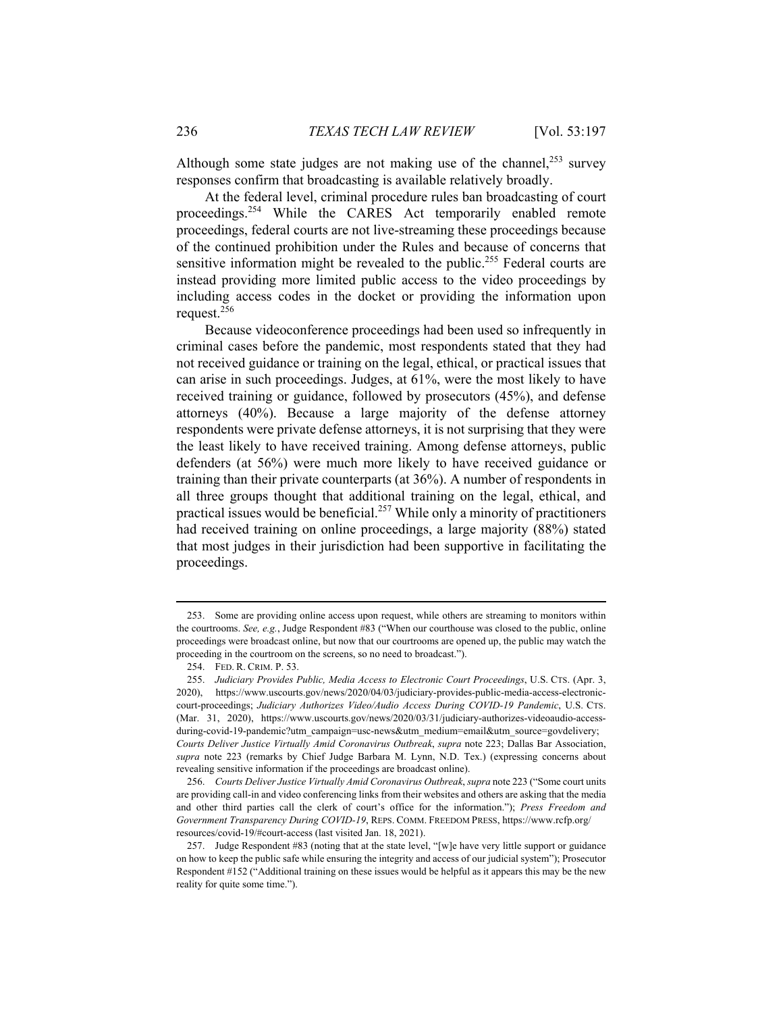Although some state judges are not making use of the channel, $^{253}$  survey responses confirm that broadcasting is available relatively broadly.

At the federal level, criminal procedure rules ban broadcasting of court proceedings.254 While the CARES Act temporarily enabled remote proceedings, federal courts are not live-streaming these proceedings because of the continued prohibition under the Rules and because of concerns that sensitive information might be revealed to the public.<sup>255</sup> Federal courts are instead providing more limited public access to the video proceedings by including access codes in the docket or providing the information upon request.<sup>256</sup>

Because videoconference proceedings had been used so infrequently in criminal cases before the pandemic, most respondents stated that they had not received guidance or training on the legal, ethical, or practical issues that can arise in such proceedings. Judges, at 61%, were the most likely to have received training or guidance, followed by prosecutors (45%), and defense attorneys (40%). Because a large majority of the defense attorney respondents were private defense attorneys, it is not surprising that they were the least likely to have received training. Among defense attorneys, public defenders (at 56%) were much more likely to have received guidance or training than their private counterparts (at 36%). A number of respondents in all three groups thought that additional training on the legal, ethical, and practical issues would be beneficial.<sup>257</sup> While only a minority of practitioners had received training on online proceedings, a large majority (88%) stated that most judges in their jurisdiction had been supportive in facilitating the proceedings.

 <sup>253.</sup> Some are providing online access upon request, while others are streaming to monitors within the courtrooms. *See, e.g.*, Judge Respondent #83 ("When our courthouse was closed to the public, online proceedings were broadcast online, but now that our courtrooms are opened up, the public may watch the proceeding in the courtroom on the screens, so no need to broadcast.").

 <sup>254.</sup> FED. R. CRIM. P. 53.

 <sup>255.</sup> *Judiciary Provides Public, Media Access to Electronic Court Proceedings*, U.S. CTS. (Apr. 3, 2020), https://www.uscourts.gov/news/2020/04/03/judiciary-provides-public-media-access-electroniccourt-proceedings; *Judiciary Authorizes Video/Audio Access During COVID-19 Pandemic*, U.S. CTS. (Mar. 31, 2020), https://www.uscourts.gov/news/2020/03/31/judiciary-authorizes-videoaudio-accessduring-covid-19-pandemic?utm\_campaign=usc-news&utm\_medium=email&utm\_source=govdelivery; *Courts Deliver Justice Virtually Amid Coronavirus Outbreak*, *supra* note 223; Dallas Bar Association, *supra* note 223 (remarks by Chief Judge Barbara M. Lynn, N.D. Tex.) (expressing concerns about revealing sensitive information if the proceedings are broadcast online).

 <sup>256.</sup> *Courts Deliver Justice Virtually Amid Coronavirus Outbreak*, *supra* note 223 ("Some court units are providing call-in and video conferencing links from their websites and others are asking that the media and other third parties call the clerk of court's office for the information."); *Press Freedom and Government Transparency During COVID-19*, REPS. COMM. FREEDOM PRESS, https://www.rcfp.org/ resources/covid-19/#court-access (last visited Jan. 18, 2021).

 <sup>257.</sup> Judge Respondent #83 (noting that at the state level, "[w]e have very little support or guidance on how to keep the public safe while ensuring the integrity and access of our judicial system"); Prosecutor Respondent #152 ("Additional training on these issues would be helpful as it appears this may be the new reality for quite some time.").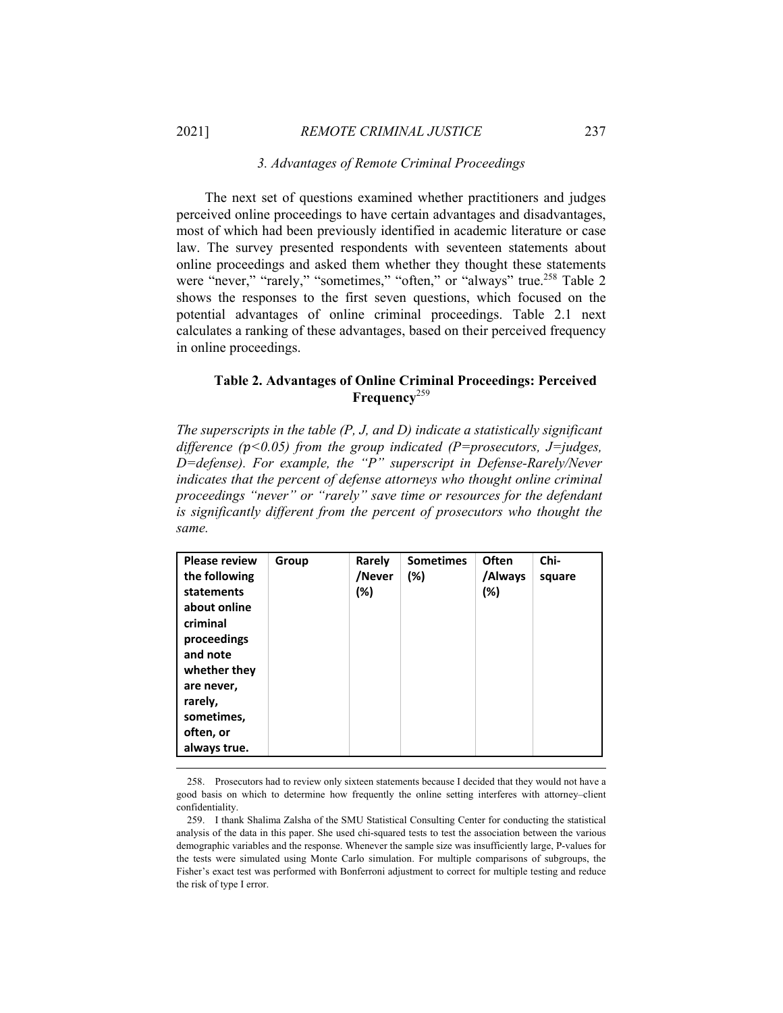#### *3. Advantages of Remote Criminal Proceedings*

The next set of questions examined whether practitioners and judges perceived online proceedings to have certain advantages and disadvantages, most of which had been previously identified in academic literature or case law. The survey presented respondents with seventeen statements about online proceedings and asked them whether they thought these statements were "never," "rarely," "sometimes," "often," or "always" true.<sup>258</sup> Table 2 shows the responses to the first seven questions, which focused on the potential advantages of online criminal proceedings. Table 2.1 next calculates a ranking of these advantages, based on their perceived frequency in online proceedings.

## **Table 2. Advantages of Online Criminal Proceedings: Perceived Frequency**<sup>259</sup>

*The superscripts in the table (P, J, and D) indicate a statistically significant difference* ( $p$ <0.05) from the group indicated ( $P=$ prosecutors,  $J=$ judges, *D=defense). For example, the "P" superscript in Defense-Rarely/Never indicates that the percent of defense attorneys who thought online criminal proceedings "never" or "rarely" save time or resources for the defendant is significantly different from the percent of prosecutors who thought the same.* 

 <sup>258.</sup> Prosecutors had to review only sixteen statements because I decided that they would not have a good basis on which to determine how frequently the online setting interferes with attorney–client confidentiality.

 <sup>259.</sup> I thank Shalima Zalsha of the SMU Statistical Consulting Center for conducting the statistical analysis of the data in this paper. She used chi-squared tests to test the association between the various demographic variables and the response. Whenever the sample size was insufficiently large, P-values for the tests were simulated using Monte Carlo simulation. For multiple comparisons of subgroups, the Fisher's exact test was performed with Bonferroni adjustment to correct for multiple testing and reduce the risk of type I error.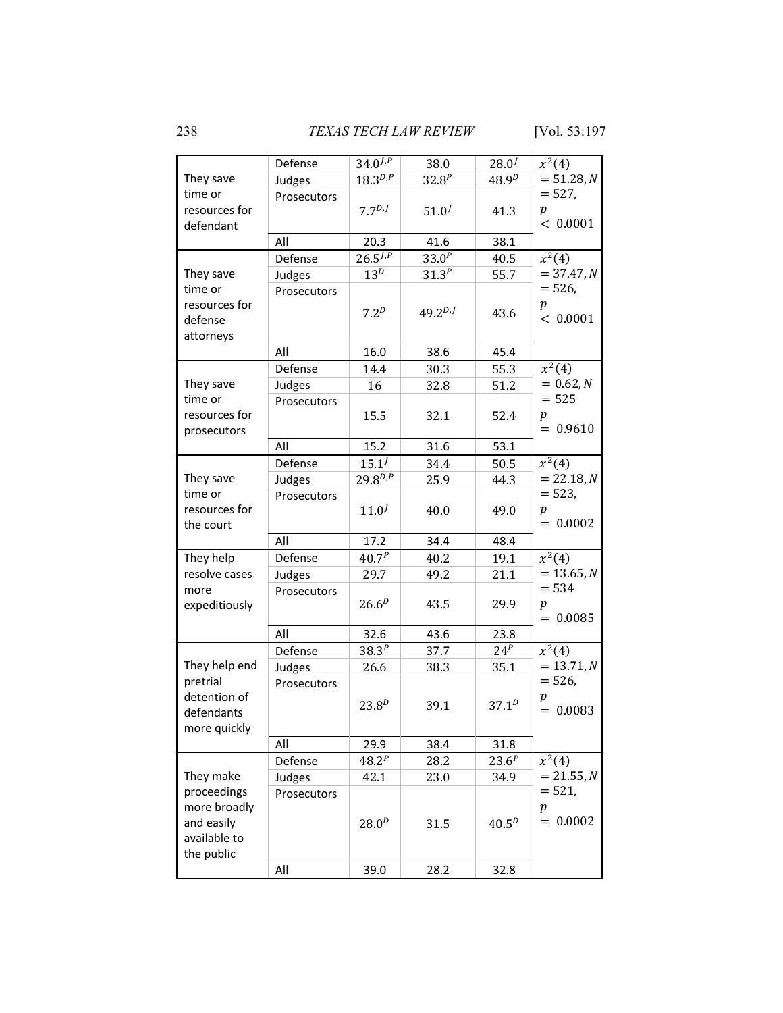238 *TEXAS TECH LAW REVIEW* [Vol. 53:197

|                                                                         | Defense           | $34.0^{J,P}$           | 38.0                     | $28.0^{J}$   | $x^2(4)$                                  |
|-------------------------------------------------------------------------|-------------------|------------------------|--------------------------|--------------|-------------------------------------------|
| They save                                                               | Judges            | $18.3^{D,P}$           | $32.8^{P}$               | $48.9^{D}$   | $= 51.28, N$                              |
| time or<br>resources for<br>defendant                                   | Prosecutors       | 7.7 <sup>D,J</sup>     | $51.0^{J}$               | 41.3         | $= 527,$<br>$\boldsymbol{p}$<br>< 0.0001  |
|                                                                         | All               | 20.3                   | 41.6                     | 38.1         |                                           |
| They save                                                               | Defense<br>Judges | $26.5^{J,P}$<br>$13^D$ | $33.0^{P}$<br>$31.3^{P}$ | 40.5<br>55.7 | $x^2(4)$<br>$= 37.47, N$                  |
| time or<br>resources for<br>defense<br>attorneys                        | Prosecutors       | 7.2 <sup>D</sup>       | $49.2^{D,J}$             | 43.6         | $= 526,$<br>$\boldsymbol{p}$<br>< 0.0001  |
|                                                                         | All               | 16.0                   | 38.6                     | 45.4         |                                           |
|                                                                         | Defense           | 14.4                   | 30.3                     | 55.3         | $x^2(4)$                                  |
| They save                                                               | Judges            | 16                     | 32.8                     | 51.2         | $= 0.62, N$                               |
| time or<br>resources for<br>prosecutors                                 | Prosecutors       | 15.5                   | 32.1                     | 52.4         | $= 525$<br>$\boldsymbol{p}$<br>$= 0.9610$ |
|                                                                         | All               | 15.2                   | 31.6                     | 53.1         |                                           |
|                                                                         | Defense           | $15.1^{J}$             | 34.4                     | 50.5         | $x^2(4)$                                  |
| They save                                                               | Judges            | $29.8^{D,P}$           | 25.9                     | 44.3         | $= 22.18, N$                              |
| time or<br>resources for<br>the court                                   | Prosecutors       | $11.0^{J}$             | 40.0                     | 49.0         | $= 523,$<br>p<br>$= 0.0002$               |
|                                                                         | All               | 17.2                   | 34.4                     | 48.4         |                                           |
| They help                                                               | Defense           | $40.7^{P}$             | 40.2                     | 19.1         | $x^2(4)$                                  |
| resolve cases                                                           | Judges            | 29.7                   | 49.2                     | 21.1         | $= 13.65, N$                              |
| more<br>expeditiously                                                   | Prosecutors       | $26.6^{D}$             | 43.5                     | 29.9         | $= 534$<br>$\boldsymbol{p}$<br>$= 0.0085$ |
|                                                                         | All               | 32.6                   | 43.6                     | 23.8         |                                           |
|                                                                         | Defense           | $38.3^{P}$             | 37.7                     | $24^P$       | $x^2(4)$                                  |
| They help end                                                           | Judges            | 26.6                   | 38.3                     | 35.1         | $= 13.71, N$                              |
| pretrial<br>detention of<br>defendants<br>more quickly                  | Prosecutors       | $23.8^{D}$             | 39.1                     | $37.1^{D}$   | $= 526,$<br>p<br>$= 0.0083$               |
|                                                                         | All               | 29.9                   | 38.4                     | 31.8         |                                           |
|                                                                         | Defense           | $48.2^{P}$             | 28.2                     | $23.6^{P}$   | $x^2(4)$                                  |
| They make                                                               | Judges            | 42.1                   | 23.0                     | 34.9         | $= 21.55, N$                              |
| proceedings<br>more broadly<br>and easily<br>available to<br>the public | Prosecutors       | $28.0^{D}$             | 31.5                     | $40.5^{D}$   | $= 521,$<br>$\,p\,$<br>$= 0.0002$         |
|                                                                         | All               | 39.0                   | 28.2                     | 32.8         |                                           |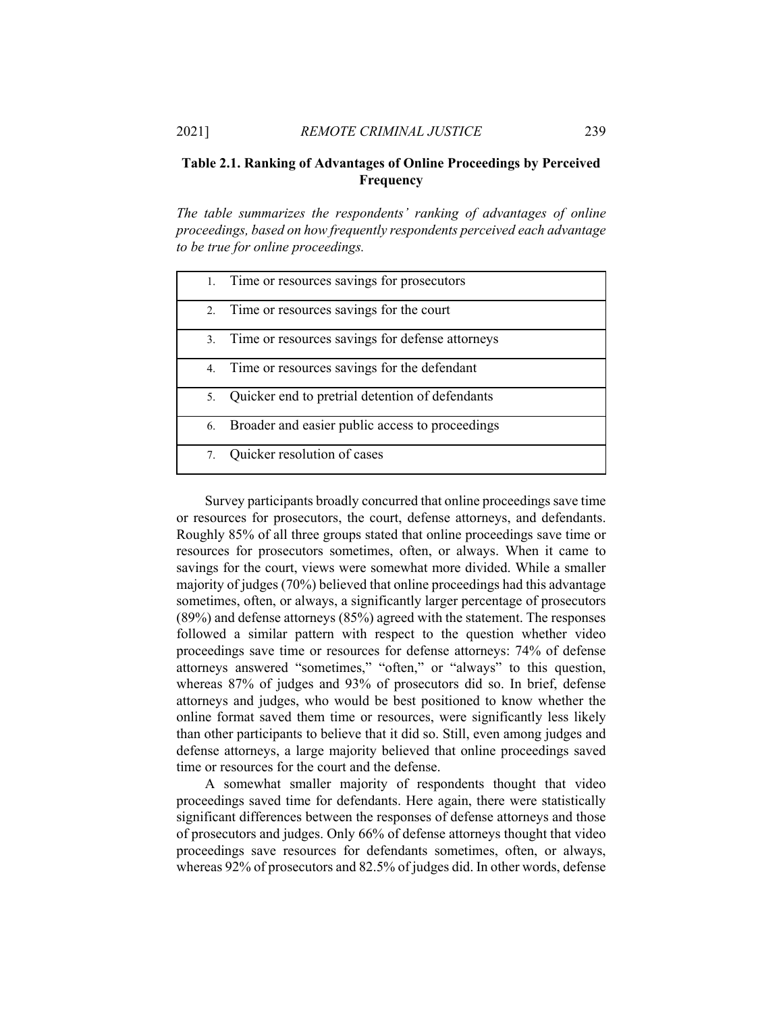# **Table 2.1. Ranking of Advantages of Online Proceedings by Perceived Frequency**

*The table summarizes the respondents' ranking of advantages of online proceedings, based on how frequently respondents perceived each advantage to be true for online proceedings.* 

|    | 1. Time or resources savings for prosecutors       |
|----|----------------------------------------------------|
| 2. | Time or resources savings for the court            |
|    | 3. Time or resources savings for defense attorneys |
|    | 4. Time or resources savings for the defendant     |
| 5. | Quicker end to pretrial detention of defendants    |
| 6. | Broader and easier public access to proceedings    |
| 7. | Quicker resolution of cases                        |

Survey participants broadly concurred that online proceedings save time or resources for prosecutors, the court, defense attorneys, and defendants. Roughly 85% of all three groups stated that online proceedings save time or resources for prosecutors sometimes, often, or always. When it came to savings for the court, views were somewhat more divided. While a smaller majority of judges (70%) believed that online proceedings had this advantage sometimes, often, or always, a significantly larger percentage of prosecutors (89%) and defense attorneys (85%) agreed with the statement. The responses followed a similar pattern with respect to the question whether video proceedings save time or resources for defense attorneys: 74% of defense attorneys answered "sometimes," "often," or "always" to this question, whereas 87% of judges and 93% of prosecutors did so. In brief, defense attorneys and judges, who would be best positioned to know whether the online format saved them time or resources, were significantly less likely than other participants to believe that it did so. Still, even among judges and defense attorneys, a large majority believed that online proceedings saved time or resources for the court and the defense.

A somewhat smaller majority of respondents thought that video proceedings saved time for defendants. Here again, there were statistically significant differences between the responses of defense attorneys and those of prosecutors and judges. Only 66% of defense attorneys thought that video proceedings save resources for defendants sometimes, often, or always, whereas 92% of prosecutors and 82.5% of judges did. In other words, defense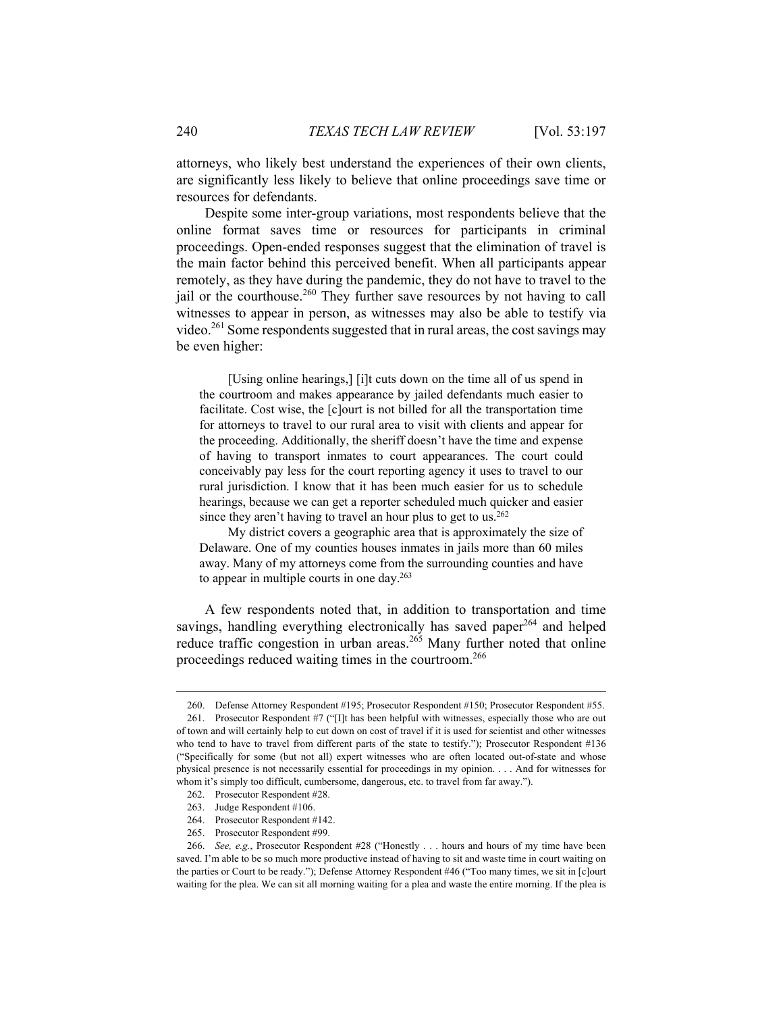attorneys, who likely best understand the experiences of their own clients, are significantly less likely to believe that online proceedings save time or resources for defendants.

Despite some inter-group variations, most respondents believe that the online format saves time or resources for participants in criminal proceedings. Open-ended responses suggest that the elimination of travel is the main factor behind this perceived benefit. When all participants appear remotely, as they have during the pandemic, they do not have to travel to the jail or the courthouse.<sup>260</sup> They further save resources by not having to call witnesses to appear in person, as witnesses may also be able to testify via video.<sup>261</sup> Some respondents suggested that in rural areas, the cost savings may be even higher:

[Using online hearings,] [i]t cuts down on the time all of us spend in the courtroom and makes appearance by jailed defendants much easier to facilitate. Cost wise, the [c]ourt is not billed for all the transportation time for attorneys to travel to our rural area to visit with clients and appear for the proceeding. Additionally, the sheriff doesn't have the time and expense of having to transport inmates to court appearances. The court could conceivably pay less for the court reporting agency it uses to travel to our rural jurisdiction. I know that it has been much easier for us to schedule hearings, because we can get a reporter scheduled much quicker and easier since they aren't having to travel an hour plus to get to us.<sup>262</sup>

My district covers a geographic area that is approximately the size of Delaware. One of my counties houses inmates in jails more than 60 miles away. Many of my attorneys come from the surrounding counties and have to appear in multiple courts in one day.263

A few respondents noted that, in addition to transportation and time savings, handling everything electronically has saved paper $^{264}$  and helped reduce traffic congestion in urban areas.<sup>265</sup> Many further noted that online proceedings reduced waiting times in the courtroom.<sup>266</sup>

 <sup>260.</sup> Defense Attorney Respondent #195; Prosecutor Respondent #150; Prosecutor Respondent #55. 261. Prosecutor Respondent #7 ("[I]t has been helpful with witnesses, especially those who are out of town and will certainly help to cut down on cost of travel if it is used for scientist and other witnesses who tend to have to travel from different parts of the state to testify."); Prosecutor Respondent #136 ("Specifically for some (but not all) expert witnesses who are often located out-of-state and whose physical presence is not necessarily essential for proceedings in my opinion. . . . And for witnesses for whom it's simply too difficult, cumbersome, dangerous, etc. to travel from far away.").

 <sup>262.</sup> Prosecutor Respondent #28.

 <sup>263.</sup> Judge Respondent #106.

 <sup>264.</sup> Prosecutor Respondent #142.

 <sup>265.</sup> Prosecutor Respondent #99.

 <sup>266.</sup> *See, e.g.*, Prosecutor Respondent #28 ("Honestly . . . hours and hours of my time have been saved. I'm able to be so much more productive instead of having to sit and waste time in court waiting on the parties or Court to be ready."); Defense Attorney Respondent #46 ("Too many times, we sit in [c]ourt waiting for the plea. We can sit all morning waiting for a plea and waste the entire morning. If the plea is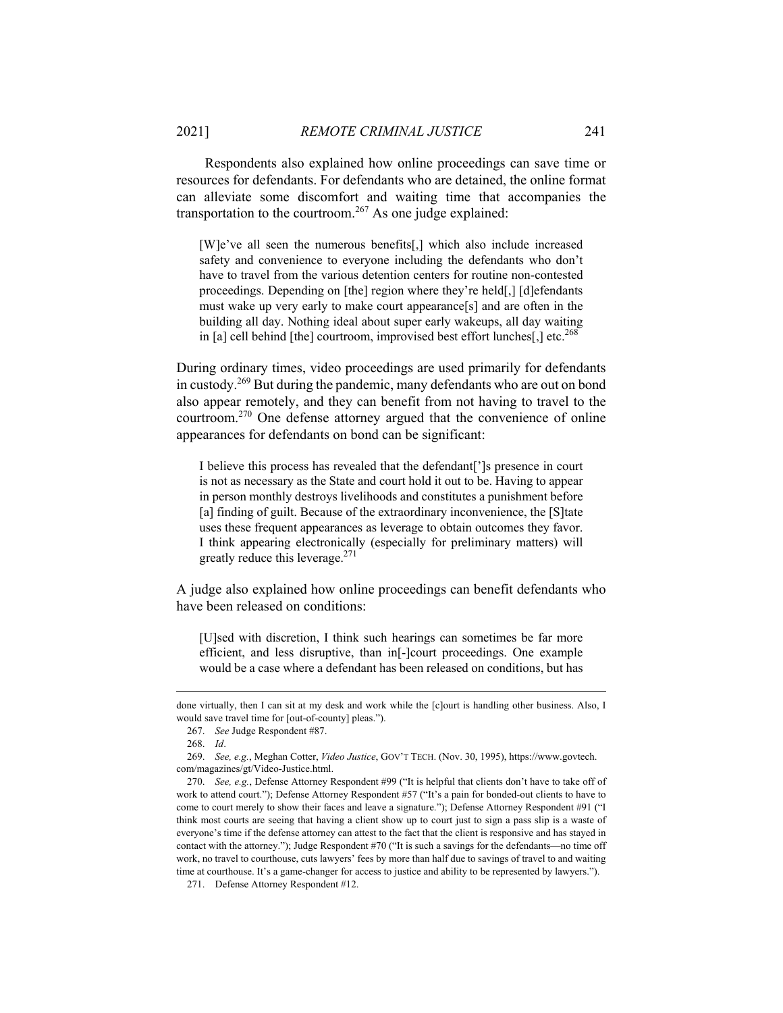Respondents also explained how online proceedings can save time or resources for defendants. For defendants who are detained, the online format can alleviate some discomfort and waiting time that accompanies the transportation to the courtroom.<sup>267</sup> As one judge explained:

[W]e've all seen the numerous benefits[,] which also include increased safety and convenience to everyone including the defendants who don't have to travel from the various detention centers for routine non-contested proceedings. Depending on [the] region where they're held[,] [d]efendants must wake up very early to make court appearance[s] and are often in the building all day. Nothing ideal about super early wakeups, all day waiting in [a] cell behind [the] courtroom, improvised best effort lunches[,] etc.<sup>268</sup>

During ordinary times, video proceedings are used primarily for defendants in custody.269 But during the pandemic, many defendants who are out on bond also appear remotely, and they can benefit from not having to travel to the courtroom.270 One defense attorney argued that the convenience of online appearances for defendants on bond can be significant:

I believe this process has revealed that the defendant[']s presence in court is not as necessary as the State and court hold it out to be. Having to appear in person monthly destroys livelihoods and constitutes a punishment before [a] finding of guilt. Because of the extraordinary inconvenience, the [S]tate uses these frequent appearances as leverage to obtain outcomes they favor. I think appearing electronically (especially for preliminary matters) will greatly reduce this leverage. $271$ 

A judge also explained how online proceedings can benefit defendants who have been released on conditions:

[U]sed with discretion, I think such hearings can sometimes be far more efficient, and less disruptive, than in[-]court proceedings. One example would be a case where a defendant has been released on conditions, but has

done virtually, then I can sit at my desk and work while the [c]ourt is handling other business. Also, I would save travel time for [out-of-county] pleas.").

 <sup>267.</sup> *See* Judge Respondent #87.

 <sup>268.</sup> *Id*.

 <sup>269.</sup> *See, e.g.*, Meghan Cotter, *Video Justice*, GOV'T TECH. (Nov. 30, 1995), https://www.govtech. com/magazines/gt/Video-Justice.html.

 <sup>270.</sup> *See, e.g.*, Defense Attorney Respondent #99 ("It is helpful that clients don't have to take off of work to attend court."); Defense Attorney Respondent #57 ("It's a pain for bonded-out clients to have to come to court merely to show their faces and leave a signature."); Defense Attorney Respondent #91 ("I think most courts are seeing that having a client show up to court just to sign a pass slip is a waste of everyone's time if the defense attorney can attest to the fact that the client is responsive and has stayed in contact with the attorney."); Judge Respondent #70 ("It is such a savings for the defendants—no time off work, no travel to courthouse, cuts lawyers' fees by more than half due to savings of travel to and waiting time at courthouse. It's a game-changer for access to justice and ability to be represented by lawyers.").

 <sup>271.</sup> Defense Attorney Respondent #12.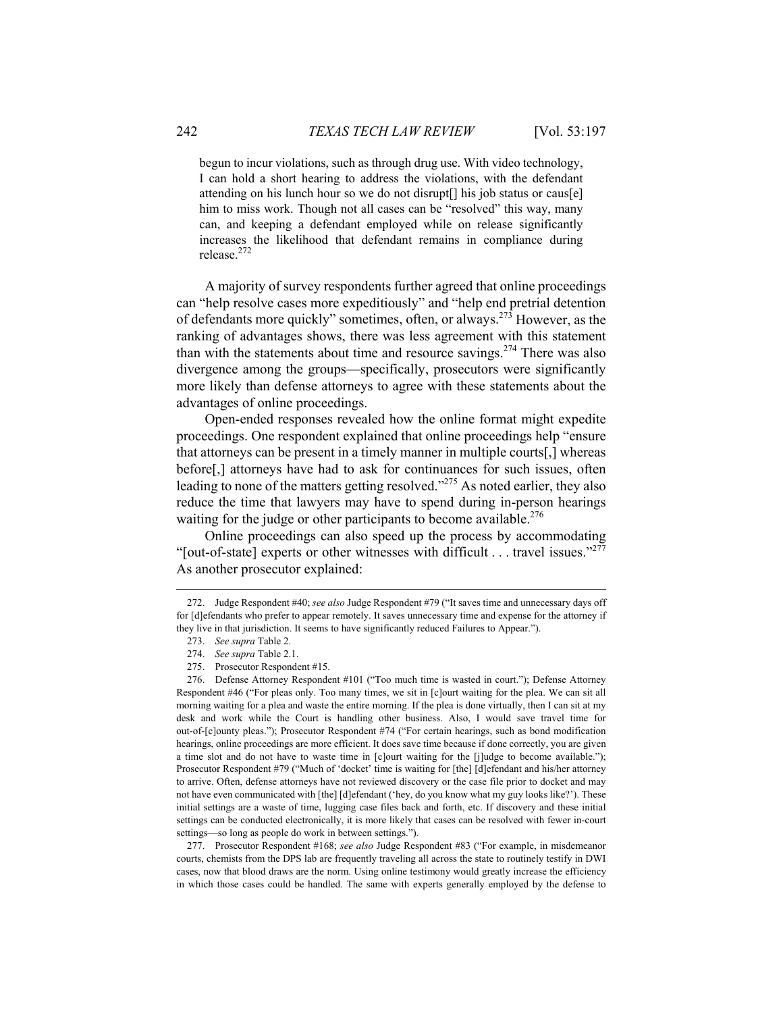begun to incur violations, such as through drug use. With video technology, I can hold a short hearing to address the violations, with the defendant attending on his lunch hour so we do not disrupt[] his job status or caus[e] him to miss work. Though not all cases can be "resolved" this way, many can, and keeping a defendant employed while on release significantly increases the likelihood that defendant remains in compliance during release.272

A majority of survey respondents further agreed that online proceedings can "help resolve cases more expeditiously" and "help end pretrial detention of defendants more quickly" sometimes, often, or always.273 However, as the ranking of advantages shows, there was less agreement with this statement than with the statements about time and resource savings.<sup>274</sup> There was also divergence among the groups—specifically, prosecutors were significantly more likely than defense attorneys to agree with these statements about the advantages of online proceedings.

Open-ended responses revealed how the online format might expedite proceedings. One respondent explained that online proceedings help "ensure that attorneys can be present in a timely manner in multiple courts[,] whereas before[,] attorneys have had to ask for continuances for such issues, often leading to none of the matters getting resolved."<sup>275</sup> As noted earlier, they also reduce the time that lawyers may have to spend during in-person hearings waiting for the judge or other participants to become available.<sup>276</sup>

Online proceedings can also speed up the process by accommodating "[out-of-state] experts or other witnesses with difficult  $\dots$  travel issues."<sup>277</sup> As another prosecutor explained:

 $\overline{a}$ 

 277. Prosecutor Respondent #168; *see also* Judge Respondent #83 ("For example, in misdemeanor courts, chemists from the DPS lab are frequently traveling all across the state to routinely testify in DWI cases, now that blood draws are the norm. Using online testimony would greatly increase the efficiency in which those cases could be handled. The same with experts generally employed by the defense to

 <sup>272.</sup> Judge Respondent #40; *see also* Judge Respondent #79 ("It saves time and unnecessary days off for [d]efendants who prefer to appear remotely. It saves unnecessary time and expense for the attorney if they live in that jurisdiction. It seems to have significantly reduced Failures to Appear.").

 <sup>273.</sup> *See supra* Table 2.

 <sup>274.</sup> *See supra* Table 2.1.

 <sup>275.</sup> Prosecutor Respondent #15.

 <sup>276.</sup> Defense Attorney Respondent #101 ("Too much time is wasted in court."); Defense Attorney Respondent #46 ("For pleas only. Too many times, we sit in [c]ourt waiting for the plea. We can sit all morning waiting for a plea and waste the entire morning. If the plea is done virtually, then I can sit at my desk and work while the Court is handling other business. Also, I would save travel time for out-of-[c]ounty pleas."); Prosecutor Respondent #74 ("For certain hearings, such as bond modification hearings, online proceedings are more efficient. It does save time because if done correctly, you are given a time slot and do not have to waste time in [c]ourt waiting for the [j]udge to become available."); Prosecutor Respondent #79 ("Much of 'docket' time is waiting for [the] [d]efendant and his/her attorney to arrive. Often, defense attorneys have not reviewed discovery or the case file prior to docket and may not have even communicated with [the] [d]efendant ('hey, do you know what my guy looks like?'). These initial settings are a waste of time, lugging case files back and forth, etc. If discovery and these initial settings can be conducted electronically, it is more likely that cases can be resolved with fewer in-court settings—so long as people do work in between settings.").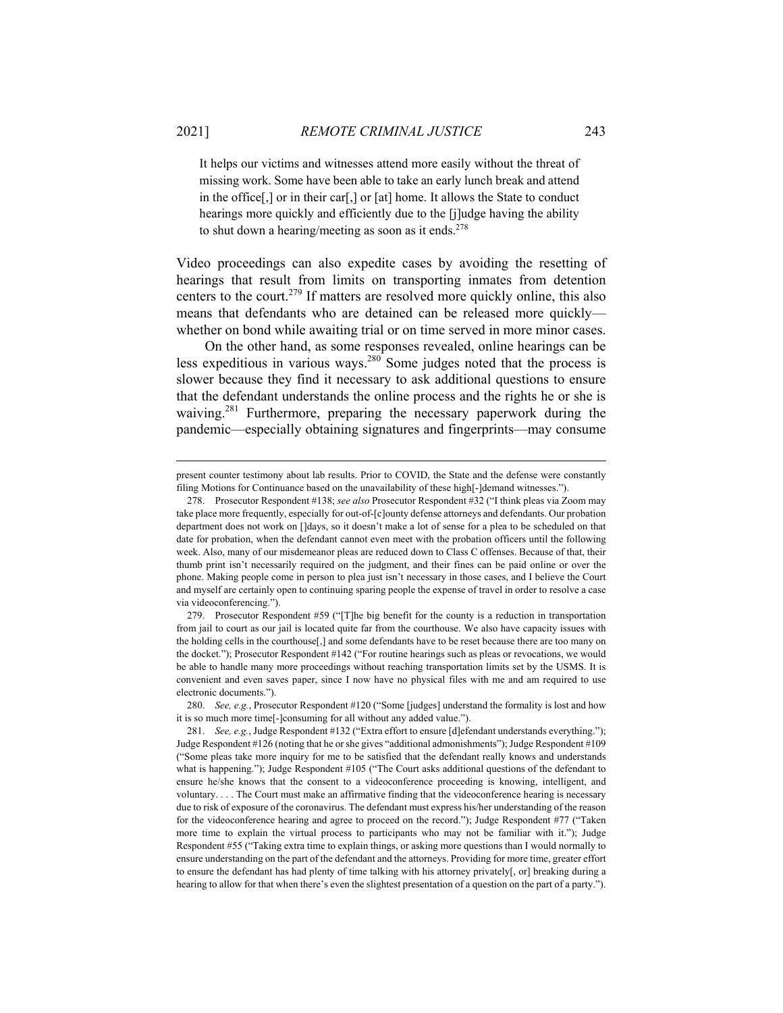It helps our victims and witnesses attend more easily without the threat of missing work. Some have been able to take an early lunch break and attend in the office[,] or in their car[,] or [at] home. It allows the State to conduct hearings more quickly and efficiently due to the [j]udge having the ability to shut down a hearing/meeting as soon as it ends. $278$ 

Video proceedings can also expedite cases by avoiding the resetting of hearings that result from limits on transporting inmates from detention centers to the court.<sup>279</sup> If matters are resolved more quickly online, this also means that defendants who are detained can be released more quickly whether on bond while awaiting trial or on time served in more minor cases.

On the other hand, as some responses revealed, online hearings can be less expeditious in various ways.<sup>280</sup> Some judges noted that the process is slower because they find it necessary to ask additional questions to ensure that the defendant understands the online process and the rights he or she is waiving.<sup>281</sup> Furthermore, preparing the necessary paperwork during the pandemic—especially obtaining signatures and fingerprints—may consume

present counter testimony about lab results. Prior to COVID, the State and the defense were constantly filing Motions for Continuance based on the unavailability of these high[-]demand witnesses.").

 <sup>278.</sup> Prosecutor Respondent #138; *see also* Prosecutor Respondent #32 ("I think pleas via Zoom may take place more frequently, especially for out-of-[c]ounty defense attorneys and defendants. Our probation department does not work on []days, so it doesn't make a lot of sense for a plea to be scheduled on that date for probation, when the defendant cannot even meet with the probation officers until the following week. Also, many of our misdemeanor pleas are reduced down to Class C offenses. Because of that, their thumb print isn't necessarily required on the judgment, and their fines can be paid online or over the phone. Making people come in person to plea just isn't necessary in those cases, and I believe the Court and myself are certainly open to continuing sparing people the expense of travel in order to resolve a case via videoconferencing.").

 <sup>279.</sup> Prosecutor Respondent #59 ("[T]he big benefit for the county is a reduction in transportation from jail to court as our jail is located quite far from the courthouse. We also have capacity issues with the holding cells in the courthouse[,] and some defendants have to be reset because there are too many on the docket."); Prosecutor Respondent #142 ("For routine hearings such as pleas or revocations, we would be able to handle many more proceedings without reaching transportation limits set by the USMS. It is convenient and even saves paper, since I now have no physical files with me and am required to use electronic documents.").

 <sup>280.</sup> *See, e.g.*, Prosecutor Respondent #120 ("Some [judges] understand the formality is lost and how it is so much more time[-]consuming for all without any added value.").

 <sup>281.</sup> *See, e.g.*, Judge Respondent #132 ("Extra effort to ensure [d]efendant understands everything."); Judge Respondent #126 (noting that he or she gives "additional admonishments"); Judge Respondent #109 ("Some pleas take more inquiry for me to be satisfied that the defendant really knows and understands what is happening."); Judge Respondent #105 ("The Court asks additional questions of the defendant to ensure he/she knows that the consent to a videoconference proceeding is knowing, intelligent, and voluntary. . . . The Court must make an affirmative finding that the videoconference hearing is necessary due to risk of exposure of the coronavirus. The defendant must express his/her understanding of the reason for the videoconference hearing and agree to proceed on the record."); Judge Respondent #77 ("Taken more time to explain the virtual process to participants who may not be familiar with it."); Judge Respondent #55 ("Taking extra time to explain things, or asking more questions than I would normally to ensure understanding on the part of the defendant and the attorneys. Providing for more time, greater effort to ensure the defendant has had plenty of time talking with his attorney privately[, or] breaking during a hearing to allow for that when there's even the slightest presentation of a question on the part of a party.").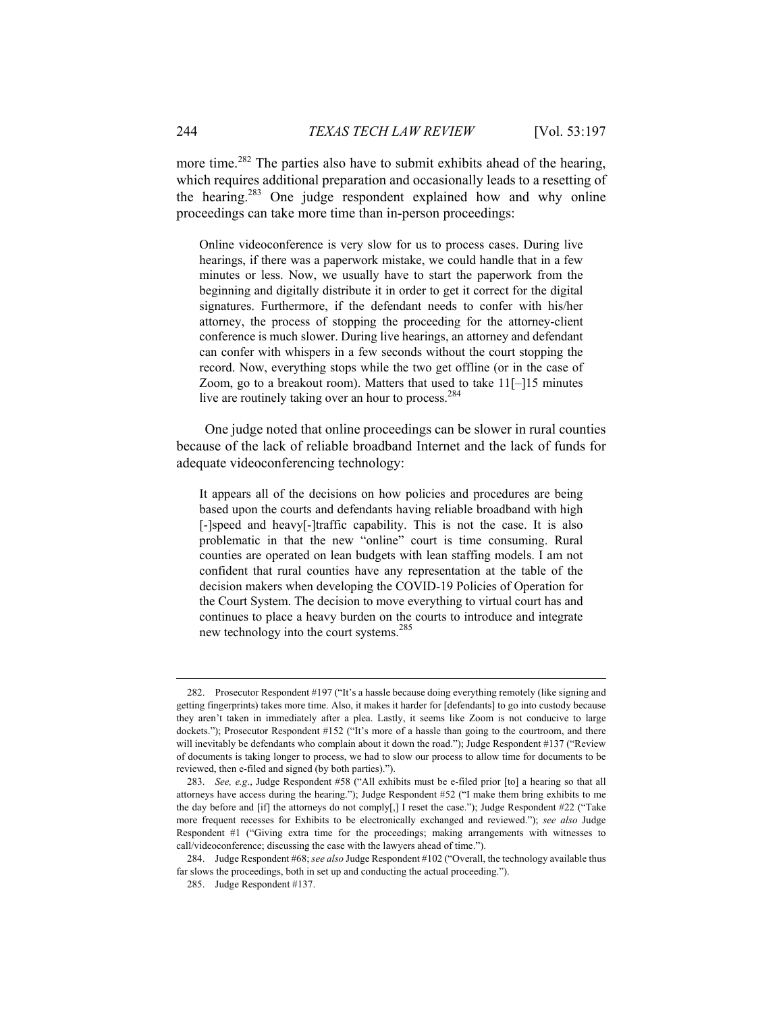more time.<sup>282</sup> The parties also have to submit exhibits ahead of the hearing, which requires additional preparation and occasionally leads to a resetting of the hearing.283 One judge respondent explained how and why online proceedings can take more time than in-person proceedings:

Online videoconference is very slow for us to process cases. During live hearings, if there was a paperwork mistake, we could handle that in a few minutes or less. Now, we usually have to start the paperwork from the beginning and digitally distribute it in order to get it correct for the digital signatures. Furthermore, if the defendant needs to confer with his/her attorney, the process of stopping the proceeding for the attorney-client conference is much slower. During live hearings, an attorney and defendant can confer with whispers in a few seconds without the court stopping the record. Now, everything stops while the two get offline (or in the case of Zoom, go to a breakout room). Matters that used to take 11[–]15 minutes live are routinely taking over an hour to process.<sup>284</sup>

One judge noted that online proceedings can be slower in rural counties because of the lack of reliable broadband Internet and the lack of funds for adequate videoconferencing technology:

It appears all of the decisions on how policies and procedures are being based upon the courts and defendants having reliable broadband with high [-]speed and heavy[-]traffic capability. This is not the case. It is also problematic in that the new "online" court is time consuming. Rural counties are operated on lean budgets with lean staffing models. I am not confident that rural counties have any representation at the table of the decision makers when developing the COVID-19 Policies of Operation for the Court System. The decision to move everything to virtual court has and continues to place a heavy burden on the courts to introduce and integrate new technology into the court systems.<sup>285</sup>

 <sup>282.</sup> Prosecutor Respondent #197 ("It's a hassle because doing everything remotely (like signing and getting fingerprints) takes more time. Also, it makes it harder for [defendants] to go into custody because they aren't taken in immediately after a plea. Lastly, it seems like Zoom is not conducive to large dockets."); Prosecutor Respondent #152 ("It's more of a hassle than going to the courtroom, and there will inevitably be defendants who complain about it down the road."); Judge Respondent #137 ("Review of documents is taking longer to process, we had to slow our process to allow time for documents to be reviewed, then e-filed and signed (by both parties).").

 <sup>283.</sup> *See, e.g*., Judge Respondent #58 ("All exhibits must be e-filed prior [to] a hearing so that all attorneys have access during the hearing."); Judge Respondent #52 ("I make them bring exhibits to me the day before and [if] the attorneys do not comply[,] I reset the case."); Judge Respondent #22 ("Take more frequent recesses for Exhibits to be electronically exchanged and reviewed."); *see also* Judge Respondent #1 ("Giving extra time for the proceedings; making arrangements with witnesses to call/videoconference; discussing the case with the lawyers ahead of time.").

 <sup>284.</sup> Judge Respondent #68; *see also* Judge Respondent #102 ("Overall, the technology available thus far slows the proceedings, both in set up and conducting the actual proceeding.").

 <sup>285.</sup> Judge Respondent #137.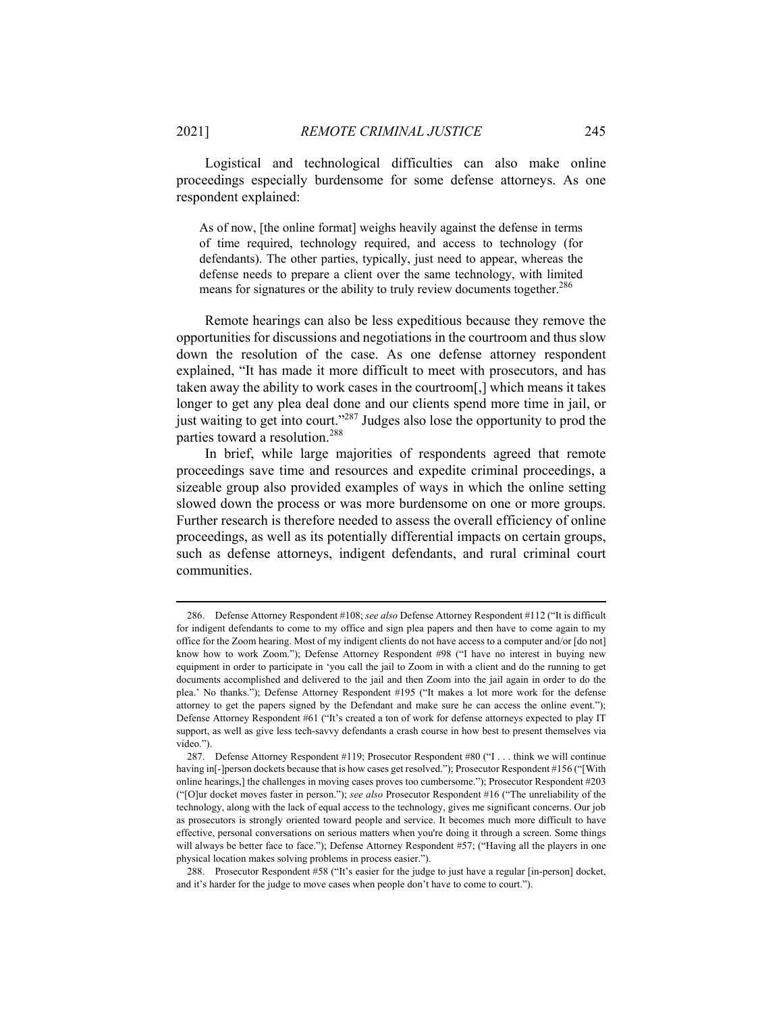Logistical and technological difficulties can also make online proceedings especially burdensome for some defense attorneys. As one respondent explained:

As of now, [the online format] weighs heavily against the defense in terms of time required, technology required, and access to technology (for defendants). The other parties, typically, just need to appear, whereas the defense needs to prepare a client over the same technology, with limited means for signatures or the ability to truly review documents together.<sup>286</sup>

Remote hearings can also be less expeditious because they remove the opportunities for discussions and negotiations in the courtroom and thus slow down the resolution of the case. As one defense attorney respondent explained, "It has made it more difficult to meet with prosecutors, and has taken away the ability to work cases in the courtroom[,] which means it takes longer to get any plea deal done and our clients spend more time in jail, or just waiting to get into court."287 Judges also lose the opportunity to prod the parties toward a resolution.<sup>288</sup>

In brief, while large majorities of respondents agreed that remote proceedings save time and resources and expedite criminal proceedings, a sizeable group also provided examples of ways in which the online setting slowed down the process or was more burdensome on one or more groups. Further research is therefore needed to assess the overall efficiency of online proceedings, as well as its potentially differential impacts on certain groups, such as defense attorneys, indigent defendants, and rural criminal court communities.

 <sup>286.</sup> Defense Attorney Respondent #108; *see also* Defense Attorney Respondent #112 ("It is difficult for indigent defendants to come to my office and sign plea papers and then have to come again to my office for the Zoom hearing. Most of my indigent clients do not have access to a computer and/or [do not] know how to work Zoom."); Defense Attorney Respondent #98 ("I have no interest in buying new equipment in order to participate in 'you call the jail to Zoom in with a client and do the running to get documents accomplished and delivered to the jail and then Zoom into the jail again in order to do the plea.' No thanks."); Defense Attorney Respondent #195 ("It makes a lot more work for the defense attorney to get the papers signed by the Defendant and make sure he can access the online event."); Defense Attorney Respondent #61 ("It's created a ton of work for defense attorneys expected to play IT support, as well as give less tech-savvy defendants a crash course in how best to present themselves via video.").

 <sup>287.</sup> Defense Attorney Respondent #119; Prosecutor Respondent #80 ("I . . . think we will continue having in[-]person dockets because that is how cases get resolved."); Prosecutor Respondent #156 ("[With online hearings,] the challenges in moving cases proves too cumbersome."); Prosecutor Respondent #203 ("[O]ur docket moves faster in person."); *see also* Prosecutor Respondent #16 ("The unreliability of the technology, along with the lack of equal access to the technology, gives me significant concerns. Our job as prosecutors is strongly oriented toward people and service. It becomes much more difficult to have effective, personal conversations on serious matters when you're doing it through a screen. Some things will always be better face to face."); Defense Attorney Respondent #57; ("Having all the players in one physical location makes solving problems in process easier.").

 <sup>288.</sup> Prosecutor Respondent #58 ("It's easier for the judge to just have a regular [in-person] docket, and it's harder for the judge to move cases when people don't have to come to court.").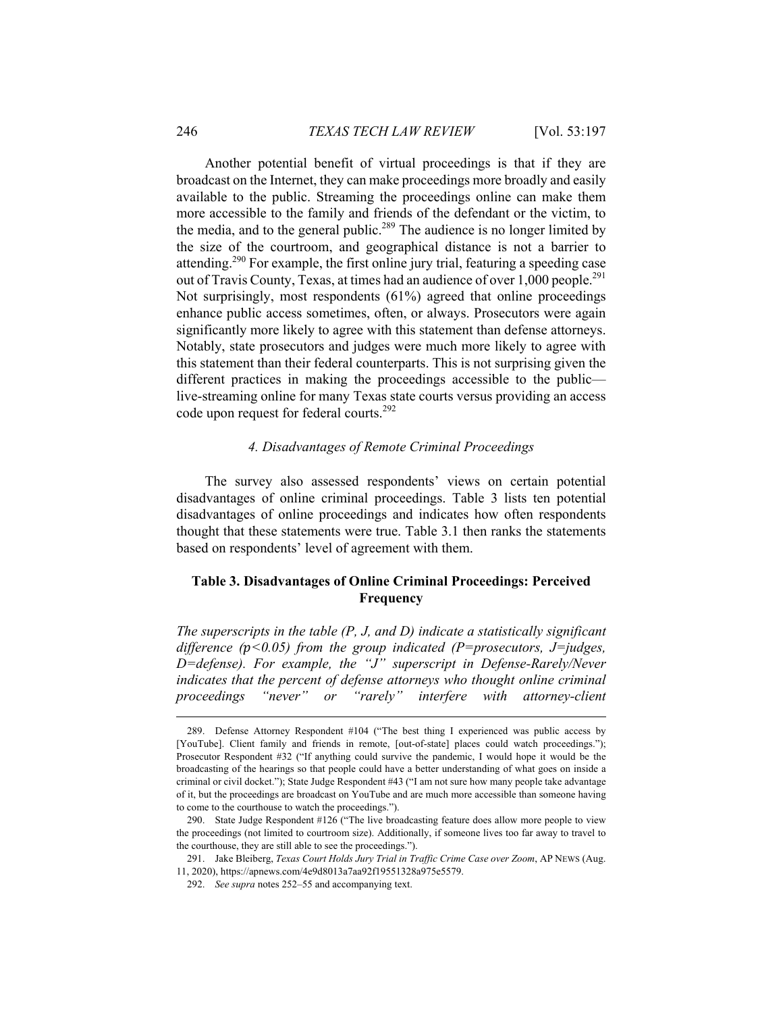Another potential benefit of virtual proceedings is that if they are broadcast on the Internet, they can make proceedings more broadly and easily available to the public. Streaming the proceedings online can make them more accessible to the family and friends of the defendant or the victim, to the media, and to the general public.<sup>289</sup> The audience is no longer limited by the size of the courtroom, and geographical distance is not a barrier to attending.290 For example, the first online jury trial, featuring a speeding case out of Travis County, Texas, at times had an audience of over 1,000 people.<sup>291</sup> Not surprisingly, most respondents (61%) agreed that online proceedings enhance public access sometimes, often, or always. Prosecutors were again significantly more likely to agree with this statement than defense attorneys. Notably, state prosecutors and judges were much more likely to agree with this statement than their federal counterparts. This is not surprising given the different practices in making the proceedings accessible to the public live-streaming online for many Texas state courts versus providing an access code upon request for federal courts.<sup>292</sup>

### *4. Disadvantages of Remote Criminal Proceedings*

The survey also assessed respondents' views on certain potential disadvantages of online criminal proceedings. Table 3 lists ten potential disadvantages of online proceedings and indicates how often respondents thought that these statements were true. Table 3.1 then ranks the statements based on respondents' level of agreement with them.

# **Table 3. Disadvantages of Online Criminal Proceedings: Perceived Frequency**

*The superscripts in the table (P, J, and D) indicate a statistically significant difference (<0.05) from the group indicated (P=prosecutors, J=judges, D=defense). For example, the "J" superscript in Defense-Rarely/Never indicates that the percent of defense attorneys who thought online criminal proceedings "never" or "rarely" interfere with attorney-client* 

 <sup>289.</sup> Defense Attorney Respondent #104 ("The best thing I experienced was public access by [YouTube]. Client family and friends in remote, [out-of-state] places could watch proceedings."); Prosecutor Respondent #32 ("If anything could survive the pandemic, I would hope it would be the broadcasting of the hearings so that people could have a better understanding of what goes on inside a criminal or civil docket."); State Judge Respondent #43 ("I am not sure how many people take advantage of it, but the proceedings are broadcast on YouTube and are much more accessible than someone having to come to the courthouse to watch the proceedings.").

 <sup>290.</sup> State Judge Respondent #126 ("The live broadcasting feature does allow more people to view the proceedings (not limited to courtroom size). Additionally, if someone lives too far away to travel to the courthouse, they are still able to see the proceedings.").

 <sup>291.</sup> Jake Bleiberg, *Texas Court Holds Jury Trial in Traffic Crime Case over Zoom*, AP NEWS (Aug. 11, 2020), https://apnews.com/4e9d8013a7aa92f19551328a975e5579.

 <sup>292.</sup> *See supra* notes 252–55 and accompanying text.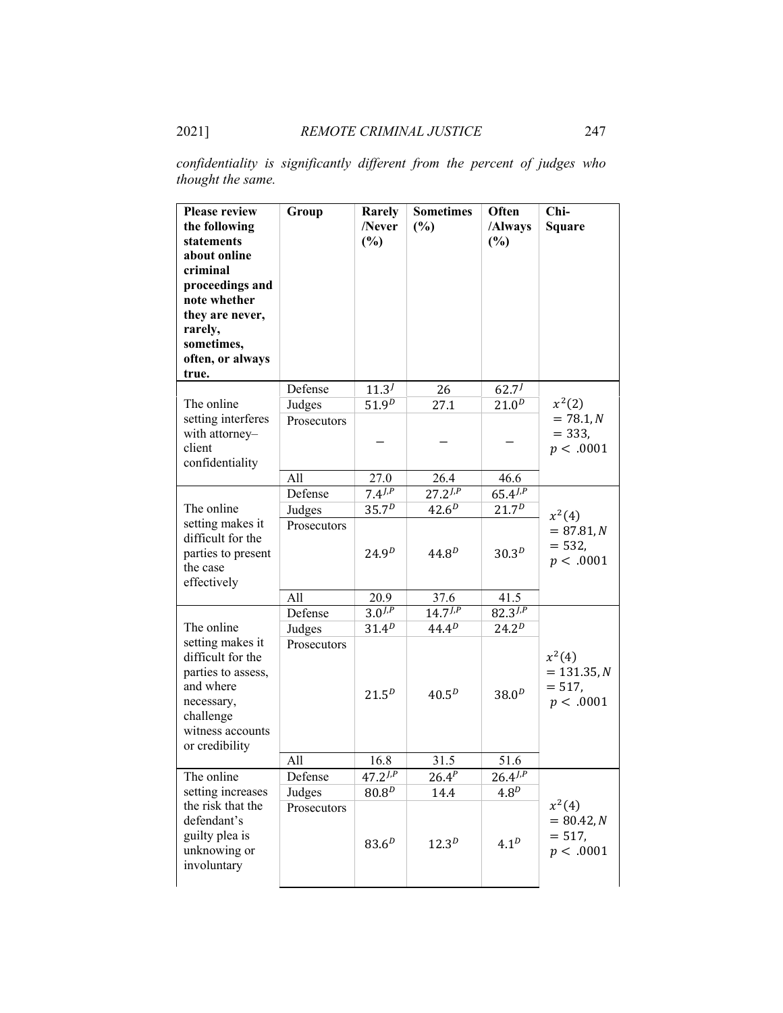*confidentiality is significantly different from the percent of judges who thought the same.*

| <b>Please review</b><br>the following<br>statements<br>about online<br>criminal<br>proceedings and<br>note whether<br>they are never,<br>rarely,<br>sometimes,<br>often, or always<br>true. | Group       | Rarely<br>/Never<br>(%) | <b>Sometimes</b><br>(%) | Often<br>/Always<br>(%) | Chi-<br><b>Square</b>                              |
|---------------------------------------------------------------------------------------------------------------------------------------------------------------------------------------------|-------------|-------------------------|-------------------------|-------------------------|----------------------------------------------------|
|                                                                                                                                                                                             | Defense     | $11.3^{J}$              | 26                      | $62.7^{J}$              |                                                    |
| The online                                                                                                                                                                                  | Judges      | 51.9 <sup>D</sup>       | 27.1                    | $21.0^{D}$              | $x^2(2)$                                           |
| setting interferes<br>with attorney-<br>client<br>confidentiality                                                                                                                           | Prosecutors |                         |                         |                         | $= 78.1, N$<br>$= 333,$<br>p < .0001               |
|                                                                                                                                                                                             | All         | 27.0                    | 26.4                    | 46.6                    |                                                    |
|                                                                                                                                                                                             | Defense     | $7.4^{J,P}$             | $27.2^{J,P}$            | $65.4^{J,P}$            |                                                    |
| The online                                                                                                                                                                                  | Judges      | 35.7 <sup>D</sup>       | $42.6^{D}$              | 21.7 <sup>D</sup>       | $x^2(4)$                                           |
| setting makes it<br>difficult for the<br>parties to present<br>the case<br>effectively                                                                                                      | Prosecutors | $24.9^{D}$              | $44.8^{D}$              | 30.3 <sup>D</sup>       | $= 87.81, N$<br>$= 532,$<br>p < .0001              |
|                                                                                                                                                                                             | All         | 20.9                    | 37.6                    | 41.5                    |                                                    |
|                                                                                                                                                                                             | Defense     | $3.0^{J,P}$             | $14.7^{J,P}$            | $82.3^{J,P}$            |                                                    |
| The online                                                                                                                                                                                  | Judges      | 31.4 <sup>D</sup>       | $44.4^{D}$              | $24.2^{D}$              |                                                    |
| setting makes it<br>difficult for the<br>parties to assess,<br>and where<br>necessary,<br>challenge<br>witness accounts<br>or credibility                                                   | Prosecutors | $21.5^{D}$              | $40.5^{D}$              | 38.0 <sup>D</sup>       | $x^2(4)$<br>$= 131.35, N$<br>$= 517,$<br>p < .0001 |
|                                                                                                                                                                                             | All         | 16.8                    | 31.5                    | 51.6                    |                                                    |
| The online                                                                                                                                                                                  | Defense     | $47.2^{J,P}$            | $26.4^{P}$              | $26.4^{J,P}$            |                                                    |
| setting increases                                                                                                                                                                           | Judges      | 80.8 <sup>D</sup>       | 14.4                    | 4.8 <sup>D</sup>        |                                                    |
| the risk that the<br>defendant's<br>guilty plea is<br>unknowing or<br>involuntary                                                                                                           | Prosecutors | $83.6^{D}$              | $12.3^{D}$              | 4.1 <sup>D</sup>        | $x^2(4)$<br>$= 80.42, N$<br>$= 517,$<br>p < .0001  |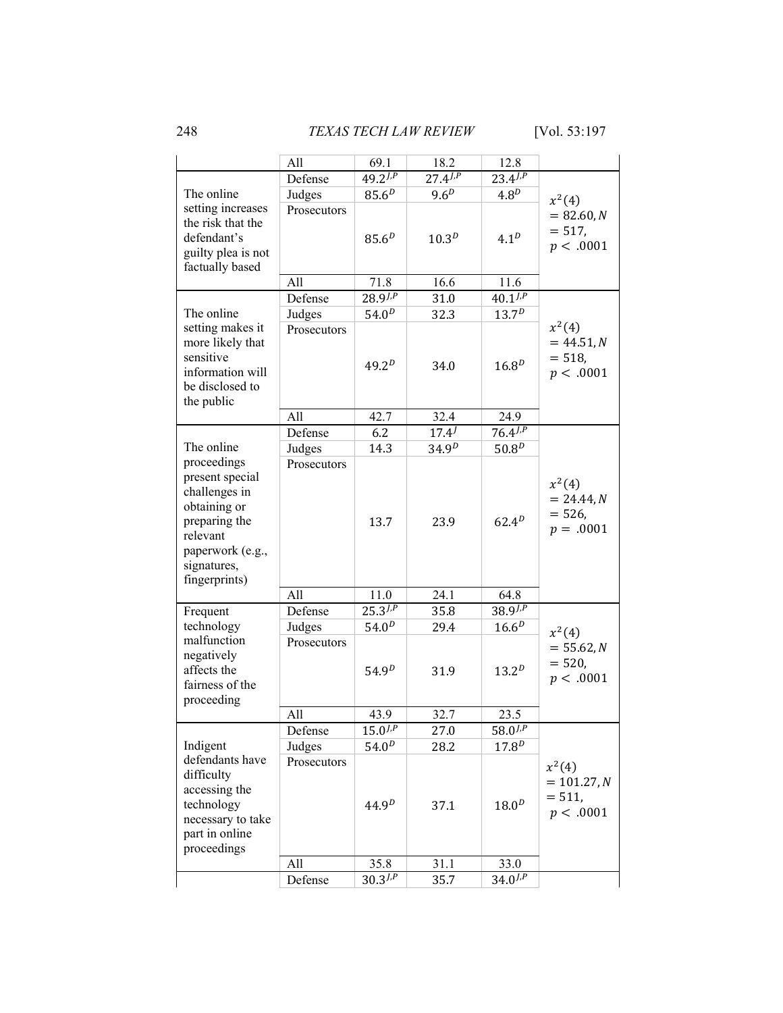248 *TEXAS TECH LAW REVIEW* [Vol. 53:197

|                                                                                                                                   | All         | 69.1              | 18.2             | 12.8              |                                                     |
|-----------------------------------------------------------------------------------------------------------------------------------|-------------|-------------------|------------------|-------------------|-----------------------------------------------------|
|                                                                                                                                   | Defense     | $49.2^{J,P}$      | $27.4^{J,P}$     | $23.4^{J,P}$      |                                                     |
| The online                                                                                                                        | Judges      | $85.6^{D}$        | 9.6 <sup>D</sup> | 4.8 <sup>D</sup>  | $x^2(4)$                                            |
| setting increases<br>the risk that the<br>defendant's<br>guilty plea is not<br>factually based                                    | Prosecutors | 85.6 <sup>D</sup> | $10.3^{D}$       | 4.1 <sup>D</sup>  | $= 82.60, N$<br>$= 517,$<br>p < .0001               |
|                                                                                                                                   | All         | 71.8              | 16.6             | 11.6              |                                                     |
|                                                                                                                                   | Defense     | $28.9^{J,P}$      | 31.0             | $40.1^{J,P}$      |                                                     |
| The online                                                                                                                        | Judges      | 54.0 <sup>D</sup> | 32.3             | $13.7^{D}$        |                                                     |
| setting makes it<br>more likely that<br>sensitive<br>information will<br>be disclosed to<br>the public                            | Prosecutors | $49.2^{D}$        | 34.0             | $16.8^{D}$        | $x^2(4)$<br>$= 44.51, N$<br>$= 518,$<br>p < .0001   |
|                                                                                                                                   | All         | 42.7              | 32.4             | 24.9              |                                                     |
|                                                                                                                                   | Defense     | 6.2               | $17.4^{j}$       | $76.4^{J,P}$      |                                                     |
| The online<br>proceedings                                                                                                         | Judges      | 14.3              | $34.9^{D}$       | 50.8 <sup>D</sup> |                                                     |
| present special<br>challenges in<br>obtaining or<br>preparing the<br>relevant<br>paperwork (e.g.,<br>signatures,<br>fingerprints) | Prosecutors | 13.7              | 23.9             | $62.4^{D}$        | $x^2(4)$<br>$= 24.44, N$<br>$= 526,$<br>$p = .0001$ |
|                                                                                                                                   | All         | 11.0              | 24.1             | 64.8              |                                                     |
| Frequent                                                                                                                          | Defense     | $25.3^{J,P}$      | 35.8             | $38.9^{J,P}$      |                                                     |
| technology                                                                                                                        | Judges      | 54.0 <sup>D</sup> | 29.4             | $16.6^{D}$        | $x^2(4)$                                            |
| malfunction<br>negatively<br>affects the<br>fairness of the<br>proceeding                                                         | Prosecutors | 54.9 <sup>D</sup> | 31.9             | $13.2^{D}$        | $= 55.62, N$<br>$= 520,$<br>p < .0001               |
|                                                                                                                                   | All         | 43.9              | 32.7             | 23.5              |                                                     |
|                                                                                                                                   | Defense     | $15.0^{J,P}$      | 27.0             | $58.0^{J,P}$      |                                                     |
| Indigent                                                                                                                          | Judges      | $54.0^{D}$        | 28.2             | $17.8^{D}$        |                                                     |
| defendants have<br>difficulty<br>accessing the<br>technology<br>necessary to take<br>part in online<br>proceedings                | Prosecutors | 44.9 <sup>D</sup> | 37.1             | 18.0 <sup>D</sup> | $x^2(4)$<br>$= 101.27, N$<br>$= 511,$<br>p < .0001  |
|                                                                                                                                   | All         | 35.8              | 31.1             | 33.0              |                                                     |
|                                                                                                                                   | Defense     | $30.3^{J,P}$      | 35.7             | $34.0^{7. P}$     |                                                     |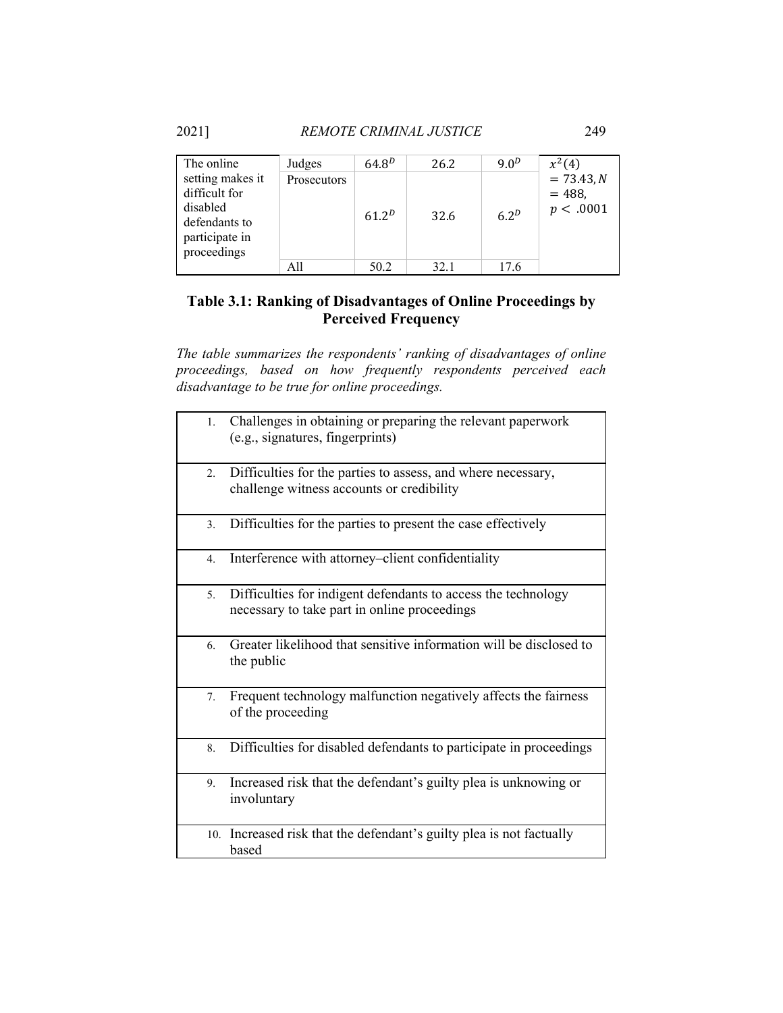2021] *REMOTE CRIMINAL JUSTICE* 249

| The online                                                                                      | Judges      | $64.8^{D}$ | 26.2 | 9.0 <sup>D</sup> | $x^2(4)$                             |
|-------------------------------------------------------------------------------------------------|-------------|------------|------|------------------|--------------------------------------|
| setting makes it<br>difficult for<br>disabled<br>defendants to<br>participate in<br>proceedings | Prosecutors | $61.2^{D}$ | 32.6 | 6.2 <sup>D</sup> | $= 73.43 N$<br>$= 488,$<br>p < .0001 |
|                                                                                                 | All         | 50.2       | 32.1 | 17.6             |                                      |

# **Table 3.1: Ranking of Disadvantages of Online Proceedings by Perceived Frequency**

*The table summarizes the respondents' ranking of disadvantages of online proceedings, based on how frequently respondents perceived each disadvantage to be true for online proceedings.* 

| 1.               | Challenges in obtaining or preparing the relevant paperwork<br>(e.g., signatures, fingerprints)               |
|------------------|---------------------------------------------------------------------------------------------------------------|
| 2.               | Difficulties for the parties to assess, and where necessary,<br>challenge witness accounts or credibility     |
| $\overline{3}$ . | Difficulties for the parties to present the case effectively                                                  |
| 4.               | Interference with attorney–client confidentiality                                                             |
| 5.               | Difficulties for indigent defendants to access the technology<br>necessary to take part in online proceedings |
| 6.               | Greater likelihood that sensitive information will be disclosed to<br>the public                              |
| 7.               | Frequent technology malfunction negatively affects the fairness<br>of the proceeding                          |
| 8.               | Difficulties for disabled defendants to participate in proceedings                                            |
| 9.               | Increased risk that the defendant's guilty plea is unknowing or<br>involuntary                                |
|                  | 10. Increased risk that the defendant's guilty plea is not factually<br>based                                 |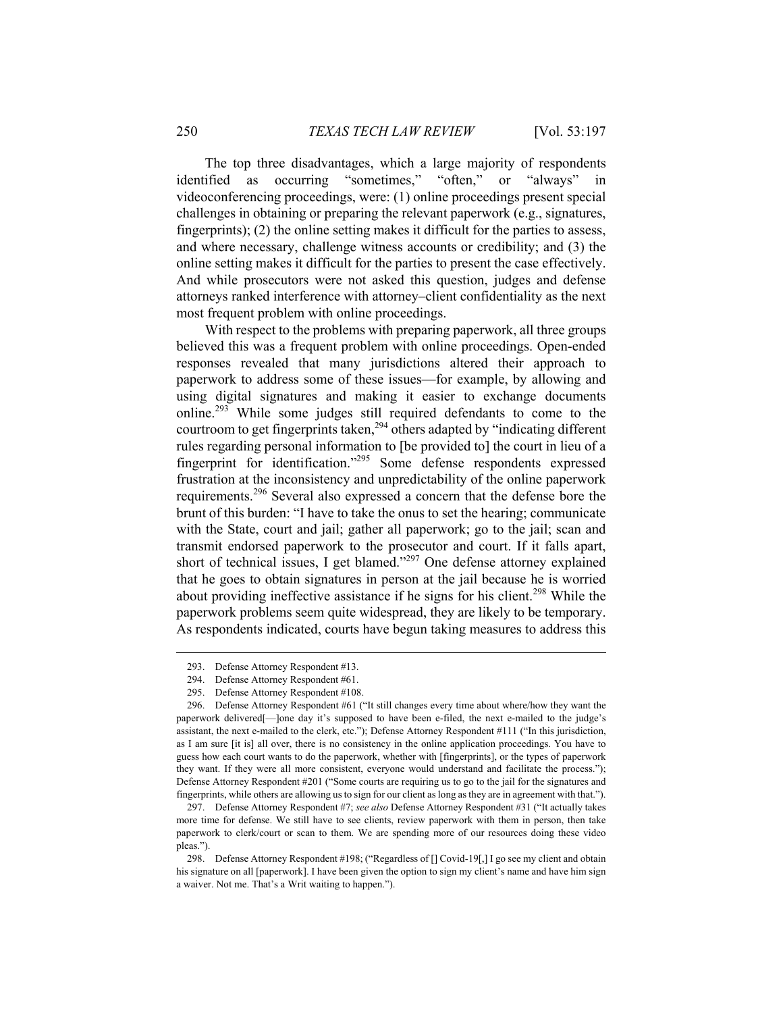The top three disadvantages, which a large majority of respondents identified as occurring "sometimes," "often," or "always" in videoconferencing proceedings, were: (1) online proceedings present special challenges in obtaining or preparing the relevant paperwork (e.g., signatures, fingerprints); (2) the online setting makes it difficult for the parties to assess, and where necessary, challenge witness accounts or credibility; and (3) the online setting makes it difficult for the parties to present the case effectively. And while prosecutors were not asked this question, judges and defense attorneys ranked interference with attorney–client confidentiality as the next most frequent problem with online proceedings.

With respect to the problems with preparing paperwork, all three groups believed this was a frequent problem with online proceedings. Open-ended responses revealed that many jurisdictions altered their approach to paperwork to address some of these issues—for example, by allowing and using digital signatures and making it easier to exchange documents online.293 While some judges still required defendants to come to the courtroom to get fingerprints taken,<sup>294</sup> others adapted by "indicating different rules regarding personal information to [be provided to] the court in lieu of a fingerprint for identification."295 Some defense respondents expressed frustration at the inconsistency and unpredictability of the online paperwork requirements.<sup>296</sup> Several also expressed a concern that the defense bore the brunt of this burden: "I have to take the onus to set the hearing; communicate with the State, court and jail; gather all paperwork; go to the jail; scan and transmit endorsed paperwork to the prosecutor and court. If it falls apart, short of technical issues, I get blamed."<sup>297</sup> One defense attorney explained that he goes to obtain signatures in person at the jail because he is worried about providing ineffective assistance if he signs for his client.<sup>298</sup> While the paperwork problems seem quite widespread, they are likely to be temporary. As respondents indicated, courts have begun taking measures to address this

 <sup>293.</sup> Defense Attorney Respondent #13.

 <sup>294.</sup> Defense Attorney Respondent #61.

 <sup>295.</sup> Defense Attorney Respondent #108.

 <sup>296.</sup> Defense Attorney Respondent #61 ("It still changes every time about where/how they want the paperwork delivered[—]one day it's supposed to have been e-filed, the next e-mailed to the judge's assistant, the next e-mailed to the clerk, etc."); Defense Attorney Respondent #111 ("In this jurisdiction, as I am sure [it is] all over, there is no consistency in the online application proceedings. You have to guess how each court wants to do the paperwork, whether with [fingerprints], or the types of paperwork they want. If they were all more consistent, everyone would understand and facilitate the process."); Defense Attorney Respondent #201 ("Some courts are requiring us to go to the jail for the signatures and fingerprints, while others are allowing us to sign for our client as long as they are in agreement with that.").

 <sup>297.</sup> Defense Attorney Respondent #7; *see also* Defense Attorney Respondent #31 ("It actually takes more time for defense. We still have to see clients, review paperwork with them in person, then take paperwork to clerk/court or scan to them. We are spending more of our resources doing these video pleas.").

 <sup>298.</sup> Defense Attorney Respondent #198; ("Regardless of [] Covid-19[,] I go see my client and obtain his signature on all [paperwork]. I have been given the option to sign my client's name and have him sign a waiver. Not me. That's a Writ waiting to happen.").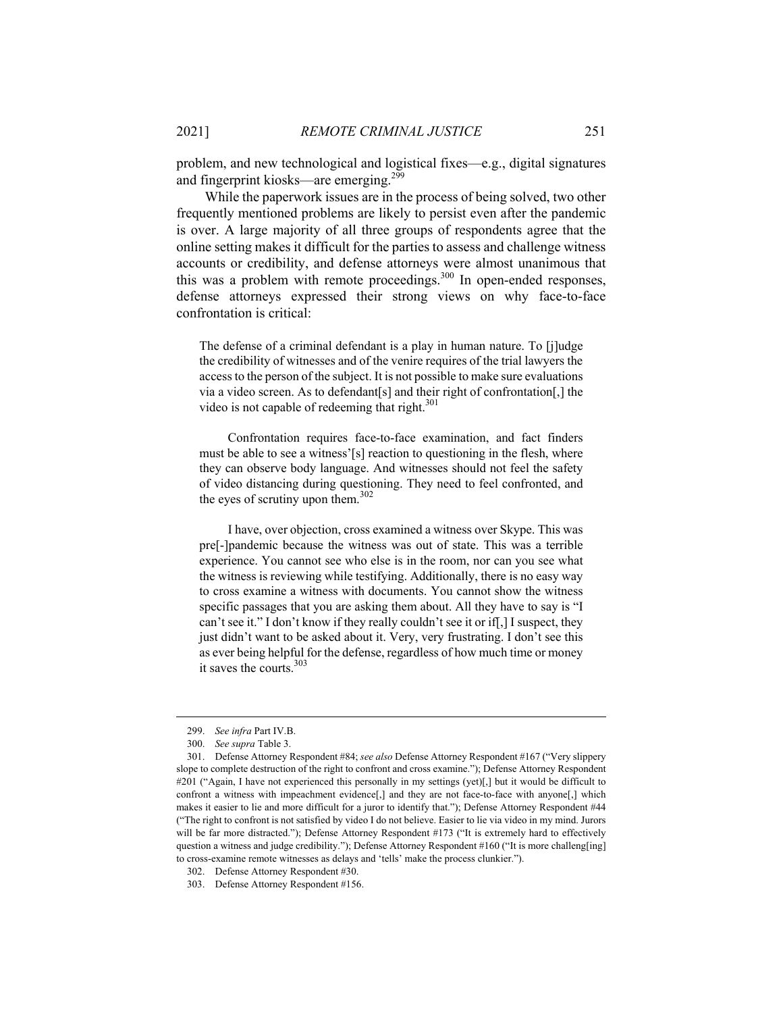problem, and new technological and logistical fixes—e.g., digital signatures and fingerprint kiosks—are emerging.<sup>299</sup>

While the paperwork issues are in the process of being solved, two other frequently mentioned problems are likely to persist even after the pandemic is over. A large majority of all three groups of respondents agree that the online setting makes it difficult for the parties to assess and challenge witness accounts or credibility, and defense attorneys were almost unanimous that this was a problem with remote proceedings.<sup>300</sup> In open-ended responses, defense attorneys expressed their strong views on why face-to-face confrontation is critical:

The defense of a criminal defendant is a play in human nature. To [j]udge the credibility of witnesses and of the venire requires of the trial lawyers the access to the person of the subject. It is not possible to make sure evaluations via a video screen. As to defendant[s] and their right of confrontation[,] the video is not capable of redeeming that right.<sup>301</sup>

Confrontation requires face-to-face examination, and fact finders must be able to see a witness'[s] reaction to questioning in the flesh, where they can observe body language. And witnesses should not feel the safety of video distancing during questioning. They need to feel confronted, and the eyes of scrutiny upon them.<sup>302</sup>

I have, over objection, cross examined a witness over Skype. This was pre[-]pandemic because the witness was out of state. This was a terrible experience. You cannot see who else is in the room, nor can you see what the witness is reviewing while testifying. Additionally, there is no easy way to cross examine a witness with documents. You cannot show the witness specific passages that you are asking them about. All they have to say is "I can't see it." I don't know if they really couldn't see it or if[,] I suspect, they just didn't want to be asked about it. Very, very frustrating. I don't see this as ever being helpful for the defense, regardless of how much time or money it saves the courts.<sup>303</sup>

 <sup>299.</sup> *See infra* Part IV.B.

 <sup>300.</sup> *See supra* Table 3.

 <sup>301.</sup> Defense Attorney Respondent #84; *see also* Defense Attorney Respondent #167 ("Very slippery slope to complete destruction of the right to confront and cross examine."); Defense Attorney Respondent #201 ("Again, I have not experienced this personally in my settings (yet)[,] but it would be difficult to confront a witness with impeachment evidence[,] and they are not face-to-face with anyone[,] which makes it easier to lie and more difficult for a juror to identify that."); Defense Attorney Respondent #44 ("The right to confront is not satisfied by video I do not believe. Easier to lie via video in my mind. Jurors will be far more distracted."); Defense Attorney Respondent #173 ("It is extremely hard to effectively question a witness and judge credibility."); Defense Attorney Respondent #160 ("It is more challeng[ing] to cross-examine remote witnesses as delays and 'tells' make the process clunkier.").

 <sup>302.</sup> Defense Attorney Respondent #30.

 <sup>303.</sup> Defense Attorney Respondent #156.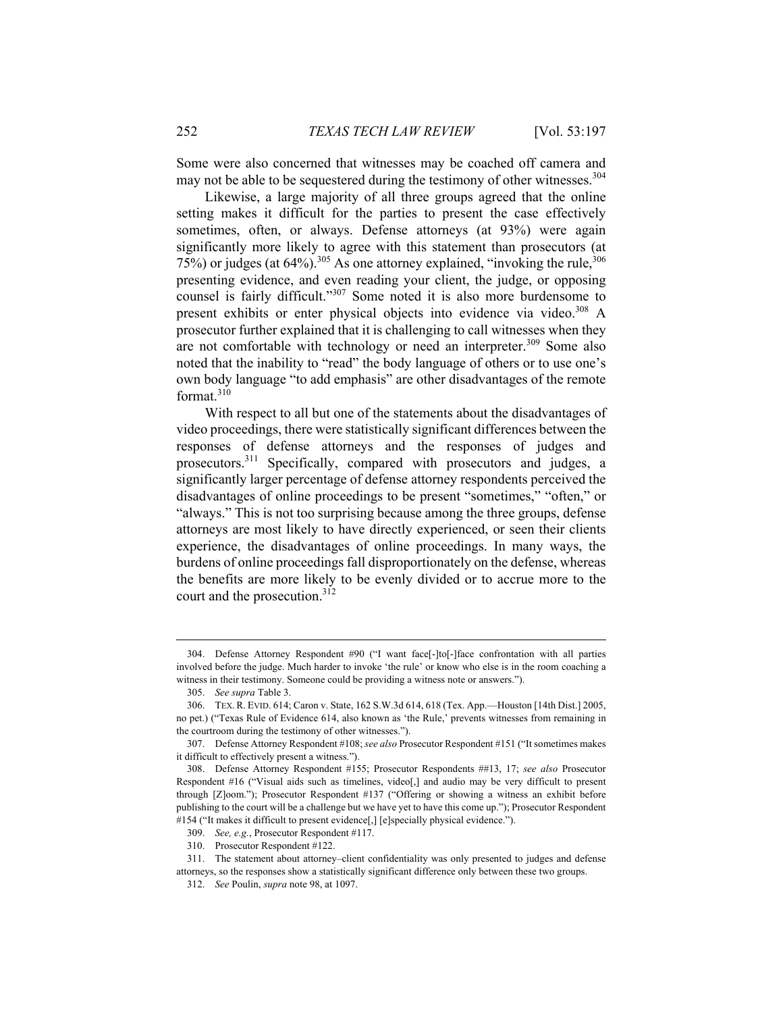Some were also concerned that witnesses may be coached off camera and may not be able to be sequestered during the testimony of other witnesses.<sup>304</sup>

Likewise, a large majority of all three groups agreed that the online setting makes it difficult for the parties to present the case effectively sometimes, often, or always. Defense attorneys (at 93%) were again significantly more likely to agree with this statement than prosecutors (at  $75\%$ ) or judges (at 64%).<sup>305</sup> As one attorney explained, "invoking the rule,  $306$ presenting evidence, and even reading your client, the judge, or opposing counsel is fairly difficult."307 Some noted it is also more burdensome to present exhibits or enter physical objects into evidence via video.<sup>308</sup> A prosecutor further explained that it is challenging to call witnesses when they are not comfortable with technology or need an interpreter.<sup>309</sup> Some also noted that the inability to "read" the body language of others or to use one's own body language "to add emphasis" are other disadvantages of the remote format.<sup>310</sup>

With respect to all but one of the statements about the disadvantages of video proceedings, there were statistically significant differences between the responses of defense attorneys and the responses of judges and prosecutors.<sup>311</sup> Specifically, compared with prosecutors and judges, a significantly larger percentage of defense attorney respondents perceived the disadvantages of online proceedings to be present "sometimes," "often," or "always." This is not too surprising because among the three groups, defense attorneys are most likely to have directly experienced, or seen their clients experience, the disadvantages of online proceedings. In many ways, the burdens of online proceedings fall disproportionately on the defense, whereas the benefits are more likely to be evenly divided or to accrue more to the court and the prosecution.<sup>312</sup>

 <sup>304.</sup> Defense Attorney Respondent #90 ("I want face[-]to[-]face confrontation with all parties involved before the judge. Much harder to invoke 'the rule' or know who else is in the room coaching a witness in their testimony. Someone could be providing a witness note or answers.").

 <sup>305.</sup> *See supra* Table 3.

 <sup>306.</sup> TEX.R. EVID. 614; Caron v. State, 162 S.W.3d 614, 618 (Tex. App.—Houston [14th Dist.] 2005, no pet.) ("Texas Rule of Evidence 614, also known as 'the Rule,' prevents witnesses from remaining in the courtroom during the testimony of other witnesses.").

 <sup>307.</sup> Defense Attorney Respondent #108; *see also* Prosecutor Respondent #151 ("It sometimes makes it difficult to effectively present a witness.").

 <sup>308.</sup> Defense Attorney Respondent #155; Prosecutor Respondents ##13, 17; *see also* Prosecutor Respondent #16 ("Visual aids such as timelines, video[,] and audio may be very difficult to present through [Z]oom."); Prosecutor Respondent #137 ("Offering or showing a witness an exhibit before publishing to the court will be a challenge but we have yet to have this come up."); Prosecutor Respondent #154 ("It makes it difficult to present evidence[,] [e]specially physical evidence.").

 <sup>309.</sup> *See, e.g.*, Prosecutor Respondent #117.

 <sup>310.</sup> Prosecutor Respondent #122.

 <sup>311.</sup> The statement about attorney–client confidentiality was only presented to judges and defense attorneys, so the responses show a statistically significant difference only between these two groups.

 <sup>312.</sup> *See* Poulin, *supra* note 98, at 1097.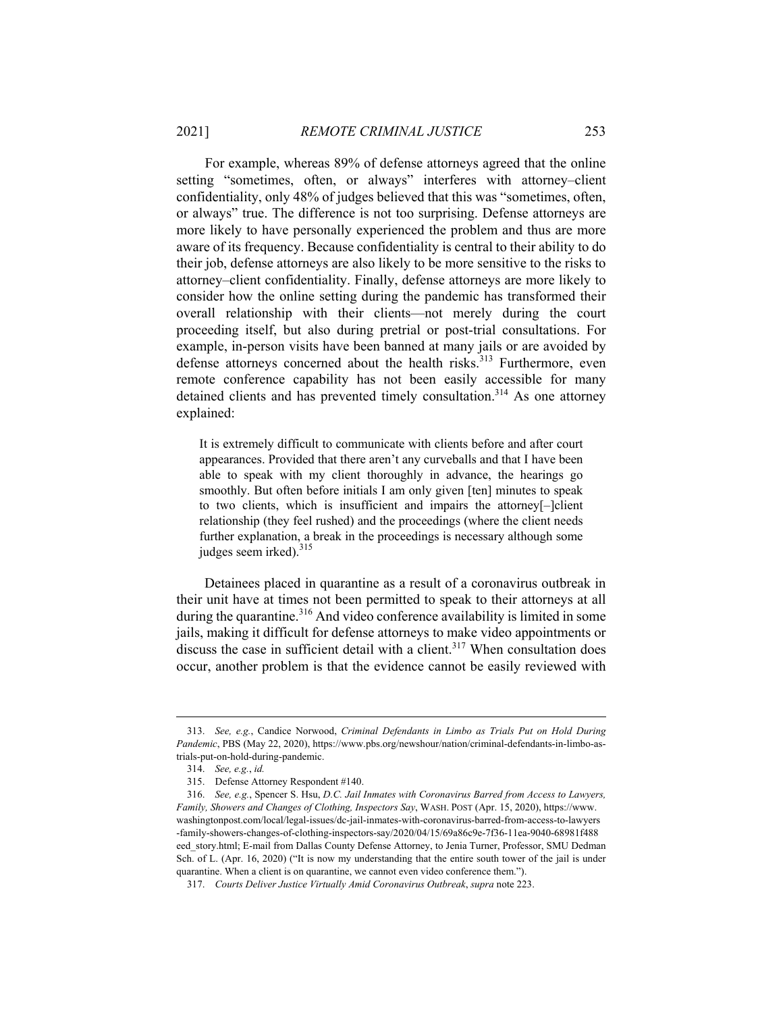For example, whereas 89% of defense attorneys agreed that the online setting "sometimes, often, or always" interferes with attorney–client confidentiality, only 48% of judges believed that this was "sometimes, often, or always" true. The difference is not too surprising. Defense attorneys are more likely to have personally experienced the problem and thus are more aware of its frequency. Because confidentiality is central to their ability to do their job, defense attorneys are also likely to be more sensitive to the risks to attorney–client confidentiality. Finally, defense attorneys are more likely to consider how the online setting during the pandemic has transformed their overall relationship with their clients—not merely during the court proceeding itself, but also during pretrial or post-trial consultations. For example, in-person visits have been banned at many jails or are avoided by defense attorneys concerned about the health risks.<sup>313</sup> Furthermore, even remote conference capability has not been easily accessible for many detained clients and has prevented timely consultation.<sup>314</sup> As one attorney explained:

It is extremely difficult to communicate with clients before and after court appearances. Provided that there aren't any curveballs and that I have been able to speak with my client thoroughly in advance, the hearings go smoothly. But often before initials I am only given [ten] minutes to speak to two clients, which is insufficient and impairs the attorney[–]client relationship (they feel rushed) and the proceedings (where the client needs further explanation, a break in the proceedings is necessary although some judges seem irked).<sup>315</sup>

 Detainees placed in quarantine as a result of a coronavirus outbreak in their unit have at times not been permitted to speak to their attorneys at all during the quarantine.<sup>316</sup> And video conference availability is limited in some jails, making it difficult for defense attorneys to make video appointments or discuss the case in sufficient detail with a client. $317$  When consultation does occur, another problem is that the evidence cannot be easily reviewed with

 <sup>313.</sup> *See, e.g.*, Candice Norwood, *Criminal Defendants in Limbo as Trials Put on Hold During Pandemic*, PBS (May 22, 2020), https://www.pbs.org/newshour/nation/criminal-defendants-in-limbo-astrials-put-on-hold-during-pandemic.

 <sup>314.</sup> *See, e.g.*, *id.*

 <sup>315.</sup> Defense Attorney Respondent #140.

 <sup>316.</sup> *See, e.g.*, Spencer S. Hsu, *D.C. Jail Inmates with Coronavirus Barred from Access to Lawyers, Family, Showers and Changes of Clothing, Inspectors Say*, WASH. POST (Apr. 15, 2020), https://www. washingtonpost.com/local/legal-issues/dc-jail-inmates-with-coronavirus-barred-from-access-to-lawyers -family-showers-changes-of-clothing-inspectors-say/2020/04/15/69a86c9e-7f36-11ea-9040-68981f488 eed story.html; E-mail from Dallas County Defense Attorney, to Jenia Turner, Professor, SMU Dedman Sch. of L. (Apr. 16, 2020) ("It is now my understanding that the entire south tower of the jail is under quarantine. When a client is on quarantine, we cannot even video conference them.").

 <sup>317.</sup> *Courts Deliver Justice Virtually Amid Coronavirus Outbreak*, *supra* note 223.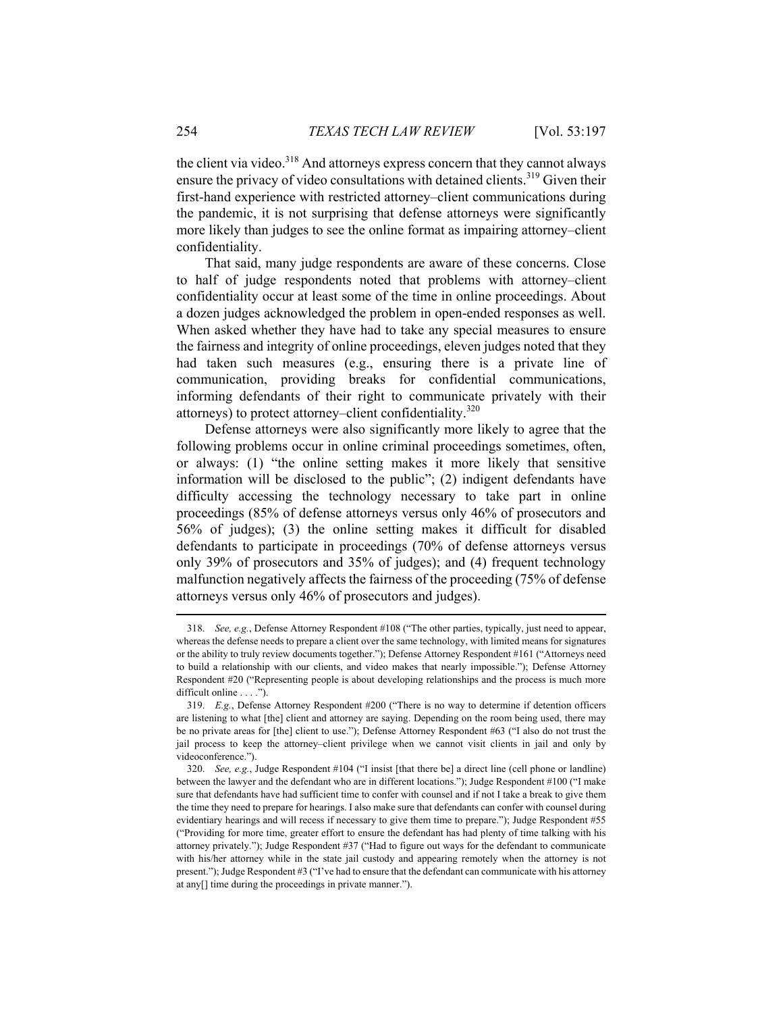the client via video.<sup>318</sup> And attorneys express concern that they cannot always ensure the privacy of video consultations with detained clients.<sup>319</sup> Given their first-hand experience with restricted attorney–client communications during the pandemic, it is not surprising that defense attorneys were significantly more likely than judges to see the online format as impairing attorney–client confidentiality.

That said, many judge respondents are aware of these concerns. Close to half of judge respondents noted that problems with attorney–client confidentiality occur at least some of the time in online proceedings. About a dozen judges acknowledged the problem in open-ended responses as well. When asked whether they have had to take any special measures to ensure the fairness and integrity of online proceedings, eleven judges noted that they had taken such measures (e.g., ensuring there is a private line of communication, providing breaks for confidential communications, informing defendants of their right to communicate privately with their attorneys) to protect attorney–client confidentiality.320

Defense attorneys were also significantly more likely to agree that the following problems occur in online criminal proceedings sometimes, often, or always: (1) "the online setting makes it more likely that sensitive information will be disclosed to the public"; (2) indigent defendants have difficulty accessing the technology necessary to take part in online proceedings (85% of defense attorneys versus only 46% of prosecutors and 56% of judges); (3) the online setting makes it difficult for disabled defendants to participate in proceedings (70% of defense attorneys versus only 39% of prosecutors and 35% of judges); and (4) frequent technology malfunction negatively affects the fairness of the proceeding (75% of defense attorneys versus only 46% of prosecutors and judges).

 <sup>318.</sup> *See, e.g.*, Defense Attorney Respondent #108 ("The other parties, typically, just need to appear, whereas the defense needs to prepare a client over the same technology, with limited means for signatures or the ability to truly review documents together."); Defense Attorney Respondent #161 ("Attorneys need to build a relationship with our clients, and video makes that nearly impossible."); Defense Attorney Respondent #20 ("Representing people is about developing relationships and the process is much more difficult online . . . .").

 <sup>319.</sup> *E.g.*, Defense Attorney Respondent #200 ("There is no way to determine if detention officers are listening to what [the] client and attorney are saying. Depending on the room being used, there may be no private areas for [the] client to use."); Defense Attorney Respondent #63 ("I also do not trust the jail process to keep the attorney–client privilege when we cannot visit clients in jail and only by videoconference.").

 <sup>320.</sup> *See, e.g.*, Judge Respondent #104 ("I insist [that there be] a direct line (cell phone or landline) between the lawyer and the defendant who are in different locations."); Judge Respondent #100 ("I make sure that defendants have had sufficient time to confer with counsel and if not I take a break to give them the time they need to prepare for hearings. I also make sure that defendants can confer with counsel during evidentiary hearings and will recess if necessary to give them time to prepare."); Judge Respondent #55 ("Providing for more time, greater effort to ensure the defendant has had plenty of time talking with his attorney privately."); Judge Respondent #37 ("Had to figure out ways for the defendant to communicate with his/her attorney while in the state jail custody and appearing remotely when the attorney is not present."); Judge Respondent #3 ("I've had to ensure that the defendant can communicate with his attorney at any[] time during the proceedings in private manner.").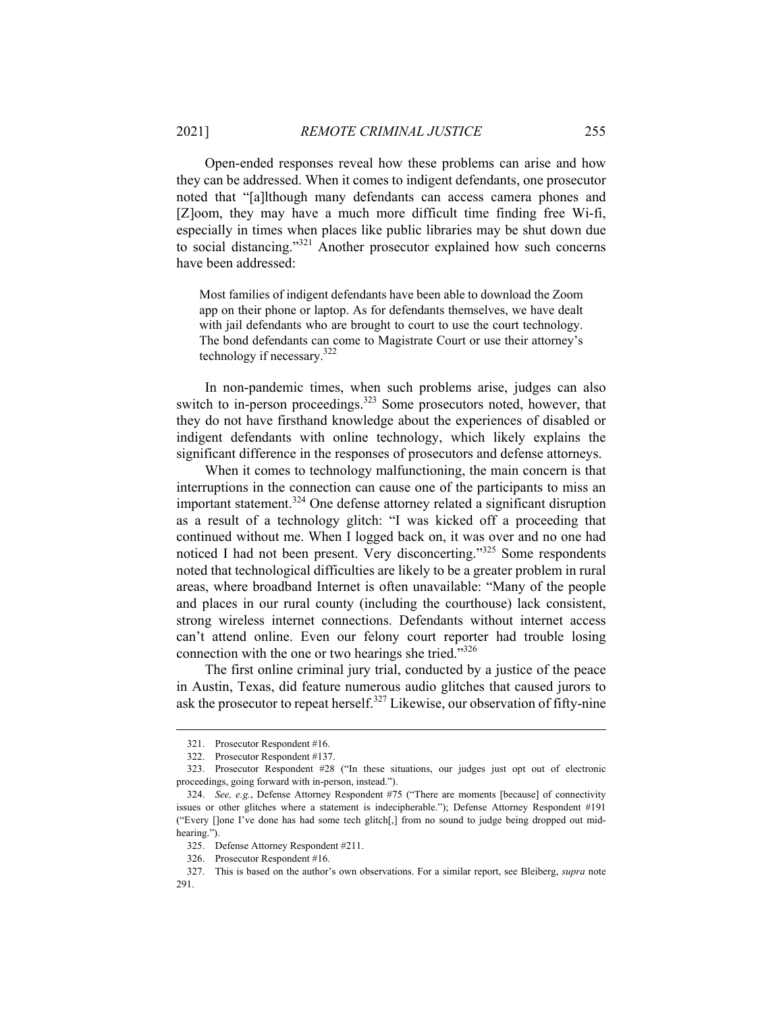Open-ended responses reveal how these problems can arise and how they can be addressed. When it comes to indigent defendants, one prosecutor noted that "[a]lthough many defendants can access camera phones and [Z]oom, they may have a much more difficult time finding free Wi-fi, especially in times when places like public libraries may be shut down due to social distancing."321 Another prosecutor explained how such concerns have been addressed:

Most families of indigent defendants have been able to download the Zoom app on their phone or laptop. As for defendants themselves, we have dealt with jail defendants who are brought to court to use the court technology. The bond defendants can come to Magistrate Court or use their attorney's technology if necessary.322

In non-pandemic times, when such problems arise, judges can also switch to in-person proceedings.<sup>323</sup> Some prosecutors noted, however, that they do not have firsthand knowledge about the experiences of disabled or indigent defendants with online technology, which likely explains the significant difference in the responses of prosecutors and defense attorneys.

When it comes to technology malfunctioning, the main concern is that interruptions in the connection can cause one of the participants to miss an important statement.<sup>324</sup> One defense attorney related a significant disruption as a result of a technology glitch: "I was kicked off a proceeding that continued without me. When I logged back on, it was over and no one had noticed I had not been present. Very disconcerting."<sup>325</sup> Some respondents noted that technological difficulties are likely to be a greater problem in rural areas, where broadband Internet is often unavailable: "Many of the people and places in our rural county (including the courthouse) lack consistent, strong wireless internet connections. Defendants without internet access can't attend online. Even our felony court reporter had trouble losing connection with the one or two hearings she tried."<sup>326</sup>

The first online criminal jury trial, conducted by a justice of the peace in Austin, Texas, did feature numerous audio glitches that caused jurors to ask the prosecutor to repeat herself.<sup>327</sup> Likewise, our observation of fifty-nine

 <sup>321.</sup> Prosecutor Respondent #16.

 <sup>322.</sup> Prosecutor Respondent #137.

 <sup>323.</sup> Prosecutor Respondent #28 ("In these situations, our judges just opt out of electronic proceedings, going forward with in-person, instead.").

 <sup>324.</sup> *See, e.g.*, Defense Attorney Respondent #75 ("There are moments [because] of connectivity issues or other glitches where a statement is indecipherable."); Defense Attorney Respondent #191 ("Every []one I've done has had some tech glitch[,] from no sound to judge being dropped out midhearing.").

 <sup>325.</sup> Defense Attorney Respondent #211.

 <sup>326.</sup> Prosecutor Respondent #16.

 <sup>327.</sup> This is based on the author's own observations. For a similar report, see Bleiberg, *supra* note 291.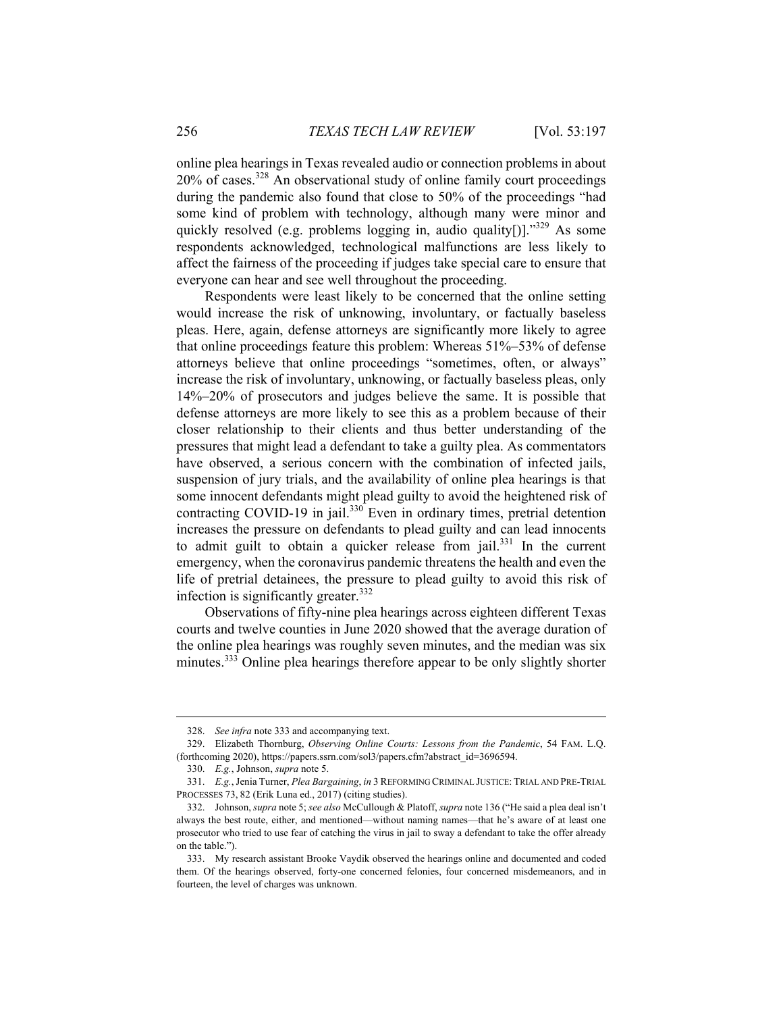online plea hearings in Texas revealed audio or connection problems in about  $20\%$  of cases.<sup>328</sup> An observational study of online family court proceedings during the pandemic also found that close to 50% of the proceedings "had some kind of problem with technology, although many were minor and quickly resolved (e.g. problems logging in, audio quality[)]." $329$  As some respondents acknowledged, technological malfunctions are less likely to affect the fairness of the proceeding if judges take special care to ensure that everyone can hear and see well throughout the proceeding.

Respondents were least likely to be concerned that the online setting would increase the risk of unknowing, involuntary, or factually baseless pleas. Here, again, defense attorneys are significantly more likely to agree that online proceedings feature this problem: Whereas 51%–53% of defense attorneys believe that online proceedings "sometimes, often, or always" increase the risk of involuntary, unknowing, or factually baseless pleas, only 14%–20% of prosecutors and judges believe the same. It is possible that defense attorneys are more likely to see this as a problem because of their closer relationship to their clients and thus better understanding of the pressures that might lead a defendant to take a guilty plea. As commentators have observed, a serious concern with the combination of infected jails, suspension of jury trials, and the availability of online plea hearings is that some innocent defendants might plead guilty to avoid the heightened risk of contracting COVID-19 in jail.<sup>330</sup> Even in ordinary times, pretrial detention increases the pressure on defendants to plead guilty and can lead innocents to admit guilt to obtain a quicker release from  $|a||$ <sup>331</sup> In the current emergency, when the coronavirus pandemic threatens the health and even the life of pretrial detainees, the pressure to plead guilty to avoid this risk of infection is significantly greater. $332$ 

Observations of fifty-nine plea hearings across eighteen different Texas courts and twelve counties in June 2020 showed that the average duration of the online plea hearings was roughly seven minutes, and the median was six minutes.<sup>333</sup> Online plea hearings therefore appear to be only slightly shorter

 <sup>328.</sup> *See infra* note 333 and accompanying text.

 <sup>329.</sup> Elizabeth Thornburg, *Observing Online Courts: Lessons from the Pandemic*, 54 FAM. L.Q. (forthcoming 2020), https://papers.ssrn.com/sol3/papers.cfm?abstract\_id=3696594.

 <sup>330.</sup> *E.g.*, Johnson, *supra* note 5.

 <sup>331.</sup> *E.g.*, Jenia Turner, *Plea Bargaining*, *in* 3 REFORMING CRIMINAL JUSTICE: TRIAL AND PRE-TRIAL PROCESSES 73, 82 (Erik Luna ed., 2017) (citing studies).

 <sup>332.</sup> Johnson, *supra* note 5; *see also* McCullough & Platoff, *supra* note 136 ("He said a plea deal isn't always the best route, either, and mentioned—without naming names—that he's aware of at least one prosecutor who tried to use fear of catching the virus in jail to sway a defendant to take the offer already on the table.").

 <sup>333.</sup> My research assistant Brooke Vaydik observed the hearings online and documented and coded them. Of the hearings observed, forty-one concerned felonies, four concerned misdemeanors, and in fourteen, the level of charges was unknown.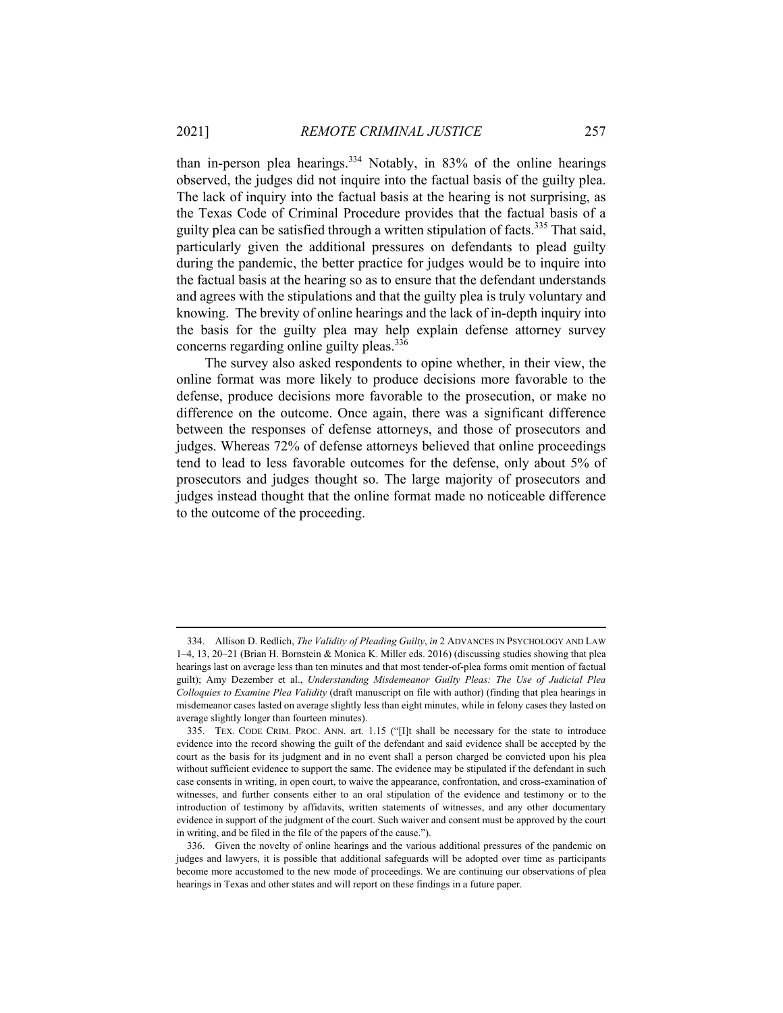than in-person plea hearings.<sup>334</sup> Notably, in 83% of the online hearings observed, the judges did not inquire into the factual basis of the guilty plea. The lack of inquiry into the factual basis at the hearing is not surprising, as the Texas Code of Criminal Procedure provides that the factual basis of a guilty plea can be satisfied through a written stipulation of facts.<sup>335</sup> That said, particularly given the additional pressures on defendants to plead guilty during the pandemic, the better practice for judges would be to inquire into the factual basis at the hearing so as to ensure that the defendant understands and agrees with the stipulations and that the guilty plea is truly voluntary and knowing. The brevity of online hearings and the lack of in-depth inquiry into the basis for the guilty plea may help explain defense attorney survey concerns regarding online guilty pleas.<sup>336</sup>

The survey also asked respondents to opine whether, in their view, the online format was more likely to produce decisions more favorable to the defense, produce decisions more favorable to the prosecution, or make no difference on the outcome. Once again, there was a significant difference between the responses of defense attorneys, and those of prosecutors and judges. Whereas 72% of defense attorneys believed that online proceedings tend to lead to less favorable outcomes for the defense, only about 5% of prosecutors and judges thought so. The large majority of prosecutors and judges instead thought that the online format made no noticeable difference to the outcome of the proceeding.

 <sup>334.</sup> Allison D. Redlich, *The Validity of Pleading Guilty*, *in* 2 ADVANCES IN PSYCHOLOGY AND LAW 1–4, 13, 20–21 (Brian H. Bornstein & Monica K. Miller eds. 2016) (discussing studies showing that plea hearings last on average less than ten minutes and that most tender-of-plea forms omit mention of factual guilt); Amy Dezember et al., *Understanding Misdemeanor Guilty Pleas: The Use of Judicial Plea Colloquies to Examine Plea Validity* (draft manuscript on file with author) (finding that plea hearings in misdemeanor cases lasted on average slightly less than eight minutes, while in felony cases they lasted on average slightly longer than fourteen minutes).

 <sup>335.</sup> TEX. CODE CRIM. PROC. ANN. art. 1.15 ("[I]t shall be necessary for the state to introduce evidence into the record showing the guilt of the defendant and said evidence shall be accepted by the court as the basis for its judgment and in no event shall a person charged be convicted upon his plea without sufficient evidence to support the same. The evidence may be stipulated if the defendant in such case consents in writing, in open court, to waive the appearance, confrontation, and cross-examination of witnesses, and further consents either to an oral stipulation of the evidence and testimony or to the introduction of testimony by affidavits, written statements of witnesses, and any other documentary evidence in support of the judgment of the court. Such waiver and consent must be approved by the court in writing, and be filed in the file of the papers of the cause.").

 <sup>336.</sup> Given the novelty of online hearings and the various additional pressures of the pandemic on judges and lawyers, it is possible that additional safeguards will be adopted over time as participants become more accustomed to the new mode of proceedings. We are continuing our observations of plea hearings in Texas and other states and will report on these findings in a future paper.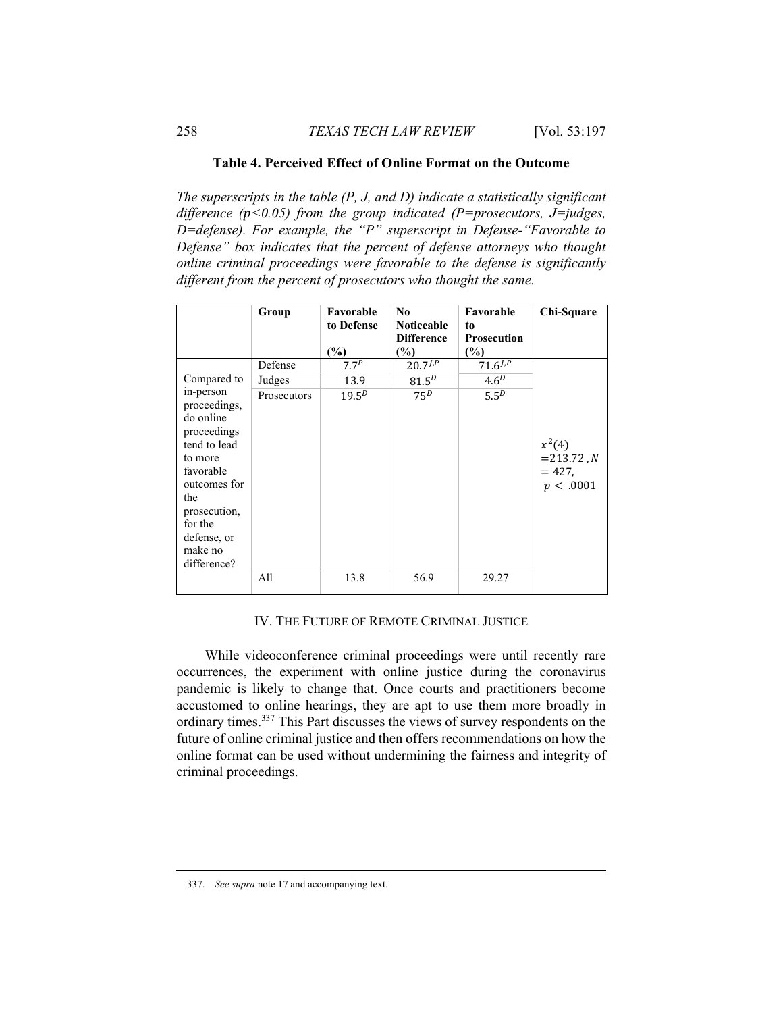## **Table 4. Perceived Effect of Online Format on the Outcome**

*The superscripts in the table (P, J, and D) indicate a statistically significant difference (<0.05) from the group indicated (P=prosecutors, J=judges, D=defense). For example, the "P" superscript in Defense-"Favorable to Defense" box indicates that the percent of defense attorneys who thought online criminal proceedings were favorable to the defense is significantly different from the percent of prosecutors who thought the same.* 

|                                                                                                                                                                                          | Group       | Favorable<br>to Defense<br>$(\%)$ | N <sub>0</sub><br><b>Noticeable</b><br><b>Difference</b><br>$\frac{1}{2}$ | Favorable<br>to<br><b>Prosecution</b><br>(%) | Chi-Square                                         |
|------------------------------------------------------------------------------------------------------------------------------------------------------------------------------------------|-------------|-----------------------------------|---------------------------------------------------------------------------|----------------------------------------------|----------------------------------------------------|
|                                                                                                                                                                                          | Defense     | 7.7 <sup>P</sup>                  | $20.7^{J,P}$                                                              | $71.6^{j, p}$                                |                                                    |
| Compared to                                                                                                                                                                              | Judges      | 13.9                              | $81.5^{D}$                                                                | 4.6 <sup>D</sup>                             |                                                    |
| in-person<br>proceedings,<br>do online<br>proceedings<br>tend to lead<br>to more<br>favorable<br>outcomes for<br>the<br>prosecution,<br>for the<br>defense, or<br>make no<br>difference? | Prosecutors | $19.5^{D}$                        | $75^D$                                                                    | 5.5 <sup>D</sup>                             | $x^2(4)$<br>$=$ 213.72, N<br>$= 427.$<br>p < .0001 |
|                                                                                                                                                                                          | A11         | 13.8                              | 56.9                                                                      | 29.27                                        |                                                    |

## IV. THE FUTURE OF REMOTE CRIMINAL JUSTICE

While videoconference criminal proceedings were until recently rare occurrences, the experiment with online justice during the coronavirus pandemic is likely to change that. Once courts and practitioners become accustomed to online hearings, they are apt to use them more broadly in ordinary times.337 This Part discusses the views of survey respondents on the future of online criminal justice and then offers recommendations on how the online format can be used without undermining the fairness and integrity of criminal proceedings.

 <sup>337.</sup> *See supra* note 17 and accompanying text.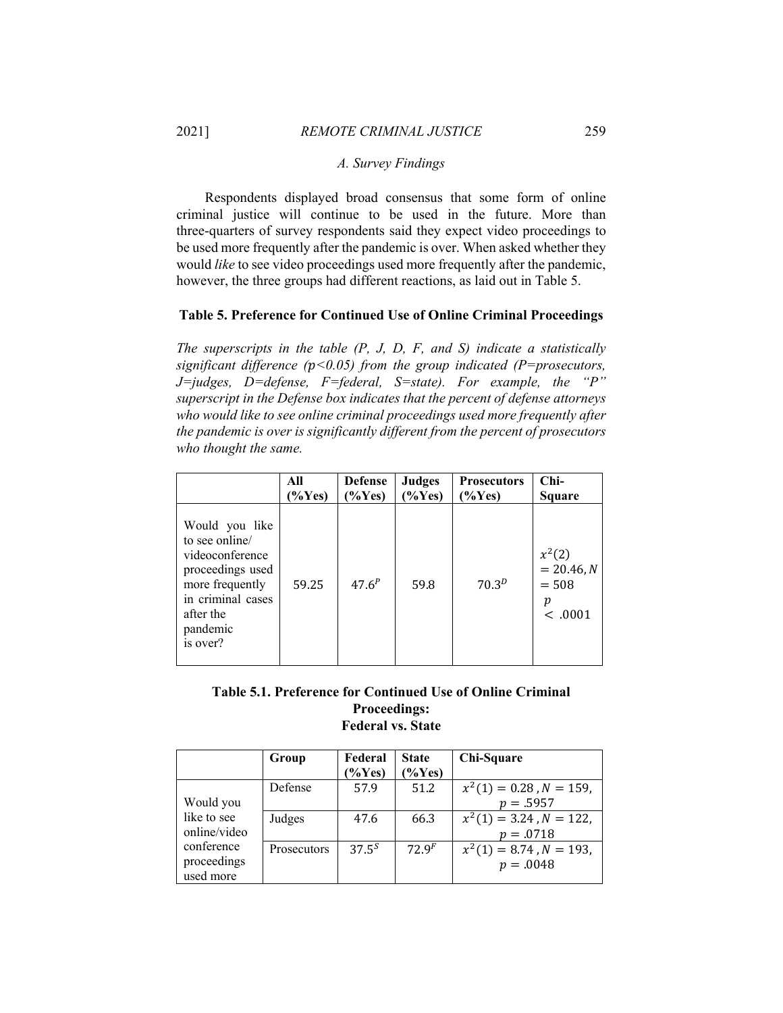## *A. Survey Findings*

Respondents displayed broad consensus that some form of online criminal justice will continue to be used in the future. More than three-quarters of survey respondents said they expect video proceedings to be used more frequently after the pandemic is over. When asked whether they would *like* to see video proceedings used more frequently after the pandemic, however, the three groups had different reactions, as laid out in Table 5.

### **Table 5. Preference for Continued Use of Online Criminal Proceedings**

*The superscripts in the table (P, J, D, F, and S) indicate a statistically significant difference (<0.05) from the group indicated (P=prosecutors, J=judges, D=defense, F=federal, S=state). For example, the "P" superscript in the Defense box indicates that the percent of defense attorneys who would like to see online criminal proceedings used more frequently after the pandemic is over is significantly different from the percent of prosecutors who thought the same.* 

|                                                                                                                                                      | All       | <b>Defense</b> | <b>Judges</b>      | <b>Prosecutors</b> | $Chi-$                                             |
|------------------------------------------------------------------------------------------------------------------------------------------------------|-----------|----------------|--------------------|--------------------|----------------------------------------------------|
|                                                                                                                                                      | $(\%Yes)$ | $\frac{6}{5}$  | $\mathcal{O}(Yes)$ | $\%$ Yes)          | Square                                             |
| Would you like<br>to see online/<br>videoconference<br>proceedings used<br>more frequently<br>in criminal cases<br>after the<br>pandemic<br>is over? | 59.25     | $47.6^{P}$     | 59.8               | $70.3^{D}$         | $x^2(2)$<br>$= 20.46, N$<br>$= 508$<br>р<br><.0001 |

# **Table 5.1. Preference for Continued Use of Online Criminal Proceedings: Federal vs. State**

|              | Group              | Federal           | <b>State</b>       | Chi-Square                    |
|--------------|--------------------|-------------------|--------------------|-------------------------------|
|              |                    | $\%Yes$           | $\frac{9}{8}$ Yes) |                               |
|              | Defense            | 57.9              | 51.2               | $x^2(1) = 0.28$ , $N = 159$ , |
| Would you    |                    |                   |                    | $p = .5957$                   |
| like to see  | Judges             | 47.6              | 66.3               | $x^2(1) = 3.24$ , $N = 122$ , |
| online/video |                    |                   |                    | $p = .0718$                   |
| conference   | <b>Prosecutors</b> | 37.5 <sup>S</sup> | 72.9 <sup>F</sup>  | $x^2(1) = 8.74$ , $N = 193$ , |
| proceedings  |                    |                   |                    | $p = .0048$                   |
| used more    |                    |                   |                    |                               |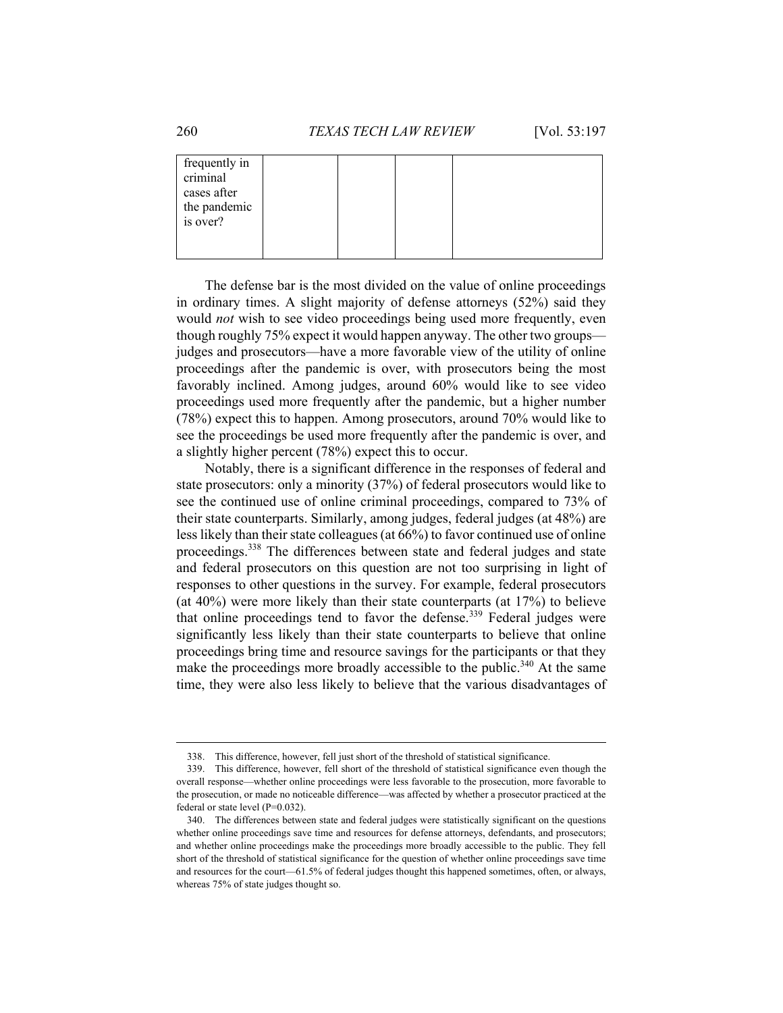| frequently in<br>criminal<br>cases after |  |  |  |
|------------------------------------------|--|--|--|
| the pandemic<br>is over?                 |  |  |  |
|                                          |  |  |  |

The defense bar is the most divided on the value of online proceedings in ordinary times. A slight majority of defense attorneys (52%) said they would *not* wish to see video proceedings being used more frequently, even though roughly 75% expect it would happen anyway. The other two groups judges and prosecutors—have a more favorable view of the utility of online proceedings after the pandemic is over, with prosecutors being the most favorably inclined. Among judges, around 60% would like to see video proceedings used more frequently after the pandemic, but a higher number (78%) expect this to happen. Among prosecutors, around 70% would like to see the proceedings be used more frequently after the pandemic is over, and a slightly higher percent (78%) expect this to occur.

Notably, there is a significant difference in the responses of federal and state prosecutors: only a minority (37%) of federal prosecutors would like to see the continued use of online criminal proceedings, compared to 73% of their state counterparts. Similarly, among judges, federal judges (at 48%) are less likely than their state colleagues (at 66%) to favor continued use of online proceedings.<sup>338</sup> The differences between state and federal judges and state and federal prosecutors on this question are not too surprising in light of responses to other questions in the survey. For example, federal prosecutors (at 40%) were more likely than their state counterparts (at 17%) to believe that online proceedings tend to favor the defense.<sup>339</sup> Federal judges were significantly less likely than their state counterparts to believe that online proceedings bring time and resource savings for the participants or that they make the proceedings more broadly accessible to the public.<sup>340</sup> At the same time, they were also less likely to believe that the various disadvantages of

 <sup>338.</sup> This difference, however, fell just short of the threshold of statistical significance.

 <sup>339.</sup> This difference, however, fell short of the threshold of statistical significance even though the overall response—whether online proceedings were less favorable to the prosecution, more favorable to the prosecution, or made no noticeable difference—was affected by whether a prosecutor practiced at the federal or state level (P=0.032).

 <sup>340.</sup> The differences between state and federal judges were statistically significant on the questions whether online proceedings save time and resources for defense attorneys, defendants, and prosecutors; and whether online proceedings make the proceedings more broadly accessible to the public. They fell short of the threshold of statistical significance for the question of whether online proceedings save time and resources for the court—61.5% of federal judges thought this happened sometimes, often, or always, whereas 75% of state judges thought so.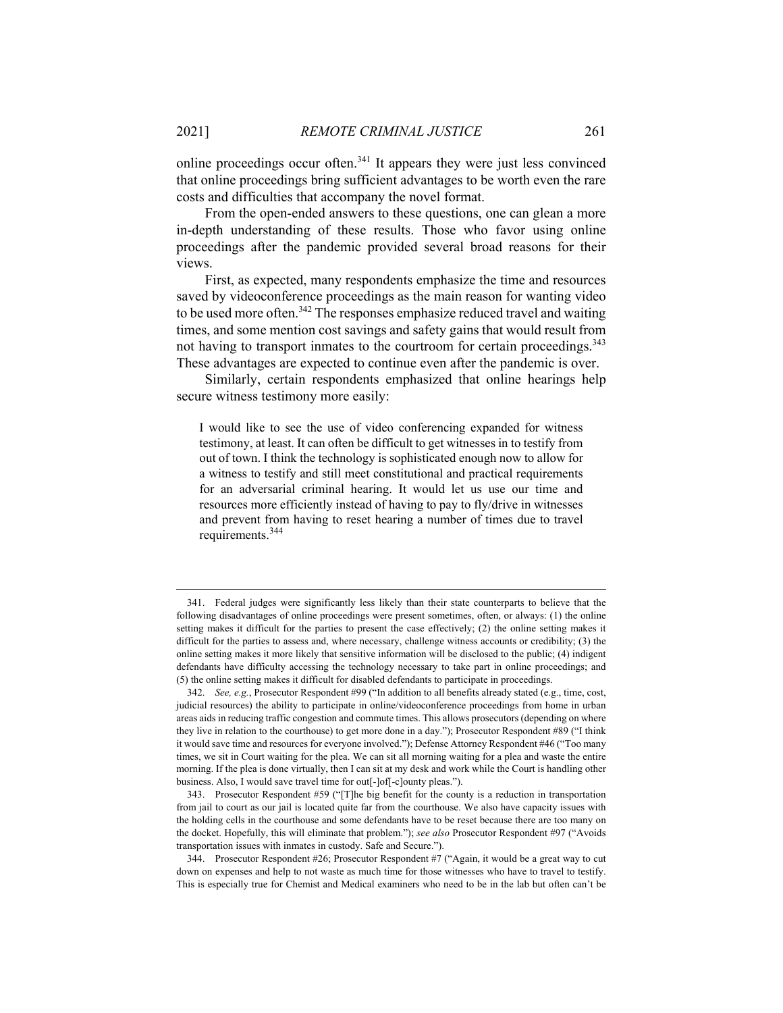online proceedings occur often. $341$  It appears they were just less convinced that online proceedings bring sufficient advantages to be worth even the rare costs and difficulties that accompany the novel format.

From the open-ended answers to these questions, one can glean a more in-depth understanding of these results. Those who favor using online proceedings after the pandemic provided several broad reasons for their views.

First, as expected, many respondents emphasize the time and resources saved by videoconference proceedings as the main reason for wanting video to be used more often.<sup>342</sup> The responses emphasize reduced travel and waiting times, and some mention cost savings and safety gains that would result from not having to transport inmates to the courtroom for certain proceedings.<sup>343</sup> These advantages are expected to continue even after the pandemic is over.

Similarly, certain respondents emphasized that online hearings help secure witness testimony more easily:

I would like to see the use of video conferencing expanded for witness testimony, at least. It can often be difficult to get witnesses in to testify from out of town. I think the technology is sophisticated enough now to allow for a witness to testify and still meet constitutional and practical requirements for an adversarial criminal hearing. It would let us use our time and resources more efficiently instead of having to pay to fly/drive in witnesses and prevent from having to reset hearing a number of times due to travel requirements.<sup>344</sup>

 <sup>341.</sup> Federal judges were significantly less likely than their state counterparts to believe that the following disadvantages of online proceedings were present sometimes, often, or always: (1) the online setting makes it difficult for the parties to present the case effectively; (2) the online setting makes it difficult for the parties to assess and, where necessary, challenge witness accounts or credibility; (3) the online setting makes it more likely that sensitive information will be disclosed to the public; (4) indigent defendants have difficulty accessing the technology necessary to take part in online proceedings; and (5) the online setting makes it difficult for disabled defendants to participate in proceedings.

 <sup>342.</sup> *See, e.g.*, Prosecutor Respondent #99 ("In addition to all benefits already stated (e.g., time, cost, judicial resources) the ability to participate in online/videoconference proceedings from home in urban areas aids in reducing traffic congestion and commute times. This allows prosecutors (depending on where they live in relation to the courthouse) to get more done in a day."); Prosecutor Respondent #89 ("I think it would save time and resources for everyone involved."); Defense Attorney Respondent #46 ("Too many times, we sit in Court waiting for the plea. We can sit all morning waiting for a plea and waste the entire morning. If the plea is done virtually, then I can sit at my desk and work while the Court is handling other business. Also, I would save travel time for out[-]of[-c]ounty pleas.").

 <sup>343.</sup> Prosecutor Respondent #59 ("[T]he big benefit for the county is a reduction in transportation from jail to court as our jail is located quite far from the courthouse. We also have capacity issues with the holding cells in the courthouse and some defendants have to be reset because there are too many on the docket. Hopefully, this will eliminate that problem."); *see also* Prosecutor Respondent #97 ("Avoids transportation issues with inmates in custody. Safe and Secure.").

 <sup>344.</sup> Prosecutor Respondent #26; Prosecutor Respondent #7 ("Again, it would be a great way to cut down on expenses and help to not waste as much time for those witnesses who have to travel to testify. This is especially true for Chemist and Medical examiners who need to be in the lab but often can't be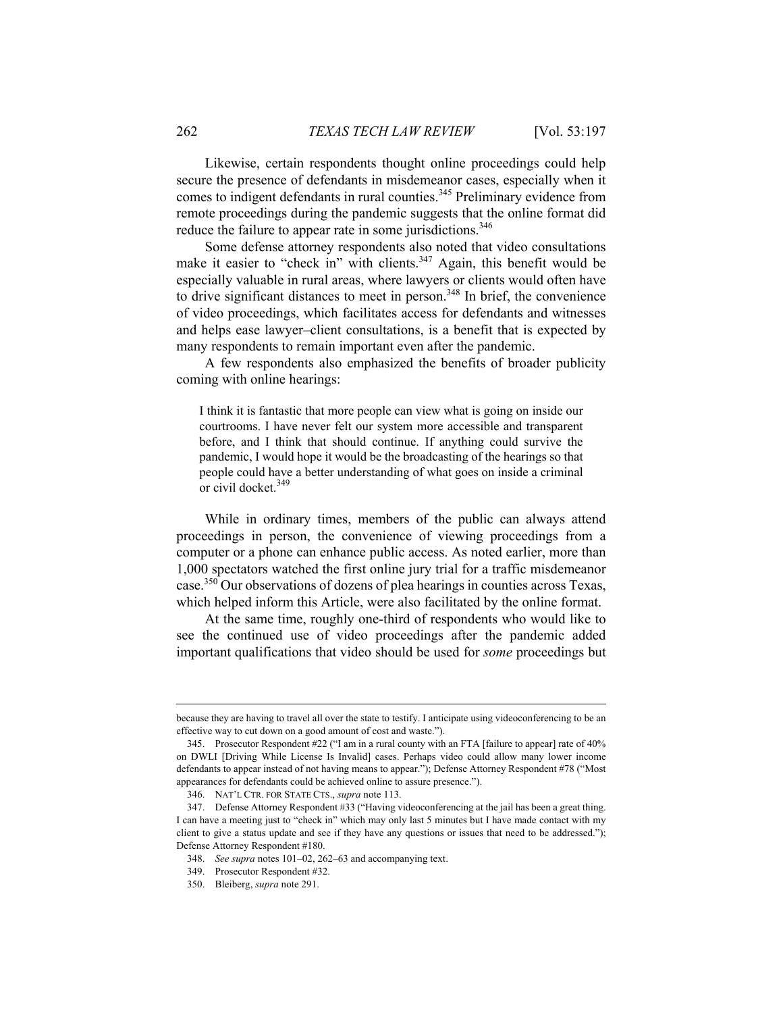Likewise, certain respondents thought online proceedings could help secure the presence of defendants in misdemeanor cases, especially when it comes to indigent defendants in rural counties.<sup>345</sup> Preliminary evidence from remote proceedings during the pandemic suggests that the online format did reduce the failure to appear rate in some jurisdictions.<sup>346</sup>

Some defense attorney respondents also noted that video consultations make it easier to "check in" with clients.<sup>347</sup> Again, this benefit would be especially valuable in rural areas, where lawyers or clients would often have to drive significant distances to meet in person.<sup>348</sup> In brief, the convenience of video proceedings, which facilitates access for defendants and witnesses and helps ease lawyer–client consultations, is a benefit that is expected by many respondents to remain important even after the pandemic.

A few respondents also emphasized the benefits of broader publicity coming with online hearings:

I think it is fantastic that more people can view what is going on inside our courtrooms. I have never felt our system more accessible and transparent before, and I think that should continue. If anything could survive the pandemic, I would hope it would be the broadcasting of the hearings so that people could have a better understanding of what goes on inside a criminal or civil docket.<sup>349</sup>

While in ordinary times, members of the public can always attend proceedings in person, the convenience of viewing proceedings from a computer or a phone can enhance public access. As noted earlier, more than 1,000 spectators watched the first online jury trial for a traffic misdemeanor case.350 Our observations of dozens of plea hearings in counties across Texas, which helped inform this Article, were also facilitated by the online format.

At the same time, roughly one-third of respondents who would like to see the continued use of video proceedings after the pandemic added important qualifications that video should be used for *some* proceedings but

because they are having to travel all over the state to testify. I anticipate using videoconferencing to be an effective way to cut down on a good amount of cost and waste.").

 <sup>345.</sup> Prosecutor Respondent #22 ("I am in a rural county with an FTA [failure to appear] rate of 40% on DWLI [Driving While License Is Invalid] cases. Perhaps video could allow many lower income defendants to appear instead of not having means to appear."); Defense Attorney Respondent #78 ("Most appearances for defendants could be achieved online to assure presence.").

 <sup>346.</sup> NAT'L CTR. FOR STATE CTS., *supra* note 113.

 <sup>347.</sup> Defense Attorney Respondent #33 ("Having videoconferencing at the jail has been a great thing. I can have a meeting just to "check in" which may only last 5 minutes but I have made contact with my client to give a status update and see if they have any questions or issues that need to be addressed."); Defense Attorney Respondent #180.

 <sup>348.</sup> *See supra* notes 101–02, 262–63 and accompanying text.

 <sup>349.</sup> Prosecutor Respondent #32.

 <sup>350.</sup> Bleiberg, *supra* note 291.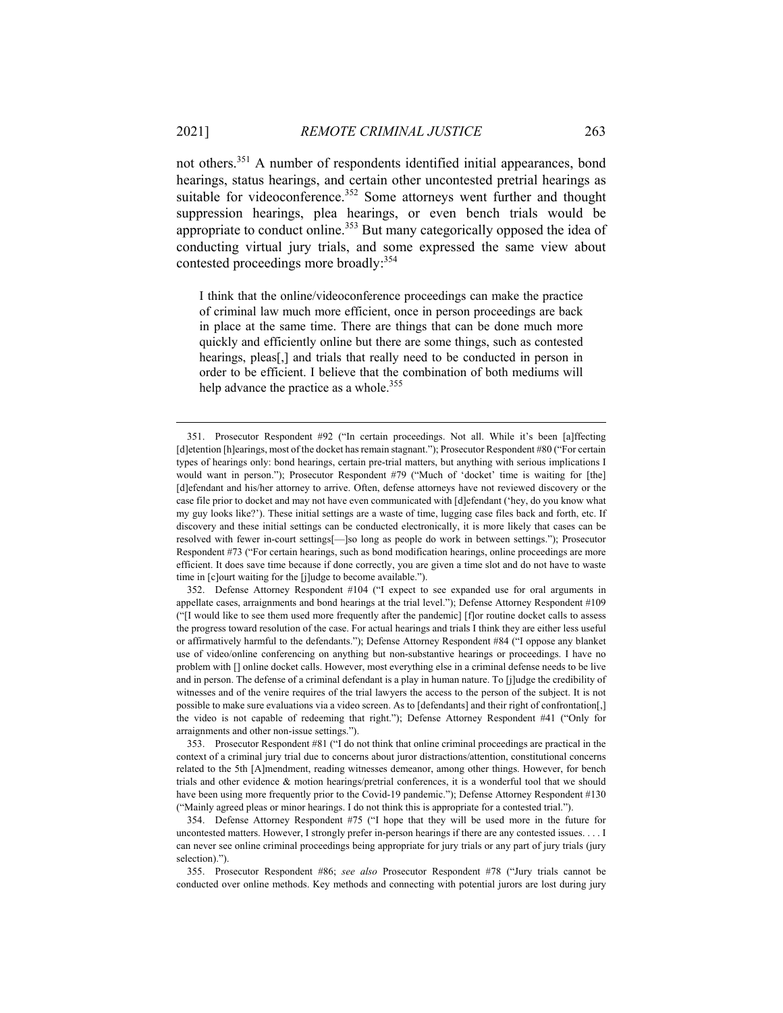$\overline{a}$ 

not others.351 A number of respondents identified initial appearances, bond hearings, status hearings, and certain other uncontested pretrial hearings as suitable for videoconference.<sup>352</sup> Some attorneys went further and thought suppression hearings, plea hearings, or even bench trials would be appropriate to conduct online. $353$  But many categorically opposed the idea of conducting virtual jury trials, and some expressed the same view about contested proceedings more broadly:354

I think that the online/videoconference proceedings can make the practice of criminal law much more efficient, once in person proceedings are back in place at the same time. There are things that can be done much more quickly and efficiently online but there are some things, such as contested hearings, pleas<sup>[1]</sup>, and trials that really need to be conducted in person in order to be efficient. I believe that the combination of both mediums will help advance the practice as a whole.<sup>355</sup>

 <sup>351.</sup> Prosecutor Respondent #92 ("In certain proceedings. Not all. While it's been [a]ffecting [d]etention [h]earings, most of the docket has remain stagnant."); Prosecutor Respondent #80 ("For certain types of hearings only: bond hearings, certain pre-trial matters, but anything with serious implications I would want in person."); Prosecutor Respondent #79 ("Much of 'docket' time is waiting for [the] [d]efendant and his/her attorney to arrive. Often, defense attorneys have not reviewed discovery or the case file prior to docket and may not have even communicated with [d]efendant ('hey, do you know what my guy looks like?'). These initial settings are a waste of time, lugging case files back and forth, etc. If discovery and these initial settings can be conducted electronically, it is more likely that cases can be resolved with fewer in-court settings[—]so long as people do work in between settings."); Prosecutor Respondent #73 ("For certain hearings, such as bond modification hearings, online proceedings are more efficient. It does save time because if done correctly, you are given a time slot and do not have to waste time in [c]ourt waiting for the [j]udge to become available.").

 <sup>352.</sup> Defense Attorney Respondent #104 ("I expect to see expanded use for oral arguments in appellate cases, arraignments and bond hearings at the trial level."); Defense Attorney Respondent #109 ("[I would like to see them used more frequently after the pandemic] [f]or routine docket calls to assess the progress toward resolution of the case. For actual hearings and trials I think they are either less useful or affirmatively harmful to the defendants."); Defense Attorney Respondent #84 ("I oppose any blanket use of video/online conferencing on anything but non-substantive hearings or proceedings. I have no problem with [] online docket calls. However, most everything else in a criminal defense needs to be live and in person. The defense of a criminal defendant is a play in human nature. To [j]udge the credibility of witnesses and of the venire requires of the trial lawyers the access to the person of the subject. It is not possible to make sure evaluations via a video screen. As to [defendants] and their right of confrontation[,] the video is not capable of redeeming that right."); Defense Attorney Respondent #41 ("Only for arraignments and other non-issue settings.").

 <sup>353.</sup> Prosecutor Respondent #81 ("I do not think that online criminal proceedings are practical in the context of a criminal jury trial due to concerns about juror distractions/attention, constitutional concerns related to the 5th [A]mendment, reading witnesses demeanor, among other things. However, for bench trials and other evidence & motion hearings/pretrial conferences, it is a wonderful tool that we should have been using more frequently prior to the Covid-19 pandemic."); Defense Attorney Respondent #130 ("Mainly agreed pleas or minor hearings. I do not think this is appropriate for a contested trial.").

 <sup>354.</sup> Defense Attorney Respondent #75 ("I hope that they will be used more in the future for uncontested matters. However, I strongly prefer in-person hearings if there are any contested issues. . . . I can never see online criminal proceedings being appropriate for jury trials or any part of jury trials (jury selection).").

 <sup>355.</sup> Prosecutor Respondent #86; *see also* Prosecutor Respondent #78 ("Jury trials cannot be conducted over online methods. Key methods and connecting with potential jurors are lost during jury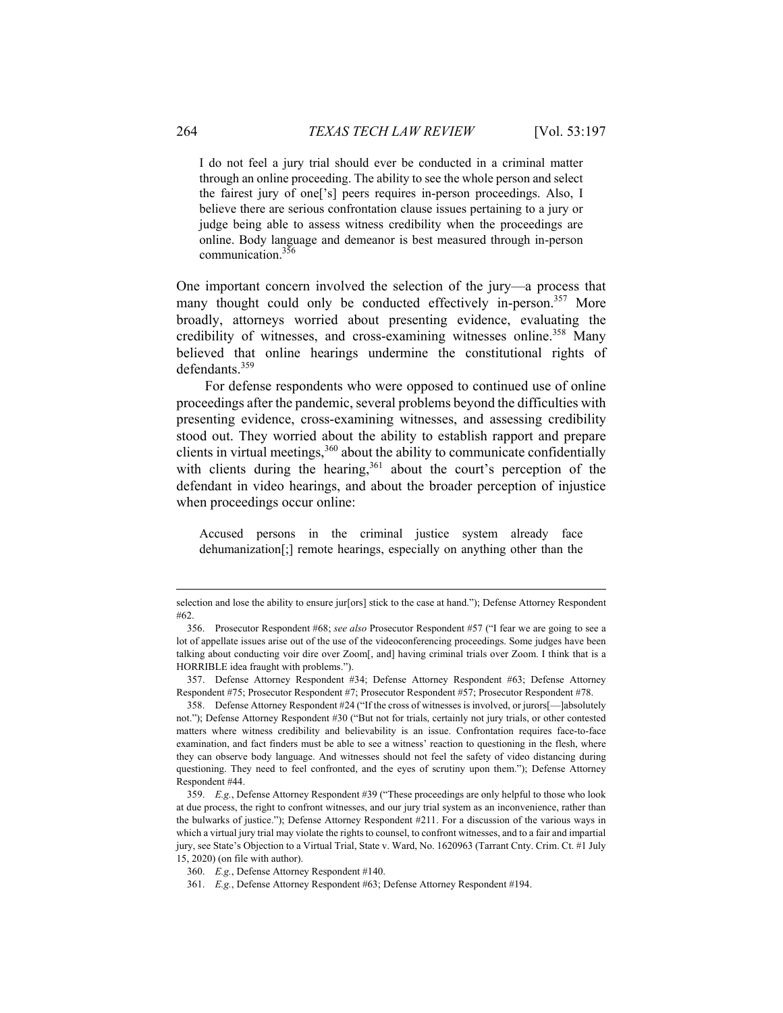I do not feel a jury trial should ever be conducted in a criminal matter through an online proceeding. The ability to see the whole person and select the fairest jury of one['s] peers requires in-person proceedings. Also, I believe there are serious confrontation clause issues pertaining to a jury or judge being able to assess witness credibility when the proceedings are online. Body language and demeanor is best measured through in-person communication.356

One important concern involved the selection of the jury—a process that many thought could only be conducted effectively in-person.<sup>357</sup> More broadly, attorneys worried about presenting evidence, evaluating the credibility of witnesses, and cross-examining witnesses online.<sup>358</sup> Many believed that online hearings undermine the constitutional rights of defendants.<sup>359</sup>

For defense respondents who were opposed to continued use of online proceedings after the pandemic, several problems beyond the difficulties with presenting evidence, cross-examining witnesses, and assessing credibility stood out. They worried about the ability to establish rapport and prepare clients in virtual meetings,  $360$  about the ability to communicate confidentially with clients during the hearing,  $361$  about the court's perception of the defendant in video hearings, and about the broader perception of injustice when proceedings occur online:

Accused persons in the criminal justice system already face dehumanization[;] remote hearings, especially on anything other than the

 357. Defense Attorney Respondent #34; Defense Attorney Respondent #63; Defense Attorney Respondent #75; Prosecutor Respondent #7; Prosecutor Respondent #57; Prosecutor Respondent #78.

selection and lose the ability to ensure jur[ors] stick to the case at hand."); Defense Attorney Respondent #62.

 <sup>356.</sup> Prosecutor Respondent #68; *see also* Prosecutor Respondent #57 ("I fear we are going to see a lot of appellate issues arise out of the use of the videoconferencing proceedings. Some judges have been talking about conducting voir dire over Zoom[, and] having criminal trials over Zoom. I think that is a HORRIBLE idea fraught with problems.").

 <sup>358.</sup> Defense Attorney Respondent #24 ("If the cross of witnesses is involved, or jurors[—]absolutely not."); Defense Attorney Respondent #30 ("But not for trials, certainly not jury trials, or other contested matters where witness credibility and believability is an issue. Confrontation requires face-to-face examination, and fact finders must be able to see a witness' reaction to questioning in the flesh, where they can observe body language. And witnesses should not feel the safety of video distancing during questioning. They need to feel confronted, and the eyes of scrutiny upon them."); Defense Attorney Respondent #44.

 <sup>359.</sup> *E.g.*, Defense Attorney Respondent #39 ("These proceedings are only helpful to those who look at due process, the right to confront witnesses, and our jury trial system as an inconvenience, rather than the bulwarks of justice."); Defense Attorney Respondent #211. For a discussion of the various ways in which a virtual jury trial may violate the rights to counsel, to confront witnesses, and to a fair and impartial jury, see State's Objection to a Virtual Trial, State v. Ward, No. 1620963 (Tarrant Cnty. Crim. Ct. #1 July 15, 2020) (on file with author).

 <sup>360.</sup> *E.g.*, Defense Attorney Respondent #140.

 <sup>361.</sup> *E.g.*, Defense Attorney Respondent #63; Defense Attorney Respondent #194.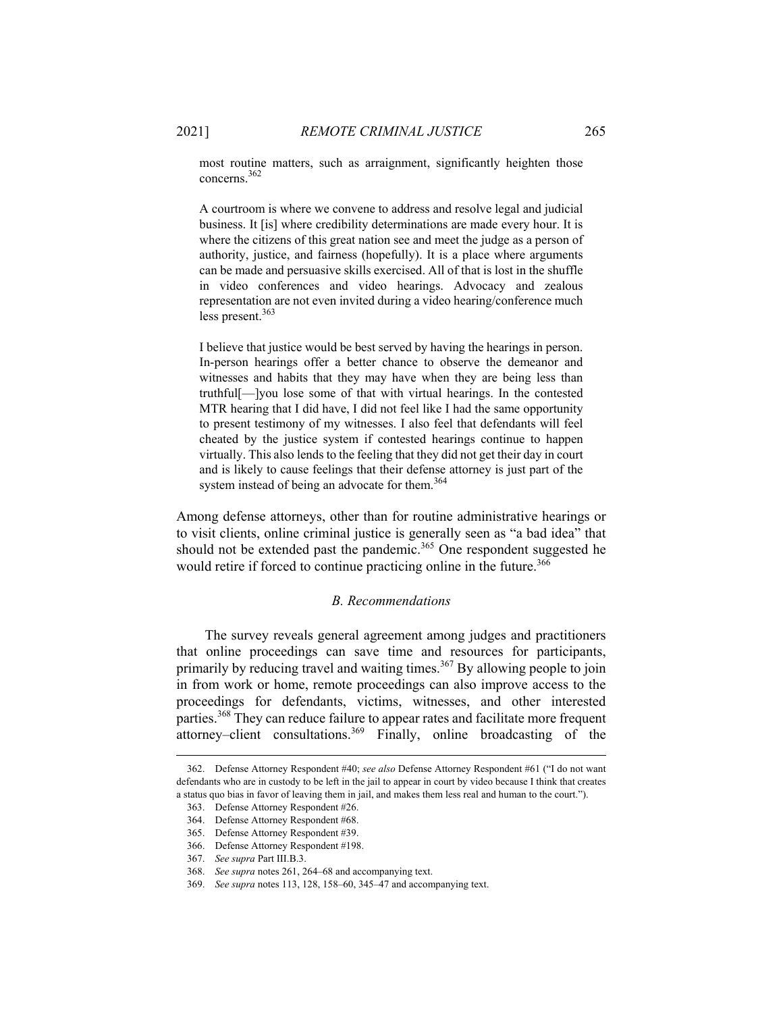most routine matters, such as arraignment, significantly heighten those concerns.362

A courtroom is where we convene to address and resolve legal and judicial business. It [is] where credibility determinations are made every hour. It is where the citizens of this great nation see and meet the judge as a person of authority, justice, and fairness (hopefully). It is a place where arguments can be made and persuasive skills exercised. All of that is lost in the shuffle in video conferences and video hearings. Advocacy and zealous representation are not even invited during a video hearing/conference much less present.<sup>363</sup>

I believe that justice would be best served by having the hearings in person. In-person hearings offer a better chance to observe the demeanor and witnesses and habits that they may have when they are being less than truthful[—]you lose some of that with virtual hearings. In the contested MTR hearing that I did have, I did not feel like I had the same opportunity to present testimony of my witnesses. I also feel that defendants will feel cheated by the justice system if contested hearings continue to happen virtually. This also lends to the feeling that they did not get their day in court and is likely to cause feelings that their defense attorney is just part of the system instead of being an advocate for them.<sup>364</sup>

Among defense attorneys, other than for routine administrative hearings or to visit clients, online criminal justice is generally seen as "a bad idea" that should not be extended past the pandemic.<sup>365</sup> One respondent suggested he would retire if forced to continue practicing online in the future.<sup>366</sup>

### *B. Recommendations*

The survey reveals general agreement among judges and practitioners that online proceedings can save time and resources for participants, primarily by reducing travel and waiting times.<sup>367</sup> By allowing people to join in from work or home, remote proceedings can also improve access to the proceedings for defendants, victims, witnesses, and other interested parties.<sup>368</sup> They can reduce failure to appear rates and facilitate more frequent attorney–client consultations.<sup>369</sup> Finally, online broadcasting of the

 <sup>362.</sup> Defense Attorney Respondent #40; *see also* Defense Attorney Respondent #61 ("I do not want defendants who are in custody to be left in the jail to appear in court by video because I think that creates a status quo bias in favor of leaving them in jail, and makes them less real and human to the court.").

 <sup>363.</sup> Defense Attorney Respondent #26.

 <sup>364.</sup> Defense Attorney Respondent #68.

 <sup>365.</sup> Defense Attorney Respondent #39.

 <sup>366.</sup> Defense Attorney Respondent #198.

 <sup>367.</sup> *See supra* Part III.B.3.

 <sup>368.</sup> *See supra* notes 261, 264–68 and accompanying text.

 <sup>369.</sup> *See supra* notes 113, 128, 158–60, 345–47 and accompanying text.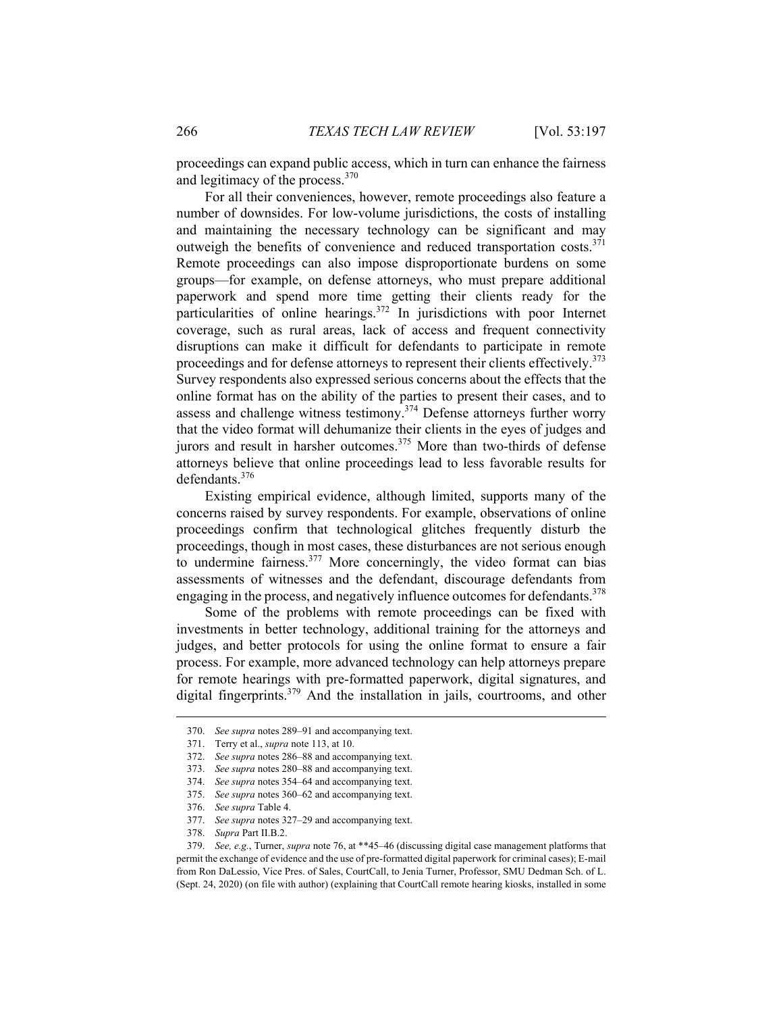proceedings can expand public access, which in turn can enhance the fairness and legitimacy of the process.<sup>370</sup>

For all their conveniences, however, remote proceedings also feature a number of downsides. For low-volume jurisdictions, the costs of installing and maintaining the necessary technology can be significant and may outweigh the benefits of convenience and reduced transportation costs.<sup>371</sup> Remote proceedings can also impose disproportionate burdens on some groups—for example, on defense attorneys, who must prepare additional paperwork and spend more time getting their clients ready for the particularities of online hearings.372 In jurisdictions with poor Internet coverage, such as rural areas, lack of access and frequent connectivity disruptions can make it difficult for defendants to participate in remote proceedings and for defense attorneys to represent their clients effectively.<sup>373</sup> Survey respondents also expressed serious concerns about the effects that the online format has on the ability of the parties to present their cases, and to assess and challenge witness testimony.374 Defense attorneys further worry that the video format will dehumanize their clients in the eyes of judges and jurors and result in harsher outcomes.<sup>375</sup> More than two-thirds of defense attorneys believe that online proceedings lead to less favorable results for defendants.<sup>376</sup>

Existing empirical evidence, although limited, supports many of the concerns raised by survey respondents. For example, observations of online proceedings confirm that technological glitches frequently disturb the proceedings, though in most cases, these disturbances are not serious enough to undermine fairness. $377$  More concerningly, the video format can bias assessments of witnesses and the defendant, discourage defendants from engaging in the process, and negatively influence outcomes for defendants.<sup>378</sup>

Some of the problems with remote proceedings can be fixed with investments in better technology, additional training for the attorneys and judges, and better protocols for using the online format to ensure a fair process. For example, more advanced technology can help attorneys prepare for remote hearings with pre-formatted paperwork, digital signatures, and digital fingerprints.379 And the installation in jails, courtrooms, and other

 <sup>370.</sup> *See supra* notes 289–91 and accompanying text.

 <sup>371.</sup> Terry et al., *supra* note 113, at 10.

 <sup>372.</sup> *See supra* notes 286–88 and accompanying text.

 <sup>373.</sup> *See supra* notes 280–88 and accompanying text.

 <sup>374.</sup> *See supra* notes 354–64 and accompanying text.

 <sup>375.</sup> *See supra* notes 360–62 and accompanying text.

 <sup>376.</sup> *See supra* Table 4.

 <sup>377.</sup> *See supra* notes 327–29 and accompanying text.

 <sup>378.</sup> *Supra* Part II.B.2.

 <sup>379.</sup> *See, e.g.*, Turner, *supra* note 76, at \*\*45–46 (discussing digital case management platforms that permit the exchange of evidence and the use of pre-formatted digital paperwork for criminal cases); E-mail from Ron DaLessio, Vice Pres. of Sales, CourtCall, to Jenia Turner, Professor, SMU Dedman Sch. of L. (Sept. 24, 2020) (on file with author) (explaining that CourtCall remote hearing kiosks, installed in some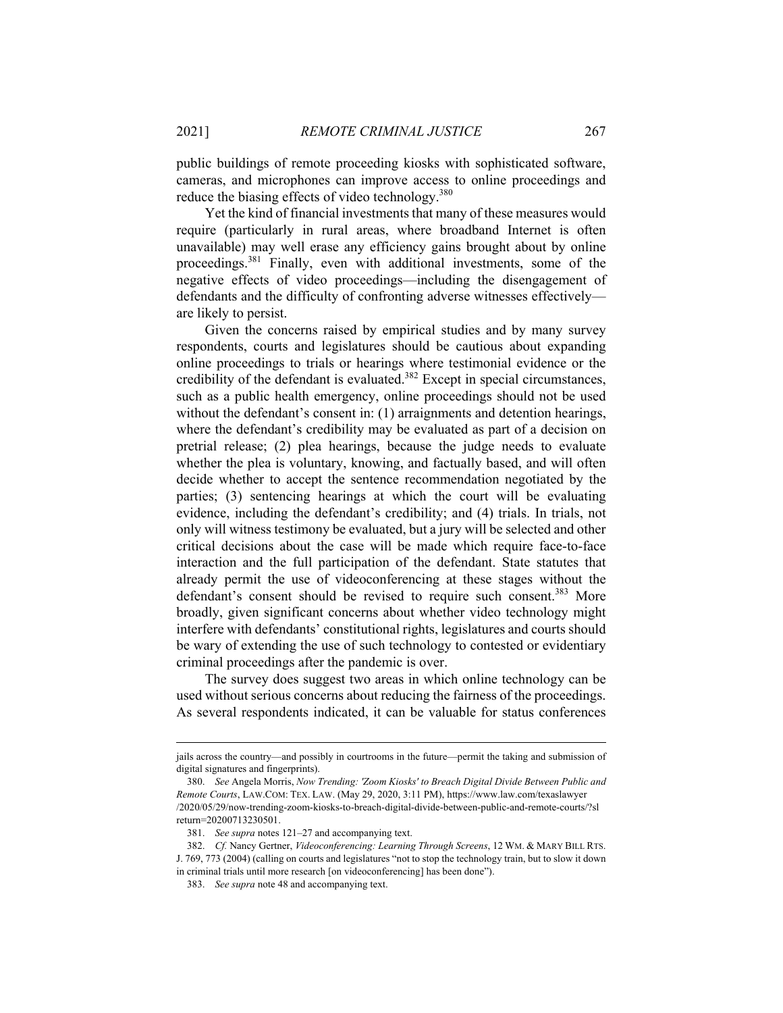public buildings of remote proceeding kiosks with sophisticated software, cameras, and microphones can improve access to online proceedings and reduce the biasing effects of video technology.<sup>380</sup>

Yet the kind of financial investments that many of these measures would require (particularly in rural areas, where broadband Internet is often unavailable) may well erase any efficiency gains brought about by online proceedings.381 Finally, even with additional investments, some of the negative effects of video proceedings—including the disengagement of defendants and the difficulty of confronting adverse witnesses effectively are likely to persist.

Given the concerns raised by empirical studies and by many survey respondents, courts and legislatures should be cautious about expanding online proceedings to trials or hearings where testimonial evidence or the credibility of the defendant is evaluated.<sup>382</sup> Except in special circumstances, such as a public health emergency, online proceedings should not be used without the defendant's consent in: (1) arraignments and detention hearings, where the defendant's credibility may be evaluated as part of a decision on pretrial release; (2) plea hearings, because the judge needs to evaluate whether the plea is voluntary, knowing, and factually based, and will often decide whether to accept the sentence recommendation negotiated by the parties; (3) sentencing hearings at which the court will be evaluating evidence, including the defendant's credibility; and (4) trials. In trials, not only will witness testimony be evaluated, but a jury will be selected and other critical decisions about the case will be made which require face-to-face interaction and the full participation of the defendant. State statutes that already permit the use of videoconferencing at these stages without the defendant's consent should be revised to require such consent.<sup>383</sup> More broadly, given significant concerns about whether video technology might interfere with defendants' constitutional rights, legislatures and courts should be wary of extending the use of such technology to contested or evidentiary criminal proceedings after the pandemic is over.

The survey does suggest two areas in which online technology can be used without serious concerns about reducing the fairness of the proceedings. As several respondents indicated, it can be valuable for status conferences

jails across the country—and possibly in courtrooms in the future—permit the taking and submission of digital signatures and fingerprints).

 <sup>380.</sup> *See* Angela Morris, *Now Trending: 'Zoom Kiosks' to Breach Digital Divide Between Public and Remote Courts*, LAW.COM: TEX. LAW. (May 29, 2020, 3:11 PM), https://www.law.com/texaslawyer /2020/05/29/now-trending-zoom-kiosks-to-breach-digital-divide-between-public-and-remote-courts/?sl return=20200713230501.

 <sup>381.</sup> *See supra* notes 121–27 and accompanying text.

 <sup>382.</sup> *Cf.* Nancy Gertner, *Videoconferencing: Learning Through Screens*, 12 WM. & MARY BILL RTS. J. 769, 773 (2004) (calling on courts and legislatures "not to stop the technology train, but to slow it down in criminal trials until more research [on videoconferencing] has been done").

 <sup>383.</sup> *See supra* note 48 and accompanying text.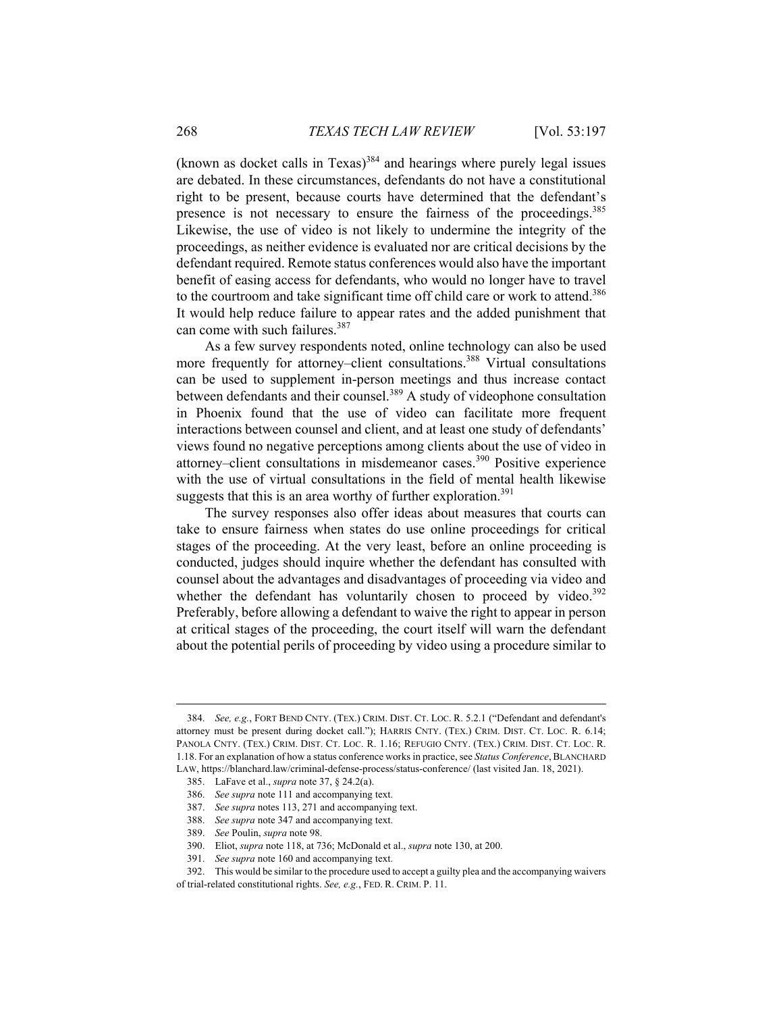(known as docket calls in Texas)<sup>384</sup> and hearings where purely legal issues are debated. In these circumstances, defendants do not have a constitutional right to be present, because courts have determined that the defendant's presence is not necessary to ensure the fairness of the proceedings.<sup>385</sup> Likewise, the use of video is not likely to undermine the integrity of the proceedings, as neither evidence is evaluated nor are critical decisions by the defendant required. Remote status conferences would also have the important benefit of easing access for defendants, who would no longer have to travel to the courtroom and take significant time off child care or work to attend.<sup>386</sup> It would help reduce failure to appear rates and the added punishment that can come with such failures.<sup>387</sup>

As a few survey respondents noted, online technology can also be used more frequently for attorney–client consultations.<sup>388</sup> Virtual consultations can be used to supplement in-person meetings and thus increase contact between defendants and their counsel.<sup>389</sup> A study of videophone consultation in Phoenix found that the use of video can facilitate more frequent interactions between counsel and client, and at least one study of defendants' views found no negative perceptions among clients about the use of video in attorney–client consultations in misdemeanor cases.<sup>390</sup> Positive experience with the use of virtual consultations in the field of mental health likewise suggests that this is an area worthy of further exploration.<sup>391</sup>

The survey responses also offer ideas about measures that courts can take to ensure fairness when states do use online proceedings for critical stages of the proceeding. At the very least, before an online proceeding is conducted, judges should inquire whether the defendant has consulted with counsel about the advantages and disadvantages of proceeding via video and whether the defendant has voluntarily chosen to proceed by video. $392$ Preferably, before allowing a defendant to waive the right to appear in person at critical stages of the proceeding, the court itself will warn the defendant about the potential perils of proceeding by video using a procedure similar to

 $\overline{a}$ 

 <sup>384.</sup> *See, e.g.*, FORT BEND CNTY. (TEX.) CRIM. DIST. CT. LOC. R. 5.2.1 ("Defendant and defendant's attorney must be present during docket call."); HARRIS CNTY. (TEX.) CRIM. DIST. CT. LOC. R. 6.14; PANOLA CNTY. (TEX.) CRIM. DIST. CT. LOC. R. 1.16; REFUGIO CNTY. (TEX.) CRIM. DIST. CT. LOC. R. 1.18. For an explanation of how a status conference works in practice, see *Status Conference*,BLANCHARD LAW, https://blanchard.law/criminal-defense-process/status-conference/ (last visited Jan. 18, 2021).

 <sup>385.</sup> LaFave et al., *supra* note 37, § 24.2(a).

 <sup>386.</sup> *See supra* note 111 and accompanying text.

 <sup>387.</sup> *See supra* notes 113, 271 and accompanying text.

 <sup>388.</sup> *See supra* note 347 and accompanying text.

 <sup>389.</sup> *See* Poulin, *supra* note 98.

 <sup>390.</sup> Eliot, *supra* note 118, at 736; McDonald et al., *supra* note 130, at 200.

 <sup>391.</sup> *See supra* note 160 and accompanying text.

 <sup>392.</sup> This would be similar to the procedure used to accept a guilty plea and the accompanying waivers of trial-related constitutional rights. *See, e.g.*, FED. R. CRIM. P. 11.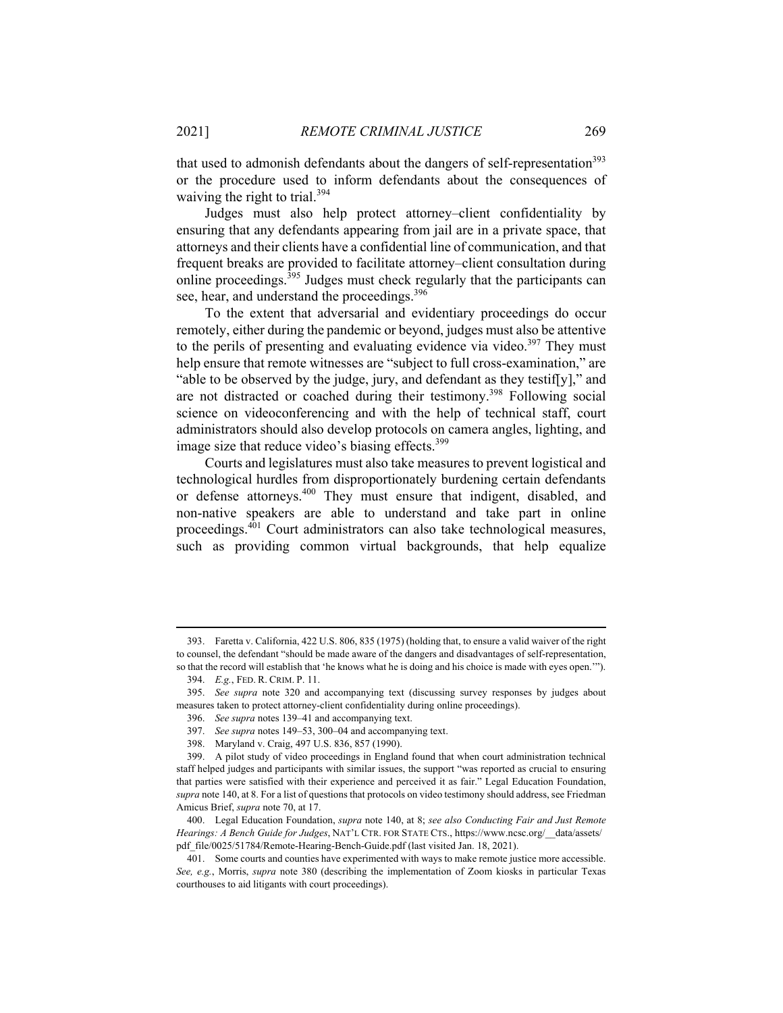that used to admonish defendants about the dangers of self-representation<sup>393</sup> or the procedure used to inform defendants about the consequences of waiving the right to trial.<sup>394</sup>

Judges must also help protect attorney–client confidentiality by ensuring that any defendants appearing from jail are in a private space, that attorneys and their clients have a confidential line of communication, and that frequent breaks are provided to facilitate attorney–client consultation during online proceedings.<sup>395</sup> Judges must check regularly that the participants can see, hear, and understand the proceedings.<sup>396</sup>

To the extent that adversarial and evidentiary proceedings do occur remotely, either during the pandemic or beyond, judges must also be attentive to the perils of presenting and evaluating evidence via video.<sup>397</sup> They must help ensure that remote witnesses are "subject to full cross-examination," are "able to be observed by the judge, jury, and defendant as they testif[y]," and are not distracted or coached during their testimony.398 Following social science on videoconferencing and with the help of technical staff, court administrators should also develop protocols on camera angles, lighting, and image size that reduce video's biasing effects.<sup>399</sup>

Courts and legislatures must also take measures to prevent logistical and technological hurdles from disproportionately burdening certain defendants or defense attorneys.400 They must ensure that indigent, disabled, and non-native speakers are able to understand and take part in online proceedings.401 Court administrators can also take technological measures, such as providing common virtual backgrounds, that help equalize

 $\overline{a}$ 

 <sup>393.</sup> Faretta v. California, 422 U.S. 806, 835 (1975) (holding that, to ensure a valid waiver of the right to counsel, the defendant "should be made aware of the dangers and disadvantages of self-representation, so that the record will establish that 'he knows what he is doing and his choice is made with eyes open.'").

 <sup>394.</sup> *E.g.*, FED. R. CRIM. P. 11.

 <sup>395.</sup> *See supra* note 320 and accompanying text (discussing survey responses by judges about measures taken to protect attorney-client confidentiality during online proceedings).

 <sup>396.</sup> *See supra* notes 139–41 and accompanying text.

 <sup>397.</sup> *See supra* notes 149–53, 300–04 and accompanying text.

 <sup>398.</sup> Maryland v. Craig, 497 U.S. 836, 857 (1990).

 <sup>399.</sup> A pilot study of video proceedings in England found that when court administration technical staff helped judges and participants with similar issues, the support "was reported as crucial to ensuring that parties were satisfied with their experience and perceived it as fair." Legal Education Foundation, *supra* note 140, at 8. For a list of questions that protocols on video testimony should address, see Friedman Amicus Brief, *supra* note 70, at 17.

 <sup>400.</sup> Legal Education Foundation, *supra* note 140, at 8; *see also Conducting Fair and Just Remote Hearings: A Bench Guide for Judges*, NAT'L CTR. FOR STATE CTS., https://www.ncsc.org/\_\_data/assets/ pdf file/0025/51784/Remote-Hearing-Bench-Guide.pdf (last visited Jan. 18, 2021).

 <sup>401.</sup> Some courts and counties have experimented with ways to make remote justice more accessible. *See, e.g.*, Morris, *supra* note 380 (describing the implementation of Zoom kiosks in particular Texas courthouses to aid litigants with court proceedings).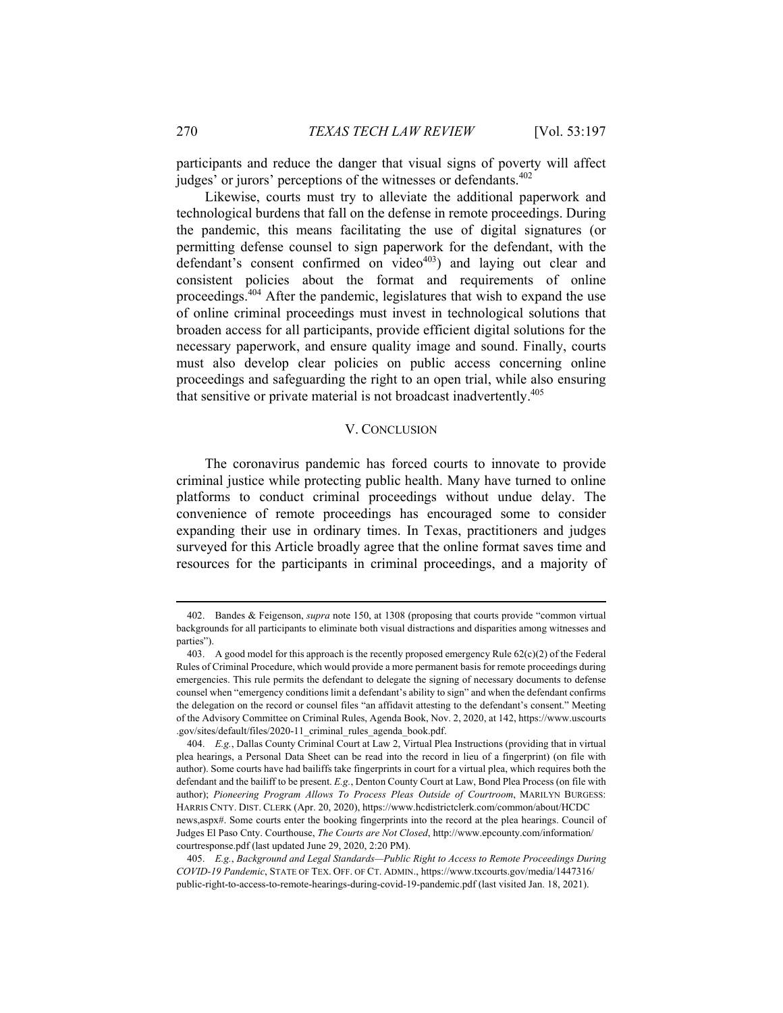participants and reduce the danger that visual signs of poverty will affect judges' or jurors' perceptions of the witnesses or defendants.<sup>402</sup>

Likewise, courts must try to alleviate the additional paperwork and technological burdens that fall on the defense in remote proceedings. During the pandemic, this means facilitating the use of digital signatures (or permitting defense counsel to sign paperwork for the defendant, with the defendant's consent confirmed on video $403$ ) and laying out clear and consistent policies about the format and requirements of online proceedings.404 After the pandemic, legislatures that wish to expand the use of online criminal proceedings must invest in technological solutions that broaden access for all participants, provide efficient digital solutions for the necessary paperwork, and ensure quality image and sound. Finally, courts must also develop clear policies on public access concerning online proceedings and safeguarding the right to an open trial, while also ensuring that sensitive or private material is not broadcast inadvertently.<sup>405</sup>

## V. CONCLUSION

The coronavirus pandemic has forced courts to innovate to provide criminal justice while protecting public health. Many have turned to online platforms to conduct criminal proceedings without undue delay. The convenience of remote proceedings has encouraged some to consider expanding their use in ordinary times. In Texas, practitioners and judges surveyed for this Article broadly agree that the online format saves time and resources for the participants in criminal proceedings, and a majority of

 $\overline{a}$ 

 <sup>402.</sup> Bandes & Feigenson, *supra* note 150, at 1308 (proposing that courts provide "common virtual backgrounds for all participants to eliminate both visual distractions and disparities among witnesses and parties").

<sup>403.</sup> A good model for this approach is the recently proposed emergency Rule  $62(c)(2)$  of the Federal Rules of Criminal Procedure, which would provide a more permanent basis for remote proceedings during emergencies. This rule permits the defendant to delegate the signing of necessary documents to defense counsel when "emergency conditions limit a defendant's ability to sign" and when the defendant confirms the delegation on the record or counsel files "an affidavit attesting to the defendant's consent." Meeting of the Advisory Committee on Criminal Rules, Agenda Book, Nov. 2, 2020, at 142, https://www.uscourts .gov/sites/default/files/2020-11\_criminal\_rules\_agenda\_book.pdf.

 <sup>404.</sup> *E.g.*, Dallas County Criminal Court at Law 2, Virtual Plea Instructions (providing that in virtual plea hearings, a Personal Data Sheet can be read into the record in lieu of a fingerprint) (on file with author). Some courts have had bailiffs take fingerprints in court for a virtual plea, which requires both the defendant and the bailiff to be present. *E.g.*, Denton County Court at Law, Bond Plea Process (on file with author); *Pioneering Program Allows To Process Pleas Outside of Courtroom*, MARILYN BURGESS: HARRIS CNTY. DIST. CLERK (Apr. 20, 2020), https://www.hcdistrictclerk.com/common/about/HCDC news,aspx#. Some courts enter the booking fingerprints into the record at the plea hearings. Council of Judges El Paso Cnty. Courthouse, *The Courts are Not Closed*, http://www.epcounty.com/information/ courtresponse.pdf (last updated June 29, 2020, 2:20 PM).

 <sup>405.</sup> *E.g.*, *Background and Legal Standards—Public Right to Access to Remote Proceedings During COVID-19 Pandemic*, STATE OF TEX. OFF. OF CT. ADMIN., https://www.txcourts.gov/media/1447316/ public-right-to-access-to-remote-hearings-during-covid-19-pandemic.pdf (last visited Jan. 18, 2021).